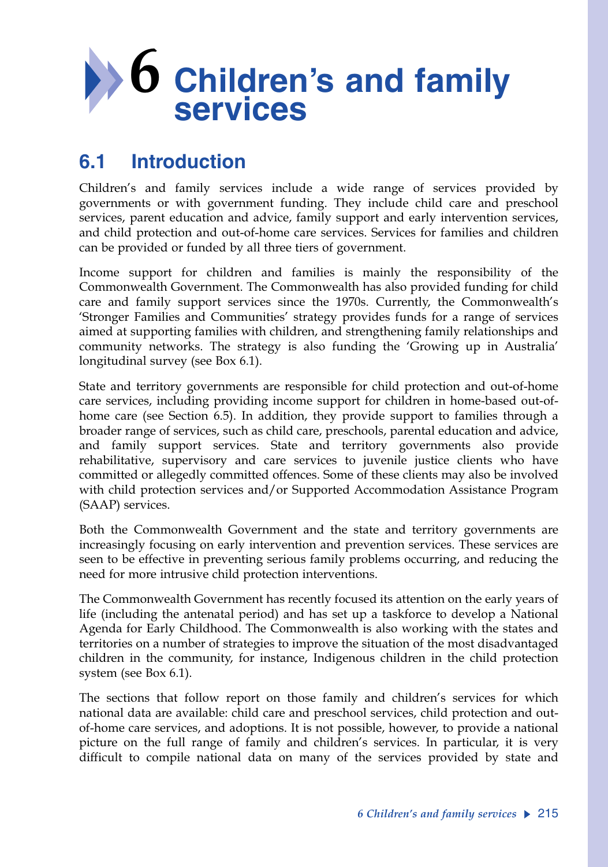

# **6.1 Introduction**

Children's and family services include a wide range of services provided by governments or with government funding. They include child care and preschool services, parent education and advice, family support and early intervention services, and child protection and out-of-home care services. Services for families and children can be provided or funded by all three tiers of government.

Income support for children and families is mainly the responsibility of the Commonwealth Government. The Commonwealth has also provided funding for child care and family support services since the 1970s. Currently, the Commonwealth's 'Stronger Families and Communities' strategy provides funds for a range of services aimed at supporting families with children, and strengthening family relationships and community networks. The strategy is also funding the 'Growing up in Australia' longitudinal survey (see Box 6.1).

State and territory governments are responsible for child protection and out-of-home care services, including providing income support for children in home-based out-ofhome care (see Section 6.5). In addition, they provide support to families through a broader range of services, such as child care, preschools, parental education and advice, and family support services. State and territory governments also provide rehabilitative, supervisory and care services to juvenile justice clients who have committed or allegedly committed offences. Some of these clients may also be involved with child protection services and/or Supported Accommodation Assistance Program (SAAP) services.

Both the Commonwealth Government and the state and territory governments are increasingly focusing on early intervention and prevention services. These services are seen to be effective in preventing serious family problems occurring, and reducing the need for more intrusive child protection interventions.

The Commonwealth Government has recently focused its attention on the early years of life (including the antenatal period) and has set up a taskforce to develop a National Agenda for Early Childhood. The Commonwealth is also working with the states and territories on a number of strategies to improve the situation of the most disadvantaged children in the community, for instance, Indigenous children in the child protection system (see Box 6.1).

The sections that follow report on those family and children's services for which national data are available: child care and preschool services, child protection and outof-home care services, and adoptions. It is not possible, however, to provide a national picture on the full range of family and children's services. In particular, it is very difficult to compile national data on many of the services provided by state and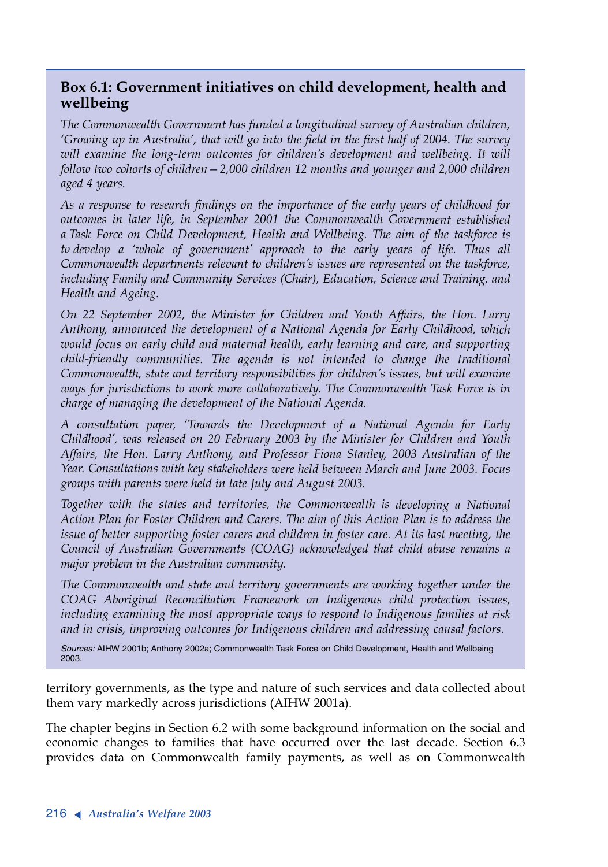### **Box 6.1: Government initiatives on child development, health and wellbeing**

*The Commonwealth Government has funded a longitudinal survey of Australian children, 'Growing up in Australia', that will go into the field in the first half of 2004. The survey will examine the long-term outcomes for children's development and wellbeing. It will follow two cohorts of children—2,000 children 12 months and younger and 2,000 children aged 4 years.*

*As a response to research findings on the importance of the early years of childhood for outcomes in later life, in September 2001 the Commonwealth Government established a Task Force on Child Development, Health and Wellbeing. The aim of the taskforce is to develop a 'whole of government' approach to the early years of life. Thus all Commonwealth departments relevant to children's issues are represented on the taskforce, including Family and Community Services (Chair), Education, Science and Training, and Health and Ageing.* 

*On 22 September 2002, the Minister for Children and Youth Affairs, the Hon. Larry Anthony, announced the development of a National Agenda for Early Childhood, which would focus on early child and maternal health, early learning and care, and supporting child-friendly communities. The agenda is not intended to change the traditional Commonwealth, state and territory responsibilities for children's issues, but will examine ways for jurisdictions to work more collaboratively. The Commonwealth Task Force is in charge of managing the development of the National Agenda.* 

*<sup>A</sup> consultation paper, 'Towards the Development of a National Agenda for Early Childhood', was released on 20 February 2003 by the Minister for Children and Youth Affairs, the Hon. Larry Anthony, and Professor Fiona Stanley, 2003 Australian of the Year. Consultations with key stakeholders were held between March and June 2003. Focus groups with parents were held in late July and August 2003.* 

*Together with the states and territories, the Commonwealth is developing a National Action Plan for Foster Children and Carers. The aim of this Action Plan is to address the issue of better supporting foster carers and children in foster care. At its last meeting, the Council of Australian Governments (COAG) acknowledged that child abuse remains a major problem in the Australian community.*

*The Commonwealth and state and territory governments are working together under the COAG Aboriginal Reconciliation Framework on Indigenous child protection issues, including examining the most appropriate ways to respond to Indigenous families at risk and in crisis, improving outcomes for Indigenous children and addressing causal factors.*

*Sources:* AIHW 2001b; Anthony 2002a; Commonwealth Task Force on Child Development, Health and Wellbeing 2003.

territory governments, as the type and nature of such services and data collected about them vary markedly across jurisdictions (AIHW 2001a).

The chapter begins in Section 6.2 with some background information on the social and economic changes to families that have occurred over the last decade. Section 6.3 provides data on Commonwealth family payments, as well as on Commonwealth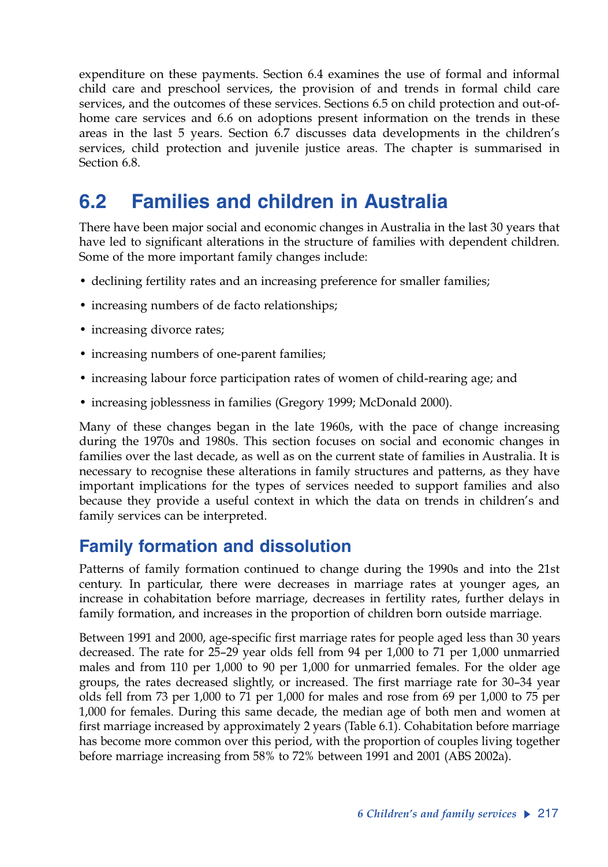expenditure on these payments. Section 6.4 examines the use of formal and informal child care and preschool services, the provision of and trends in formal child care services, and the outcomes of these services. Sections 6.5 on child protection and out-ofhome care services and 6.6 on adoptions present information on the trends in these areas in the last 5 years. Section 6.7 discusses data developments in the children's services, child protection and juvenile justice areas. The chapter is summarised in Section 6.8.

# **6.2 Families and children in Australia**

There have been major social and economic changes in Australia in the last 30 years that have led to significant alterations in the structure of families with dependent children. Some of the more important family changes include:

- declining fertility rates and an increasing preference for smaller families;
- increasing numbers of de facto relationships;
- increasing divorce rates;
- increasing numbers of one-parent families;
- increasing labour force participation rates of women of child-rearing age; and
- increasing joblessness in families (Gregory 1999; McDonald 2000).

Many of these changes began in the late 1960s, with the pace of change increasing during the 1970s and 1980s. This section focuses on social and economic changes in families over the last decade, as well as on the current state of families in Australia. It is necessary to recognise these alterations in family structures and patterns, as they have important implications for the types of services needed to support families and also because they provide a useful context in which the data on trends in children's and family services can be interpreted.

## **Family formation and dissolution**

Patterns of family formation continued to change during the 1990s and into the 21st century. In particular, there were decreases in marriage rates at younger ages, an increase in cohabitation before marriage, decreases in fertility rates, further delays in family formation, and increases in the proportion of children born outside marriage.

Between 1991 and 2000, age-specific first marriage rates for people aged less than 30 years decreased. The rate for 25–29 year olds fell from 94 per 1,000 to 71 per 1,000 unmarried males and from 110 per 1,000 to 90 per 1,000 for unmarried females. For the older age groups, the rates decreased slightly, or increased. The first marriage rate for 30–34 year olds fell from 73 per 1,000 to 71 per 1,000 for males and rose from 69 per 1,000 to 75 per 1,000 for females. During this same decade, the median age of both men and women at first marriage increased by approximately 2 years (Table 6.1). Cohabitation before marriage has become more common over this period, with the proportion of couples living together before marriage increasing from 58% to 72% between 1991 and 2001 (ABS 2002a).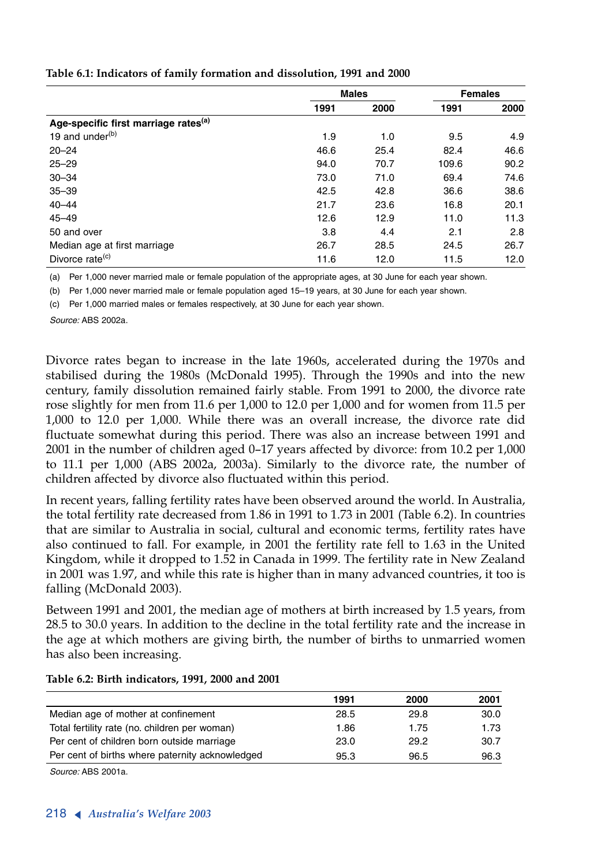|                                                  | <b>Males</b> |      | <b>Females</b> |      |
|--------------------------------------------------|--------------|------|----------------|------|
|                                                  | 1991         | 2000 | 1991           | 2000 |
| Age-specific first marriage rates <sup>(a)</sup> |              |      |                |      |
| 19 and under <sup>(b)</sup>                      | 1.9          | 1.0  | 9.5            | 4.9  |
| $20 - 24$                                        | 46.6         | 25.4 | 82.4           | 46.6 |
| $25 - 29$                                        | 94.0         | 70.7 | 109.6          | 90.2 |
| $30 - 34$                                        | 73.0         | 71.0 | 69.4           | 74.6 |
| $35 - 39$                                        | 42.5         | 42.8 | 36.6           | 38.6 |
| $40 - 44$                                        | 21.7         | 23.6 | 16.8           | 20.1 |
| $45 - 49$                                        | 12.6         | 12.9 | 11.0           | 11.3 |
| 50 and over                                      | 3.8          | 4.4  | 2.1            | 2.8  |
| Median age at first marriage                     | 26.7         | 28.5 | 24.5           | 26.7 |
| Divorce rate <sup>(c)</sup>                      | 11.6         | 12.0 | 11.5           | 12.0 |

#### **Table 6.1: Indicators of family formation and dissolution, 1991 and 2000**

Per 1,000 never married male or female population of the appropriate ages, at 30 June for each year shown. (a)

(b) Per 1,000 never married male or female population aged 15–19 years, at 30 June for each year shown.

Per 1,000 married males or females respectively, at 30 June for each year shown. (c)

*Source:* ABS 2002a.

Divorce rates began to increase in the late 1960s, accelerated during the 1970s and stabilised during the 1980s (McDonald 1995). Through the 1990s and into the new century, family dissolution remained fairly stable. From 1991 to 2000, the divorce rate rose slightly for men from 11.6 per 1,000 to 12.0 per 1,000 and for women from 11.5 per 1,000 to 12.0 per 1,000. While there was an overall increase, the divorce rate did fluctuate somewhat during this period. There was also an increase between 1991 and 2001 in the number of children aged 0–17 years affected by divorce: from 10.2 per 1,000 to 11.1 per 1,000 (ABS 2002a, 2003a). Similarly to the divorce rate, the number of children affected by divorce also fluctuated within this period.

In recent years, falling fertility rates have been observed around the world. In Australia, the total fertility rate decreased from 1.86 in 1991 to 1.73 in 2001 (Table 6.2). In countries that are similar to Australia in social, cultural and economic terms, fertility rates have also continued to fall. For example, in 2001 the fertility rate fell to 1.63 in the United Kingdom, while it dropped to 1.52 in Canada in 1999. The fertility rate in New Zealand in 2001 was 1.97, and while this rate is higher than in many advanced countries, it too is falling (McDonald 2003).

Between 1991 and 2001, the median age of mothers at birth increased by 1.5 years, from 28.5 to 30.0 years. In addition to the decline in the total fertility rate and the increase in the age at which mothers are giving birth, the number of births to unmarried women has also been increasing.

| 1991 | 2000 | 2001 |
|------|------|------|
| 28.5 | 29.8 | 30.0 |
| 1.86 | 1.75 | 1.73 |
| 23.0 | 29.2 | 30.7 |
| 95.3 | 96.5 | 96.3 |
|      |      |      |

### **Table 6.2: Birth indicators, 1991, 2000 and 2001**

*Source:* ABS 2001a.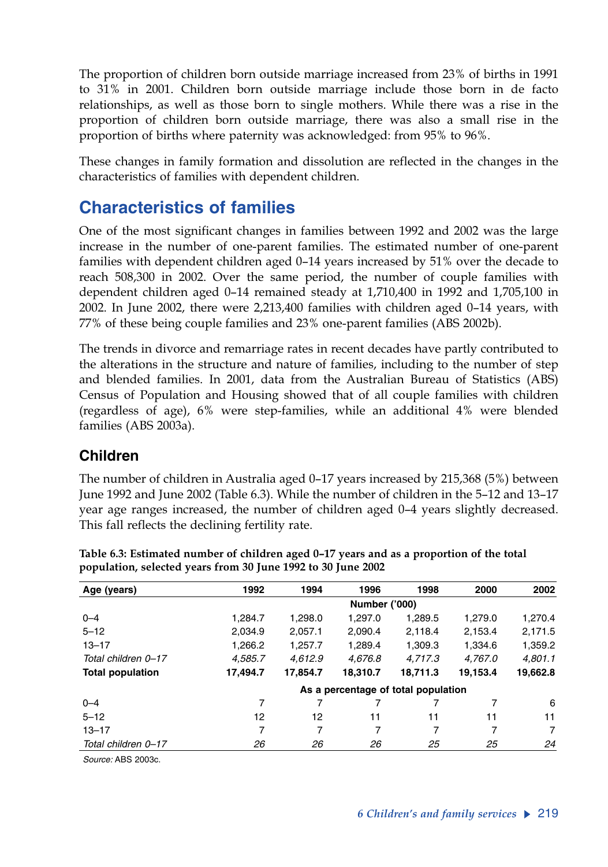The proportion of children born outside marriage increased from 23% of births in 1991 to 31% in 2001. Children born outside marriage include those born in de facto relationships, as well as those born to single mothers. While there was a rise in the proportion of children born outside marriage, there was also a small rise in the proportion of births where paternity was acknowledged: from 95% to 96%.

These changes in family formation and dissolution are reflected in the changes in the characteristics of families with dependent children.

# **Characteristics of families**

One of the most significant changes in families between 1992 and 2002 was the large increase in the number of one-parent families. The estimated number of one-parent families with dependent children aged 0–14 years increased by 51% over the decade to reach 508,300 in 2002. Over the same period, the number of couple families with dependent children aged 0–14 remained steady at 1,710,400 in 1992 and 1,705,100 in 2002. In June 2002, there were 2,213,400 families with children aged 0–14 years, with 77% of these being couple families and 23% one-parent families (ABS 2002b).

The trends in divorce and remarriage rates in recent decades have partly contributed to the alterations in the structure and nature of families, including to the number of step and blended families. In 2001, data from the Australian Bureau of Statistics (ABS) Census of Population and Housing showed that of all couple families with children (regardless of age), 6% were step-families, while an additional 4% were blended families (ABS 2003a).

## **Children**

The number of children in Australia aged 0–17 years increased by 215,368 (5%) between June 1992 and June 2002 (Table 6.3). While the number of children in the 5–12 and 13–17 year age ranges increased, the number of children aged 0–4 years slightly decreased. This fall reflects the declining fertility rate.

| Age (years)             | 1992                                | 1994     | 1996     | 1998     | 2000     | 2002           |  |  |
|-------------------------|-------------------------------------|----------|----------|----------|----------|----------------|--|--|
|                         | <b>Number ('000)</b>                |          |          |          |          |                |  |  |
| $0 - 4$                 | 1.284.7                             | 1.298.0  | 1.297.0  | 1,289.5  | 1.279.0  | 1,270.4        |  |  |
| $5 - 12$                | 2.034.9                             | 2.057.1  | 2.090.4  | 2.118.4  | 2.153.4  | 2,171.5        |  |  |
| $13 - 17$               | 1.266.2                             | 1.257.7  | 1.289.4  | 1.309.3  | 1.334.6  | 1,359.2        |  |  |
| Total children 0-17     | 4,585.7                             | 4.612.9  | 4.676.8  | 4.717.3  | 4.767.0  | 4.801.1        |  |  |
| <b>Total population</b> | 17,494.7                            | 17,854.7 | 18,310.7 | 18,711.3 | 19.153.4 | 19,662.8       |  |  |
|                         | As a percentage of total population |          |          |          |          |                |  |  |
| $0 - 4$                 | 7                                   | 7        | 7        |          | 7        | 6              |  |  |
| $5 - 12$                | 12                                  | 12       | 11       | 11       | 11       | 11             |  |  |
| $13 - 17$               | 7                                   | 7        | 7        | 7        | 7        | $\overline{7}$ |  |  |
| Total children 0-17     | 26                                  | 26       | 26       | 25       | 25       | 24             |  |  |

**Table 6.3: Estimated number of children aged 0–17 years and as a proportion of the total population, selected years from 30 June 1992 to 30 June 2002**

*Source:* ABS 2003c.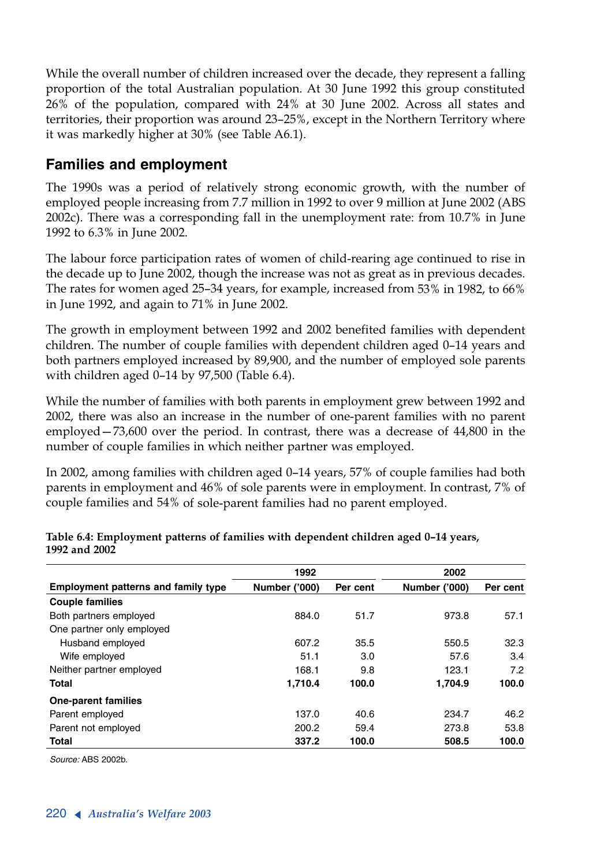While the overall number of children increased over the decade, they represent a falling proportion of the total Australian population. At 30 June 1992 this group constituted 26% of the population, compared with 24% at 30 June 2002. Across all states and territories, their proportion was around 23–25%, except in the Northern Territory where it was markedly higher at 30% (see Table A6.1).

## **Families and employment**

The 1990s was a period of relatively strong economic growth, with the number of employed people increasing from 7.7 million in 1992 to over 9 million at June 2002 (ABS 2002c). There was a corresponding fall in the unemployment rate: from 10.7% in June 1992 to 6.3% in June 2002.

The labour force participation rates of women of child-rearing age continued to rise in the decade up to June 2002, though the increase was not as great as in previous decades. The rates for women aged 25–34 years, for example, increased from 53% in 1982, to 66% in June 1992, and again to 71% in June 2002.

The growth in employment between 1992 and 2002 benefited families with dependent children. The number of couple families with dependent children aged 0–14 years and both partners employed increased by 89,900, and the number of employed sole parents with children aged 0–14 by 97,500 (Table 6.4).

While the number of families with both parents in employment grew between 1992 and 2002, there was also an increase in the number of one-parent families with no parent employed—73,600 over the period. In contrast, there was a decrease of 44,800 in the number of couple families in which neither partner was employed.

In 2002, among families with children aged 0–14 years, 57% of couple families had both parents in employment and 46% of sole parents were in employment. In contrast, 7% of couple families and 54% of sole-parent families had no parent employed.

|                                            | 1992                 |          | 2002                 |          |
|--------------------------------------------|----------------------|----------|----------------------|----------|
| <b>Employment patterns and family type</b> | <b>Number ('000)</b> | Per cent | <b>Number ('000)</b> | Per cent |
| <b>Couple families</b>                     |                      |          |                      |          |
| Both partners employed                     | 884.0                | 51.7     | 973.8                | 57.1     |
| One partner only employed                  |                      |          |                      |          |
| Husband employed                           | 607.2                | 35.5     | 550.5                | 32.3     |
| Wife employed                              | 51.1                 | 3.0      | 57.6                 | 3.4      |
| Neither partner employed                   | 168.1                | 9.8      | 123.1                | 7.2      |
| <b>Total</b>                               | 1.710.4              | 100.0    | 1.704.9              | 100.0    |
| <b>One-parent families</b>                 |                      |          |                      |          |
| Parent employed                            | 137.0                | 40.6     | 234.7                | 46.2     |
| Parent not employed                        | 200.2                | 59.4     | 273.8                | 53.8     |
| <b>Total</b>                               | 337.2                | 100.0    | 508.5                | 100.0    |

**Table 6.4: Employment patterns of families with dependent children aged 0–14 years, 1992 and 2002**

*Source:* ABS 2002b.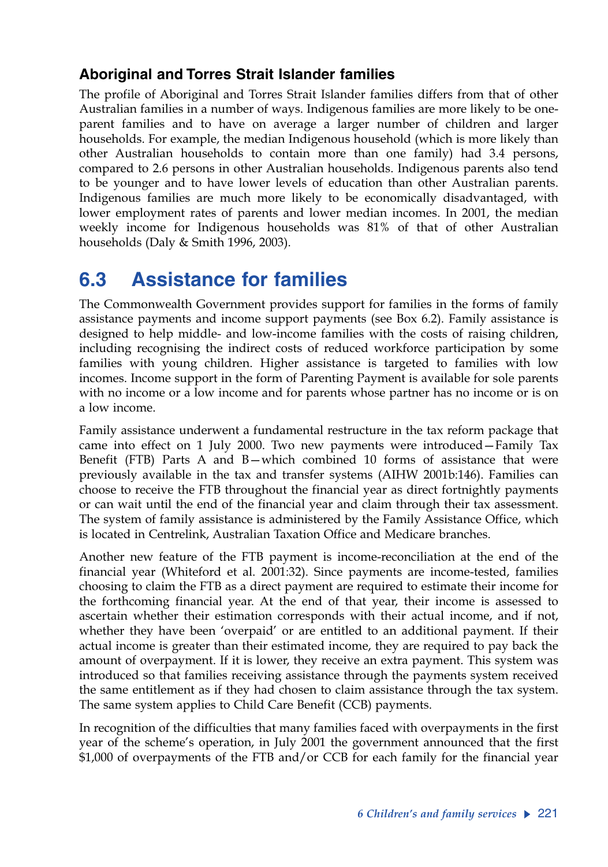## **Aboriginal and Torres Strait Islander families**

The profile of Aboriginal and Torres Strait Islander families differs from that of other Australian families in a number of ways. Indigenous families are more likely to be oneparent families and to have on average a larger number of children and larger households. For example, the median Indigenous household (which is more likely than other Australian households to contain more than one family) had 3.4 persons, compared to 2.6 persons in other Australian households. Indigenous parents also tend to be younger and to have lower levels of education than other Australian parents. Indigenous families are much more likely to be economically disadvantaged, with lower employment rates of parents and lower median incomes. In 2001, the median weekly income for Indigenous households was 81% of that of other Australian households (Daly & Smith 1996, 2003).

# **6.3 Assistance for families**

The Commonwealth Government provides support for families in the forms of family assistance payments and income support payments (see Box 6.2). Family assistance is designed to help middle- and low-income families with the costs of raising children, including recognising the indirect costs of reduced workforce participation by some families with young children. Higher assistance is targeted to families with low incomes. Income support in the form of Parenting Payment is available for sole parents with no income or a low income and for parents whose partner has no income or is on a low income.

Family assistance underwent a fundamental restructure in the tax reform package that came into effect on 1 July 2000. Two new payments were introduced—Family Tax Benefit (FTB) Parts A and B—which combined 10 forms of assistance that were previously available in the tax and transfer systems (AIHW 2001b:146). Families can choose to receive the FTB throughout the financial year as direct fortnightly payments or can wait until the end of the financial year and claim through their tax assessment. The system of family assistance is administered by the Family Assistance Office, which is located in Centrelink, Australian Taxation Office and Medicare branches.

Another new feature of the FTB payment is income-reconciliation at the end of the financial year (Whiteford et al. 2001:32). Since payments are income-tested, families choosing to claim the FTB as a direct payment are required to estimate their income for the forthcoming financial year. At the end of that year, their income is assessed to ascertain whether their estimation corresponds with their actual income, and if not, whether they have been 'overpaid' or are entitled to an additional payment. If their actual income is greater than their estimated income, they are required to pay back the amount of overpayment. If it is lower, they receive an extra payment. This system was introduced so that families receiving assistance through the payments system received the same entitlement as if they had chosen to claim assistance through the tax system. The same system applies to Child Care Benefit (CCB) payments.

In recognition of the difficulties that many families faced with overpayments in the first year of the scheme's operation, in July 2001 the government announced that the first \$1,000 of overpayments of the FTB and/or CCB for each family for the financial year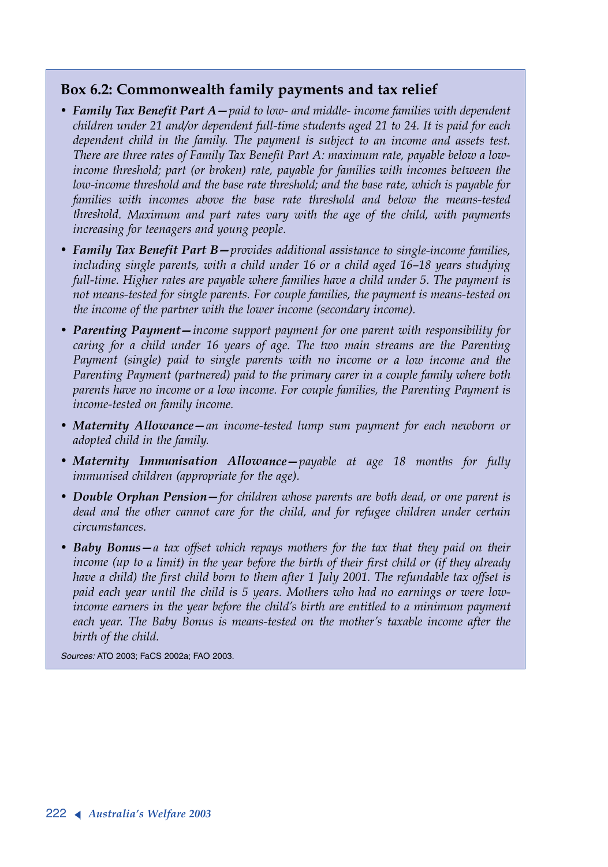### **Box 6.2: Commonwealth family payments and tax relief**

- *• Family Tax Benefit Part A—paid to low- and middle- income families with dependent children under 21 and/or dependent full-time students aged 21 to 24. It is paid for each dependent child in the family. The payment is subject to an income and assets test. There are three rates of Family Tax Benefit Part A: maximum rate, payable below a lowincome threshold; part (or broken) rate, payable for families with incomes between the low-income threshold and the base rate threshold; and the base rate, which is payable for families with incomes above the base rate threshold and below the means-tested threshold. Maximum and part rates vary with the age of the child, with payments increasing for teenagers and young people.*
- *• Family Tax Benefit Part B—provides additional assistance to single-income families, including single parents, with a child under 16 or a child aged 16–18 years studying full-time. Higher rates are payable where families have a child under 5. The payment is not means-tested for single parents. For couple families, the payment is means-tested on the income of the partner with the lower income (secondary income).*
- *• Parenting Payment—income support payment for one parent with responsibility for caring for a child under 16 years of age. The two main streams are the Parenting Payment (single) paid to single parents with no income or a low income and the Parenting Payment (partnered) paid to the primary carer in a couple family where both parents have no income or a low income. For couple families, the Parenting Payment is income-tested on family income.*
- *• Maternity Allowance—an income-tested lump sum payment for each newborn or adopted child in the family.*
- *• Maternity Immunisation Allowance—payable at age 18 months for fully immunised children (appropriate for the age).*
- *• Double Orphan Pension—for children whose parents are both dead, or one parent is dead and the other cannot care for the child, and for refugee children under certain circumstances.*
- *• Baby Bonus—a tax offset which repays mothers for the tax that they paid on their income (up to a limit) in the year before the birth of their first child or (if they already have a child) the first child born to them after 1 July 2001. The refundable tax offset is paid each year until the child is 5 years. Mothers who had no earnings or were lowincome earners in the year before the child's birth are entitled to a minimum payment each year. The Baby Bonus is means-tested on the mother's taxable income after the birth of the child.*

*Sources:* ATO 2003; FaCS 2002a; FAO 2003.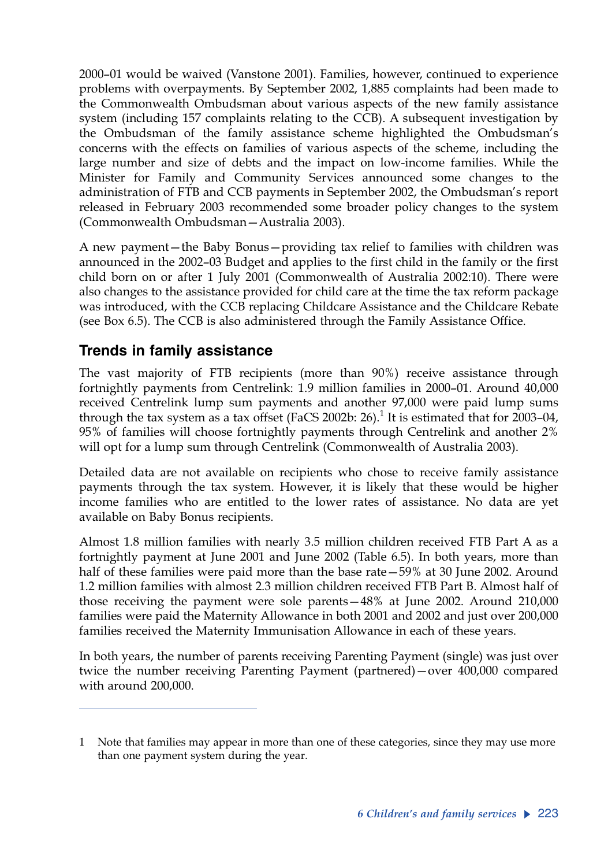2000–01 would be waived (Vanstone 2001). Families, however, continued to experience problems with overpayments. By September 2002, 1,885 complaints had been made to the Commonwealth Ombudsman about various aspects of the new family assistance system (including 157 complaints relating to the CCB). A subsequent investigation by the Ombudsman of the family assistance scheme highlighted the Ombudsman's concerns with the effects on families of various aspects of the scheme, including the large number and size of debts and the impact on low-income families. While the Minister for Family and Community Services announced some changes to the administration of FTB and CCB payments in September 2002, the Ombudsman's report released in February 2003 recommended some broader policy changes to the system (Commonwealth Ombudsman—Australia 2003).

A new payment—the Baby Bonus—providing tax relief to families with children was announced in the 2002–03 Budget and applies to the first child in the family or the first child born on or after 1 July 2001 (Commonwealth of Australia 2002:10). There were also changes to the assistance provided for child care at the time the tax reform package was introduced, with the CCB replacing Childcare Assistance and the Childcare Rebate (see Box 6.5). The CCB is also administered through the Family Assistance Office.

### **Trends in family assistance**

The vast majority of FTB recipients (more than 90%) receive assistance through fortnightly payments from Centrelink: 1.9 million families in 2000–01. Around 40,000 received Centrelink lump sum payments and another 97,000 were paid lump sums through the tax system as a tax offset (FaCS 2002b: 26). $^1$  It is estimated that for 2003–04, 95% of families will choose fortnightly payments through Centrelink and another 2% will opt for a lump sum through Centrelink (Commonwealth of Australia 2003).

Detailed data are not available on recipients who chose to receive family assistance payments through the tax system. However, it is likely that these would be higher income families who are entitled to the lower rates of assistance. No data are yet available on Baby Bonus recipients.

Almost 1.8 million families with nearly 3.5 million children received FTB Part A as a fortnightly payment at June 2001 and June 2002 (Table 6.5). In both years, more than half of these families were paid more than the base rate  $-59%$  at 30 June 2002. Around 1.2 million families with almost 2.3 million children received FTB Part B. Almost half of those receiving the payment were sole parents—48% at June 2002. Around 210,000 families were paid the Maternity Allowance in both 2001 and 2002 and just over 200,000 families received the Maternity Immunisation Allowance in each of these years.

In both years, the number of parents receiving Parenting Payment (single) was just over twice the number receiving Parenting Payment (partnered)—over 400,000 compared with around 200,000.

<sup>1</sup> Note that families may appear in more than one of these categories, since they may use more than one payment system during the year.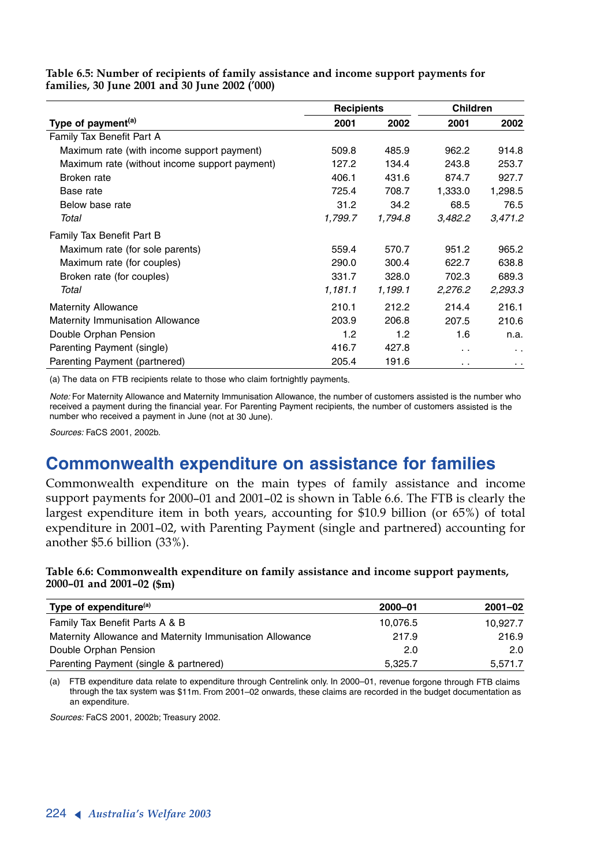**Table 6.5: Number of recipients of family assistance and income support payments for families, 30 June 2001 and 30 June 2002 ('000)**

| <b>Recipients</b>                             |         | <b>Children</b> |         |                      |
|-----------------------------------------------|---------|-----------------|---------|----------------------|
| Type of payment <sup>(a)</sup>                | 2001    | 2002            | 2001    | 2002                 |
| Family Tax Benefit Part A                     |         |                 |         |                      |
| Maximum rate (with income support payment)    | 509.8   | 485.9           | 962.2   | 914.8                |
| Maximum rate (without income support payment) | 127.2   | 134.4           | 243.8   | 253.7                |
| Broken rate                                   | 406.1   | 431.6           | 874.7   | 927.7                |
| Base rate                                     | 725.4   | 708.7           | 1,333.0 | 1,298.5              |
| Below base rate                               | 31.2    | 34.2            | 68.5    | 76.5                 |
| Total                                         | 1,799.7 | 1,794.8         | 3,482.2 | 3,471.2              |
| <b>Family Tax Benefit Part B</b>              |         |                 |         |                      |
| Maximum rate (for sole parents)               | 559.4   | 570.7           | 951.2   | 965.2                |
| Maximum rate (for couples)                    | 290.0   | 300.4           | 622.7   | 638.8                |
| Broken rate (for couples)                     | 331.7   | 328.0           | 702.3   | 689.3                |
| Total                                         | 1,181.1 | 1,199.1         | 2,276.2 | 2,293.3              |
| <b>Maternity Allowance</b>                    | 210.1   | 212.2           | 214.4   | 216.1                |
| Maternity Immunisation Allowance              | 203.9   | 206.8           | 207.5   | 210.6                |
| Double Orphan Pension                         | 1.2     | 1.2             | 1.6     | n.a.                 |
| Parenting Payment (single)                    | 416.7   | 427.8           | . .     | $\ddot{\phantom{0}}$ |
| Parenting Payment (partnered)                 | 205.4   | 191.6           | . .     | $\ddot{\phantom{1}}$ |

(a) The data on FTB recipients relate to those who claim fortnightly payments.

*Note:* For Maternity Allowance and Maternity Immunisation Allowance, the number of customers assisted is the number who received a payment during the financial year. For Parenting Payment recipients, the number of customers assisted is the number who received a payment in June (not at 30 June).

*Sources:* FaCS 2001, 2002b.

# **Commonwealth expenditure on assistance for families**

Commonwealth expenditure on the main types of family assistance and income support payments for 2000–01 and 2001–02 is shown in Table 6.6. The FTB is clearly the largest expenditure item in both years, accounting for \$10.9 billion (or 65%) of total expenditure in 2001–02, with Parenting Payment (single and partnered) accounting for another \$5.6 billion (33%).

#### **Table 6.6: Commonwealth expenditure on family assistance and income support payments, 2000–01 and 2001–02 (\$m)**

| 2000-01  | $2001 - 02$ |
|----------|-------------|
| 10,076.5 | 10.927.7    |
| 217.9    | 216.9       |
| 2.0      | 2.0         |
| 5.325.7  | 5,571.7     |
|          |             |

(a) FTB expenditure data relate to expenditure through Centrelink only. In 2000–01, revenue forgone through FTB claims through the tax system was \$11m. From 2001–02 onwards, these claims are recorded in the budget documentation as an expenditure.

*Sources:* FaCS 2001, 2002b; Treasury 2002.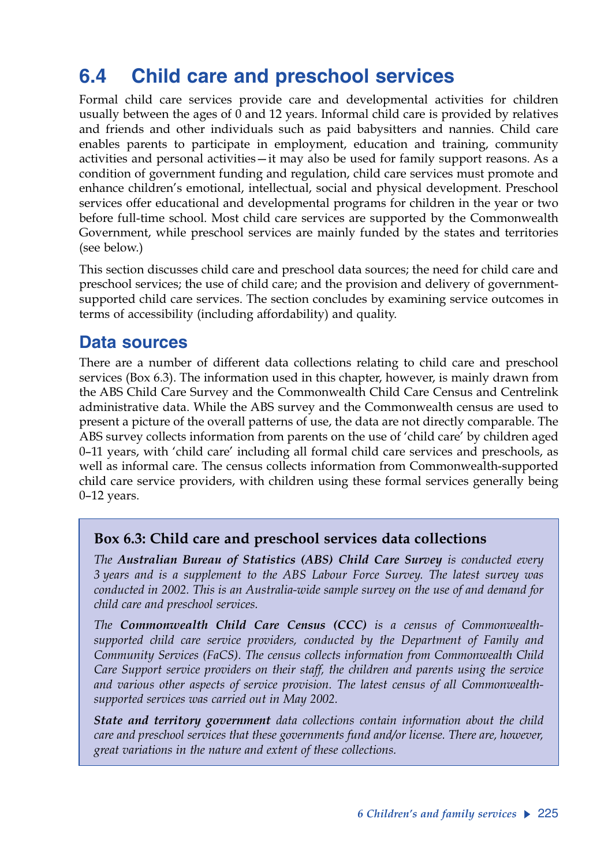# **6.4 Child care and preschool services**

Formal child care services provide care and developmental activities for children usually between the ages of 0 and 12 years. Informal child care is provided by relatives and friends and other individuals such as paid babysitters and nannies. Child care enables parents to participate in employment, education and training, community activities and personal activities—it may also be used for family support reasons. As a condition of government funding and regulation, child care services must promote and enhance children's emotional, intellectual, social and physical development. Preschool services offer educational and developmental programs for children in the year or two before full-time school. Most child care services are supported by the Commonwealth Government, while preschool services are mainly funded by the states and territories (see below.)

This section discusses child care and preschool data sources; the need for child care and preschool services; the use of child care; and the provision and delivery of governmentsupported child care services. The section concludes by examining service outcomes in terms of accessibility (including affordability) and quality.

## **Data sources**

There are a number of different data collections relating to child care and preschool services (Box 6.3). The information used in this chapter, however, is mainly drawn from the ABS Child Care Survey and the Commonwealth Child Care Census and Centrelink administrative data. While the ABS survey and the Commonwealth census are used to present a picture of the overall patterns of use, the data are not directly comparable. The ABS survey collects information from parents on the use of 'child care' by children aged 0–11 years, with 'child care' including all formal child care services and preschools, as well as informal care. The census collects information from Commonwealth-supported child care service providers, with children using these formal services generally being 0–12 years.

### **Box 6.3: Child care and preschool services data collections**

*The Australian Bureau of Statistics (ABS) Child Care Survey is conducted every 3 years and is a supplement to the ABS Labour Force Survey. The latest survey was conducted in 2002. This is an Australia-wide sample survey on the use of and demand for child care and preschool services.* 

*The Commonwealth Child Care Census (CCC) is a census of Commonwealthsupported child care service providers, conducted by the Department of Family and Community Services (FaCS). The census collects information from Commonwealth Child Care Support service providers on their staff, the children and parents using the service and various other aspects of service provision. The latest census of all Commonwealthsupported services was carried out in May 2002.* 

*State and territory government data collections contain information about the child care and preschool services that these governments fund and/or license. There are, however, great variations in the nature and extent of these collections.*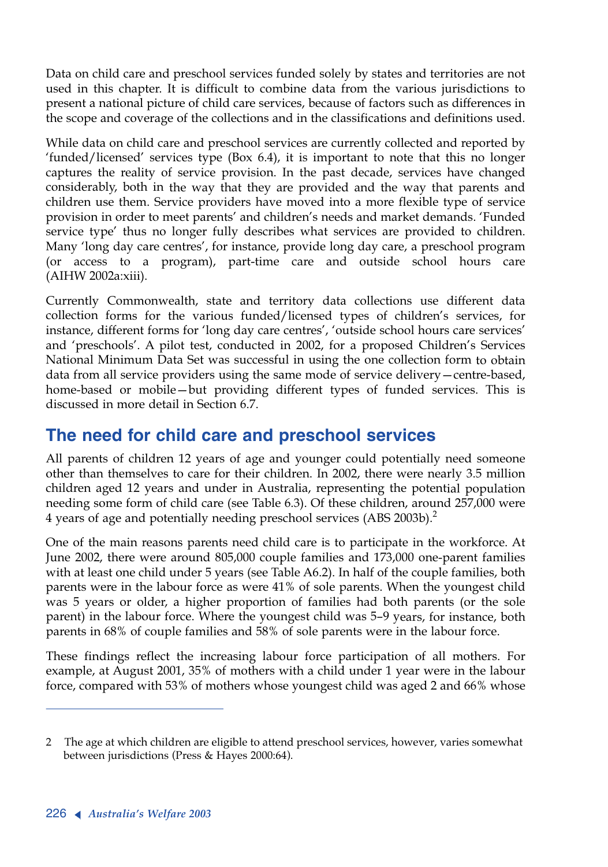Data on child care and preschool services funded solely by states and territories are not used in this chapter. It is difficult to combine data from the various jurisdictions to present a national picture of child care services, because of factors such as differences in the scope and coverage of the collections and in the classifications and definitions used.

While data on child care and preschool services are currently collected and reported by 'funded/licensed' services type (Box 6.4), it is important to note that this no longer captures the reality of service provision. In the past decade, services have changed considerably, both in the way that they are provided and the way that parents and children use them. Service providers have moved into a more flexible type of service provision in order to meet parents' and children's needs and market demands. 'Funded service type' thus no longer fully describes what services are provided to children. Many 'long day care centres', for instance, provide long day care, a preschool program (or access to a program), part-time care and outside school hours care (AIHW 2002a:xiii).

Currently Commonwealth, state and territory data collections use different data collection forms for the various funded/licensed types of children's services, for instance, different forms for 'long day care centres', 'outside school hours care services' and 'preschools'. A pilot test, conducted in 2002, for a proposed Children's Services National Minimum Data Set was successful in using the one collection form to obtain data from all service providers using the same mode of service delivery—centre-based, home-based or mobile—but providing different types of funded services. This is discussed in more detail in Section 6.7.

# **The need for child care and preschool services**

All parents of children 12 years of age and younger could potentially need someone other than themselves to care for their children. In 2002, there were nearly 3.5 million children aged 12 years and under in Australia, representing the potential population needing some form of child care (see Table 6.3). Of these children, around 257,000 were 4 years of age and potentially needing preschool services (ABS 2003b).<sup>2</sup>

One of the main reasons parents need child care is to participate in the workforce. At June 2002, there were around 805,000 couple families and 173,000 one-parent families with at least one child under 5 years (see Table A6.2). In half of the couple families, both parents were in the labour force as were 41% of sole parents. When the youngest child was 5 years or older, a higher proportion of families had both parents (or the sole parent) in the labour force. Where the youngest child was 5–9 years, for instance, both parents in 68% of couple families and 58% of sole parents were in the labour force.

These findings reflect the increasing labour force participation of all mothers. For example, at August 2001, 35% of mothers with a child under 1 year were in the labour force, compared with 53% of mothers whose youngest child was aged 2 and 66% whose

<sup>2</sup> The age at which children are eligible to attend preschool services, however, varies somewhat between jurisdictions (Press & Hayes 2000:64).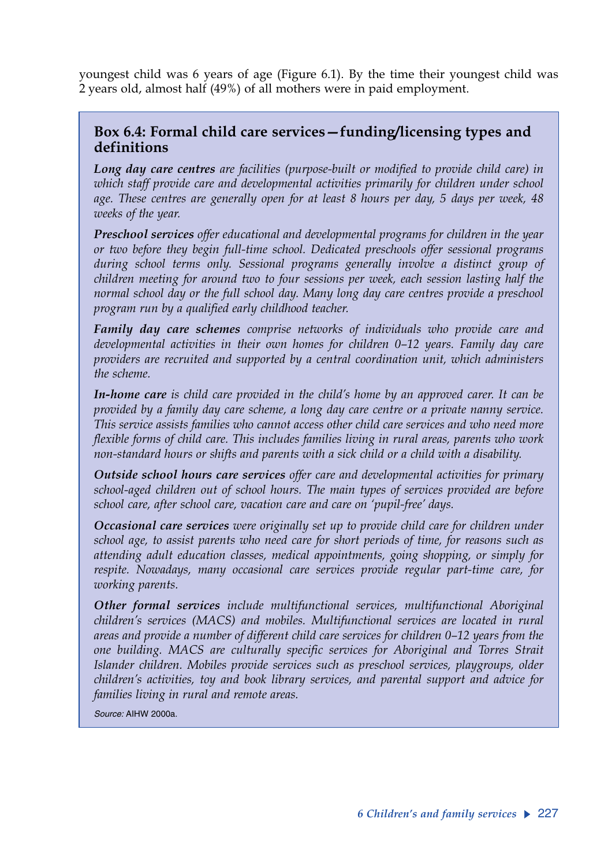youngest child was 6 years of age (Figure 6.1). By the time their youngest child was 2 years old, almost half (49%) of all mothers were in paid employment.

### **Box 6.4: Formal child care services—funding/licensing types and definitions**

*Long day care centres are facilities (purpose-built or modified to provide child care) in which staff provide care and developmental activities primarily for children under school age. These centres are generally open for at least 8 hours per day, 5 days per week, 48 weeks of the year.*

*Preschool services offer educational and developmental programs for children in the year or two before they begin full-time school. Dedicated preschools offer sessional programs during school terms only. Sessional programs generally involve a distinct group of children meeting for around two to four sessions per week, each session lasting half the normal school day or the full school day. Many long day care centres provide a preschool program run by a qualified early childhood teacher.*

*Family day care schemes comprise networks of individuals who provide care and developmental activities in their own homes for children 0–12 years. Family day care providers are recruited and supported by a central coordination unit, which administers the scheme.* 

*In-home care is child care provided in the child's home by an approved carer. It can be provided by a family day care scheme, a long day care centre or a private nanny service. This service assists families who cannot access other child care services and who need more flexible forms of child care. This includes families living in rural areas, parents who work non-standard hours or shifts and parents with a sick child or a child with a disability.*

*Outside school hours care services offer care and developmental activities for primary school-aged children out of school hours. The main types of services provided are before school care, after school care, vacation care and care on 'pupil-free' days.*

*Occasional care services were originally set up to provide child care for children under school age, to assist parents who need care for short periods of time, for reasons such as attending adult education classes, medical appointments, going shopping, or simply for respite. Nowadays, many occasional care services provide regular part-time care, for working parents.*

*Other formal services include multifunctional services, multifunctional Aboriginal children's services (MACS) and mobiles. Multifunctional services are located in rural areas and provide a number of different child care services for children 0–12 years from the one building. MACS are culturally specific services for Aboriginal and Torres Strait Islander children. Mobiles provide services such as preschool services, playgroups, older children's activities, toy and book library services, and parental support and advice for families living in rural and remote areas.*

*Source:* AIHW 2000a.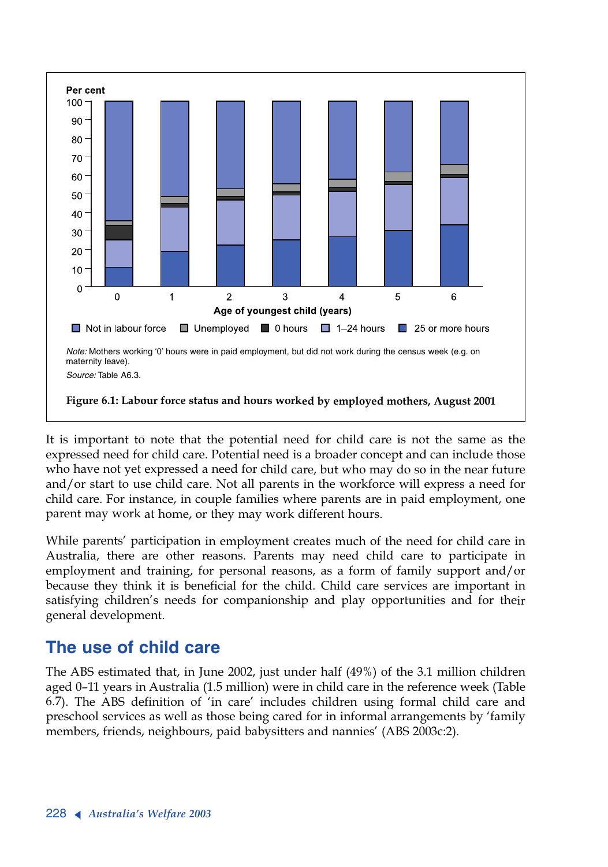

It is important to note that the potential need for child care is not the same as the expressed need for child care. Potential need is a broader concept and can include those who have not yet expressed a need for child care, but who may do so in the near future and/or start to use child care. Not all parents in the workforce will express a need for child care. For instance, in couple families where parents are in paid employment, one parent may work at home, or they may work different hours.

While parents' participation in employment creates much of the need for child care in Australia, there are other reasons. Parents may need child care to participate in employment and training, for personal reasons, as a form of family support and/or because they think it is beneficial for the child. Child care services are important in satisfying children's needs for companionship and play opportunities and for their general development.

# **The use of child care**

The ABS estimated that, in June 2002, just under half (49%) of the 3.1 million children aged 0–11 years in Australia (1.5 million) were in child care in the reference week (Table 6.7). The ABS definition of 'in care' includes children using formal child care and preschool services as well as those being cared for in informal arrangements by 'family members, friends, neighbours, paid babysitters and nannies' (ABS 2003c:2).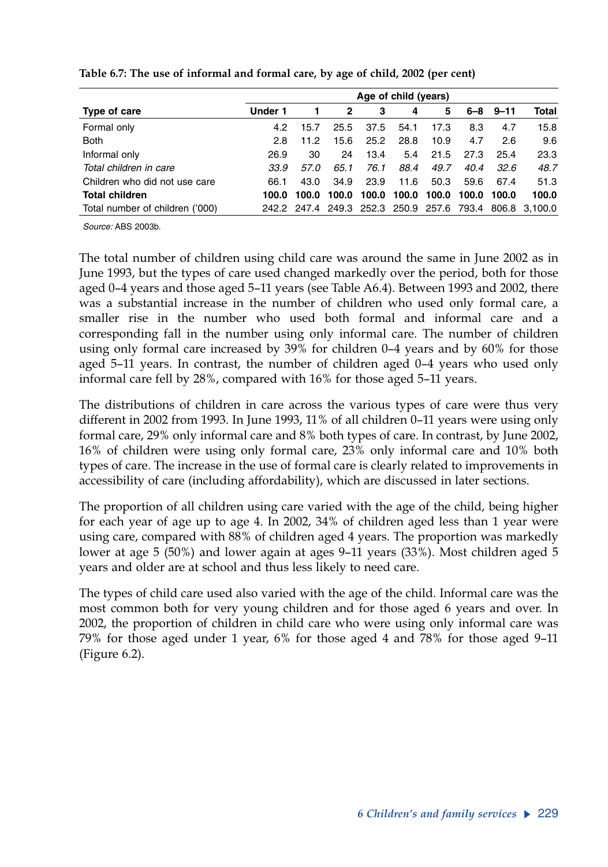|                                 | Age of child (years) |       |       |       |       |       |       |              |                                                         |
|---------------------------------|----------------------|-------|-------|-------|-------|-------|-------|--------------|---------------------------------------------------------|
| Type of care                    | Under 1              |       | 2     | 3     | 4     | 5     |       | $6 - 8$ 9-11 | Total                                                   |
| Formal only                     | 4.2                  | 15.7  | 25.5  | 37.5  | 54.1  | 17.3  | 8.3   | 4.7          | 15.8                                                    |
| <b>Both</b>                     | 2.8                  | 11.2  | 15.6  | 25.2  | 28.8  | 10.9  | 4.7   | 2.6          | 9.6                                                     |
| Informal only                   | 26.9                 | 30    | 24    | 13.4  | 5.4   | 21.5  | 27.3  | 25.4         | 23.3                                                    |
| Total children in care          | 33.9                 | 57.0  | 65.1  | 76.1  | 88.4  | 49.7  | 40.4  | 32.6         | 48.7                                                    |
| Children who did not use care   | 66.1                 | 43.0  | 34.9  | 23.9  | 11.6  | 50.3  | 59.6  | 67.4         | 51.3                                                    |
| <b>Total children</b>           | 100.0                | 100.0 | 100.0 | 100.0 | 100.0 | 100.0 | 100.0 | 100.0        | 100.0                                                   |
| Total number of children ('000) |                      |       |       |       |       |       |       |              | 242.2 247.4 249.3 252.3 250.9 257.6 793.4 806.8 3.100.0 |

**Table 6.7: The use of informal and formal care, by age of child, 2002 (per cent)**

*Source:* ABS 2003b.

The total number of children using child care was around the same in June 2002 as in June 1993, but the types of care used changed markedly over the period, both for those aged 0–4 years and those aged 5–11 years (see Table A6.4). Between 1993 and 2002, there was a substantial increase in the number of children who used only formal care, a smaller rise in the number who used both formal and informal care and a corresponding fall in the number using only informal care. The number of children using only formal care increased by 39% for children 0–4 years and by 60% for those aged 5–11 years. In contrast, the number of children aged 0–4 years who used only informal care fell by 28%, compared with 16% for those aged 5–11 years.

The distributions of children in care across the various types of care were thus very different in 2002 from 1993. In June 1993, 11% of all children 0–11 years were using only formal care, 29% only informal care and 8% both types of care. In contrast, by June 2002, 16% of children were using only formal care, 23% only informal care and 10% both types of care. The increase in the use of formal care is clearly related to improvements in accessibility of care (including affordability), which are discussed in later sections.

The proportion of all children using care varied with the age of the child, being higher for each year of age up to age 4. In 2002, 34% of children aged less than 1 year were using care, compared with 88% of children aged 4 years. The proportion was markedly lower at age 5 (50%) and lower again at ages 9–11 years (33%). Most children aged 5 years and older are at school and thus less likely to need care.

The types of child care used also varied with the age of the child. Informal care was the most common both for very young children and for those aged 6 years and over. In 2002, the proportion of children in child care who were using only informal care was 79% for those aged under 1 year, 6% for those aged 4 and 78% for those aged 9–11 (Figure 6.2).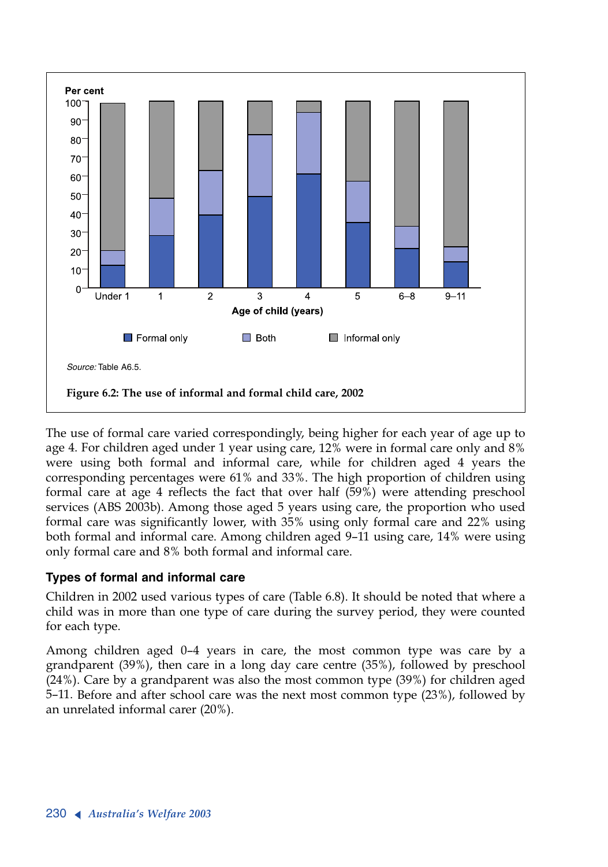

The use of formal care varied correspondingly, being higher for each year of age up to age 4. For children aged under 1 year using care, 12% were in formal care only and 8% were using both formal and informal care, while for children aged 4 years the corresponding percentages were 61% and 33%. The high proportion of children using formal care at age 4 reflects the fact that over half (59%) were attending preschool services (ABS 2003b). Among those aged 5 years using care, the proportion who used formal care was significantly lower, with 35% using only formal care and 22% using both formal and informal care. Among children aged 9–11 using care, 14% were using only formal care and 8% both formal and informal care.

### **Types of formal and informal care**

Children in 2002 used various types of care (Table 6.8). It should be noted that where a child was in more than one type of care during the survey period, they were counted for each type.

Among children aged 0–4 years in care, the most common type was care by a grandparent (39%), then care in a long day care centre (35%), followed by preschool (24%). Care by a grandparent was also the most common type (39%) for children aged 5–11. Before and after school care was the next most common type (23%), followed by an unrelated informal carer (20%).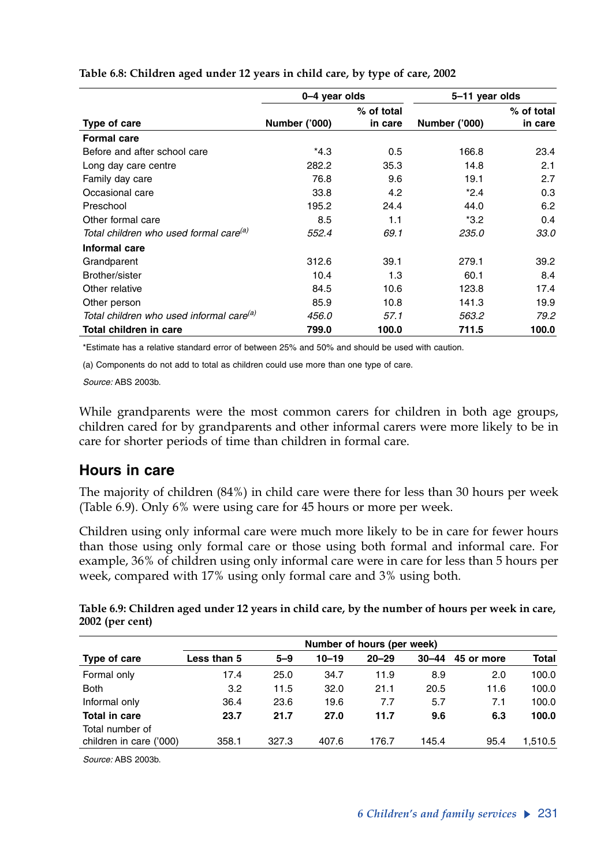|                                                      | 0-4 year olds        |            | 5-11 year olds       |            |  |
|------------------------------------------------------|----------------------|------------|----------------------|------------|--|
|                                                      |                      | % of total |                      | % of total |  |
| Type of care                                         | <b>Number ('000)</b> | in care    | <b>Number ('000)</b> | in care    |  |
| <b>Formal care</b>                                   |                      |            |                      |            |  |
| Before and after school care                         | *4.3                 | 0.5        | 166.8                | 23.4       |  |
| Long day care centre                                 | 282.2                | 35.3       | 14.8                 | 2.1        |  |
| Family day care                                      | 76.8                 | 9.6        | 19.1                 | 2.7        |  |
| Occasional care                                      | 33.8                 | 4.2        | $*2.4$               | 0.3        |  |
| Preschool                                            | 195.2                | 24.4       | 44.0                 | 6.2        |  |
| Other formal care                                    | 8.5                  | 1.1        | $*3.2$               | 0.4        |  |
| Total children who used formal care <sup>(a)</sup>   | 552.4                | 69.1       | 235.0                | 33.0       |  |
| Informal care                                        |                      |            |                      |            |  |
| Grandparent                                          | 312.6                | 39.1       | 279.1                | 39.2       |  |
| Brother/sister                                       | 10.4                 | 1.3        | 60.1                 | 8.4        |  |
| Other relative                                       | 84.5                 | 10.6       | 123.8                | 17.4       |  |
| Other person                                         | 85.9                 | 10.8       | 141.3                | 19.9       |  |
| Total children who used informal care <sup>(a)</sup> | 456.0                | 57.1       | 563.2                | 79.2       |  |
| Total children in care                               | 799.0                | 100.0      | 711.5                | 100.0      |  |

**Table 6.8: Children aged under 12 years in child care, by type of care, 2002**

\*Estimate has a relative standard error of between 25% and 50% and should be used with caution.

(a) Components do not add to total as children could use more than one type of care.

*Source:* ABS 2003b.

While grandparents were the most common carers for children in both age groups, children cared for by grandparents and other informal carers were more likely to be in care for shorter periods of time than children in formal care.

### **Hours in care**

The majority of children (84%) in child care were there for less than 30 hours per week (Table 6.9). Only 6% were using care for 45 hours or more per week.

Children using only informal care were much more likely to be in care for fewer hours than those using only formal care or those using both formal and informal care. For example, 36% of children using only informal care were in care for less than 5 hours per week, compared with 17% using only formal care and 3% using both.

| Table 6.9: Children aged under 12 years in child care, by the number of hours per week in care, |  |
|-------------------------------------------------------------------------------------------------|--|
| 2002 (per cent)                                                                                 |  |

|                         | Number of hours (per week) |         |           |           |           |            |              |  |  |
|-------------------------|----------------------------|---------|-----------|-----------|-----------|------------|--------------|--|--|
| Type of care            | Less than 5                | $5 - 9$ | $10 - 19$ | $20 - 29$ | $30 - 44$ | 45 or more | <b>Total</b> |  |  |
| Formal only             | 17.4                       | 25.0    | 34.7      | 11.9      | 8.9       | 2.0        | 100.0        |  |  |
| <b>Both</b>             | 3.2                        | 11.5    | 32.0      | 21.1      | 20.5      | 11.6       | 100.0        |  |  |
| Informal only           | 36.4                       | 23.6    | 19.6      | 7.7       | 5.7       | 7.1        | 100.0        |  |  |
| <b>Total in care</b>    | 23.7                       | 21.7    | 27.0      | 11.7      | 9.6       | 6.3        | 100.0        |  |  |
| Total number of         |                            |         |           |           |           |            |              |  |  |
| children in care ('000) | 358.1                      | 327.3   | 407.6     | 176.7     | 145.4     | 95.4       | 1,510.5      |  |  |

*Source:* ABS 2003b.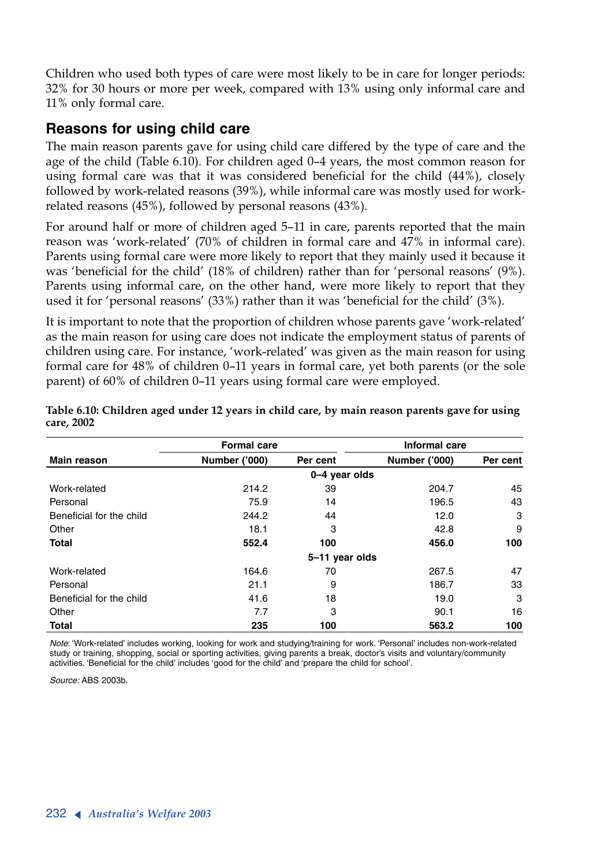Children who used both types of care were most likely to be in care for longer periods: 32% for 30 hours or more per week, compared with 13% using only informal care and 11% only formal care.

### **Reasons for using child care**

The main reason parents gave for using child care differed by the type of care and the age of the child (Table 6.10). For children aged 0–4 years, the most common reason for using formal care was that it was considered beneficial for the child (44%), closely followed by work-related reasons (39%), while informal care was mostly used for workrelated reasons (45%), followed by personal reasons (43%).

For around half or more of children aged 5–11 in care, parents reported that the main reason was 'work-related' (70% of children in formal care and 47% in informal care). Parents using formal care were more likely to report that they mainly used it because it was 'beneficial for the child' (18% of children) rather than for 'personal reasons' (9%). Parents using informal care, on the other hand, were more likely to report that they used it for 'personal reasons' (33%) rather than it was 'beneficial for the child' (3%).

It is important to note that the proportion of children whose parents gave 'work-related' as the main reason for using care does not indicate the employment status of parents of children using care. For instance, 'work-related' was given as the main reason for using formal care for 48% of children 0–11 years in formal care, yet both parents (or the sole parent) of 60% of children 0–11 years using formal care were employed.

|                          | <b>Formal care</b>   |                | Informal care        |          |  |
|--------------------------|----------------------|----------------|----------------------|----------|--|
| <b>Main reason</b>       | <b>Number ('000)</b> | Per cent       | <b>Number ('000)</b> | Per cent |  |
|                          |                      | 0-4 year olds  |                      |          |  |
| Work-related             | 214.2                | 39             | 204.7                | 45       |  |
| Personal                 | 75.9                 | 14             | 196.5                | 43       |  |
| Beneficial for the child | 244.2                | 44             | 12.0                 | 3        |  |
| Other                    | 18.1                 | 3              | 42.8                 | 9        |  |
| <b>Total</b>             | 552.4                | 100            | 456.0                | 100      |  |
|                          |                      | 5-11 year olds |                      |          |  |
| Work-related             | 164.6                | 70             | 267.5                | 47       |  |
| Personal                 | 21.1                 | 9              | 186.7                | 33       |  |
| Beneficial for the child | 41.6                 | 18             | 19.0                 | 3        |  |
| Other                    | 7.7                  | 3              | 90.1                 | 16       |  |
| <b>Total</b>             | 235                  | 100            | 563.2                | 100      |  |

**Table 6.10: Children aged under 12 years in child care, by main reason parents gave for using care, 2002**

*Note*: 'Work-related' includes working, looking for work and studying/training for work. 'Personal' includes non-work-related study or training, shopping, social or sporting activities, giving parents a break, doctor's visits and voluntary/community activities. 'Beneficial for the child' includes 'good for the child' and 'prepare the child for school'.

*Source:* ABS 2003b.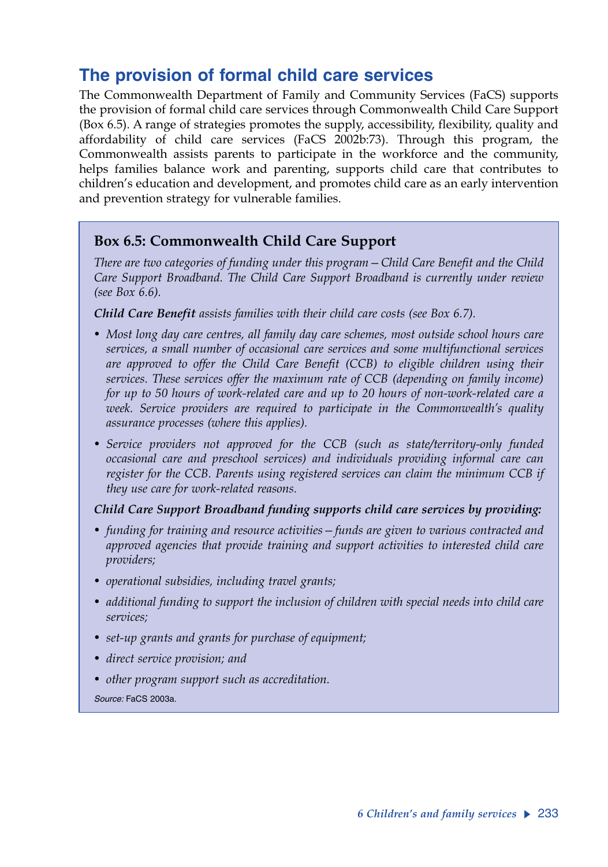# **The provision of formal child care services**

The Commonwealth Department of Family and Community Services (FaCS) supports the provision of formal child care services through Commonwealth Child Care Support (Box 6.5). A range of strategies promotes the supply, accessibility, flexibility, quality and affordability of child care services (FaCS 2002b:73). Through this program, the Commonwealth assists parents to participate in the workforce and the community, helps families balance work and parenting, supports child care that contributes to children's education and development, and promotes child care as an early intervention and prevention strategy for vulnerable families.

### **Box 6.5: Commonwealth Child Care Support**

*There are two categories of funding under this program—Child Care Benefit and the Child Care Support Broadband. The Child Care Support Broadband is currently under review (see Box 6.6).*

*Child Care Benefit assists families with their child care costs (see Box 6.7).* 

- *Most long day care centres, all family day care schemes, most outside school hours care services, a small number of occasional care services and some multifunctional services are approved to offer the Child Care Benefit (CCB) to eligible children using their services. These services offer the maximum rate of CCB (depending on family income) for up to 50 hours of work-related care and up to 20 hours of non-work-related care a week. Service providers are required to participate in the Commonwealth's quality assurance processes (where this applies).*
- *Service providers not approved for the CCB (such as state/territory-only funded occasional care and preschool services) and individuals providing informal care can register for the CCB. Parents using registered services can claim the minimum CCB if they use care for work-related reasons.*

### *Child Care Support Broadband funding supports child care services by providing:*

- *funding for training and resource activities—funds are given to various contracted and approved agencies that provide training and support activities to interested child care providers;*
- *operational subsidies, including travel grants;*
- *additional funding to support the inclusion of children with special needs into child care services;*
- *set-up grants and grants for purchase of equipment;*
- *direct service provision; and*
- *other program support such as accreditation.*

*Source:* FaCS 2003a.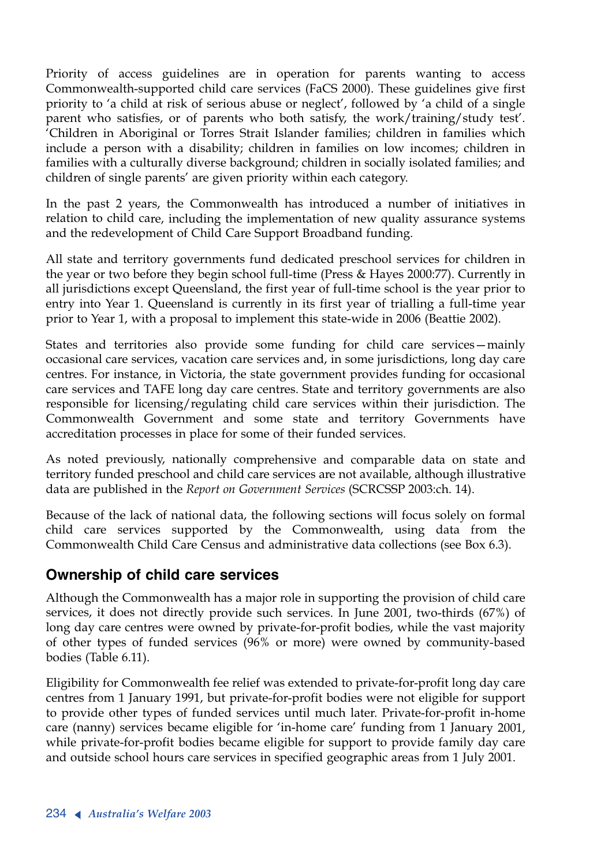Priority of access guidelines are in operation for parents wanting to access Commonwealth-supported child care services (FaCS 2000). These guidelines give first priority to 'a child at risk of serious abuse or neglect', followed by 'a child of a single parent who satisfies, or of parents who both satisfy, the work/training/study test'. 'Children in Aboriginal or Torres Strait Islander families; children in families which include a person with a disability; children in families on low incomes; children in families with a culturally diverse background; children in socially isolated families; and children of single parents' are given priority within each category.

In the past 2 years, the Commonwealth has introduced a number of initiatives in relation to child care, including the implementation of new quality assurance systems and the redevelopment of Child Care Support Broadband funding.

All state and territory governments fund dedicated preschool services for children in the year or two before they begin school full-time (Press & Hayes 2000:77). Currently in all jurisdictions except Queensland, the first year of full-time school is the year prior to entry into Year 1. Queensland is currently in its first year of trialling a full-time year prior to Year 1, with a proposal to implement this state-wide in 2006 (Beattie 2002).

States and territories also provide some funding for child care services—mainly occasional care services, vacation care services and, in some jurisdictions, long day care centres. For instance, in Victoria, the state government provides funding for occasional care services and TAFE long day care centres. State and territory governments are also responsible for licensing/regulating child care services within their jurisdiction. The Commonwealth Government and some state and territory Governments have accreditation processes in place for some of their funded services.

As noted previously, nationally comprehensive and comparable data on state and territory funded preschool and child care services are not available, although illustrative data are published in the *Report on Government Services* (SCRCSSP 2003:ch. 14).

Because of the lack of national data, the following sections will focus solely on formal child care services supported by the Commonwealth, using data from the Commonwealth Child Care Census and administrative data collections (see Box 6.3).

### **Ownership of child care services**

Although the Commonwealth has a major role in supporting the provision of child care services, it does not directly provide such services. In June 2001, two-thirds (67%) of long day care centres were owned by private-for-profit bodies, while the vast majority of other types of funded services (96% or more) were owned by community-based bodies (Table 6.11).

Eligibility for Commonwealth fee relief was extended to private-for-profit long day care centres from 1 January 1991, but private-for-profit bodies were not eligible for support to provide other types of funded services until much later. Private-for-profit in-home care (nanny) services became eligible for 'in-home care' funding from 1 January 2001, while private-for-profit bodies became eligible for support to provide family day care and outside school hours care services in specified geographic areas from 1 July 2001.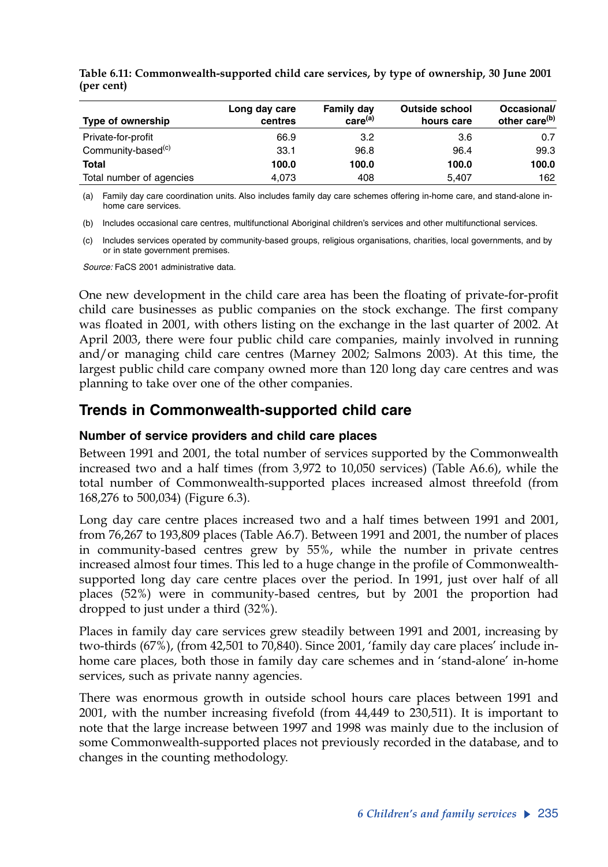| Type of ownership              | Long day care<br>centres | Family day<br>care <sup>(a)</sup> | <b>Outside school</b><br>hours care | Occasional/<br>other care <sup>(b)</sup> |
|--------------------------------|--------------------------|-----------------------------------|-------------------------------------|------------------------------------------|
| Private-for-profit             | 66.9                     | 3.2                               | 3.6                                 | 0.7                                      |
| Community-based <sup>(c)</sup> | 33.1                     | 96.8                              | 96.4                                | 99.3                                     |
| Total                          | 100.0                    | 100.0                             | 100.0                               | 100.0                                    |
| Total number of agencies       | 4.073                    | 408                               | 5.407                               | 162                                      |

**Table 6.11: Commonwealth-supported child care services, by type of ownership, 30 June 2001 (per cent)**

(a) Family day care coordination units. Also includes family day care schemes offering in-home care, and stand-alone inhome care services.

(b) Includes occasional care centres, multifunctional Aboriginal children's services and other multifunctional services.

(c) Includes services operated by community-based groups, religious organisations, charities, local governments, and by or in state government premises.

*Source:* FaCS 2001 administrative data.

One new development in the child care area has been the floating of private-for-profit child care businesses as public companies on the stock exchange. The first company was floated in 2001, with others listing on the exchange in the last quarter of 2002. At April 2003, there were four public child care companies, mainly involved in running and/or managing child care centres (Marney 2002; Salmons 2003). At this time, the largest public child care company owned more than 120 long day care centres and was planning to take over one of the other companies.

### **Trends in Commonwealth-supported child care**

### **Number of service providers and child care places**

Between 1991 and 2001, the total number of services supported by the Commonwealth increased two and a half times (from 3,972 to 10,050 services) (Table A6.6), while the total number of Commonwealth-supported places increased almost threefold (from 168,276 to 500,034) (Figure 6.3).

Long day care centre places increased two and a half times between 1991 and 2001, from 76,267 to 193,809 places (Table A6.7). Between 1991 and 2001, the number of places in community-based centres grew by 55%, while the number in private centres increased almost four times. This led to a huge change in the profile of Commonwealthsupported long day care centre places over the period. In 1991, just over half of all places (52%) were in community-based centres, but by 2001 the proportion had dropped to just under a third (32%).

Places in family day care services grew steadily between 1991 and 2001, increasing by two-thirds (67%), (from 42,501 to 70,840). Since 2001, 'family day care places' include inhome care places, both those in family day care schemes and in 'stand-alone' in-home services, such as private nanny agencies.

There was enormous growth in outside school hours care places between 1991 and 2001, with the number increasing fivefold (from 44,449 to 230,511). It is important to note that the large increase between 1997 and 1998 was mainly due to the inclusion of some Commonwealth-supported places not previously recorded in the database, and to changes in the counting methodology.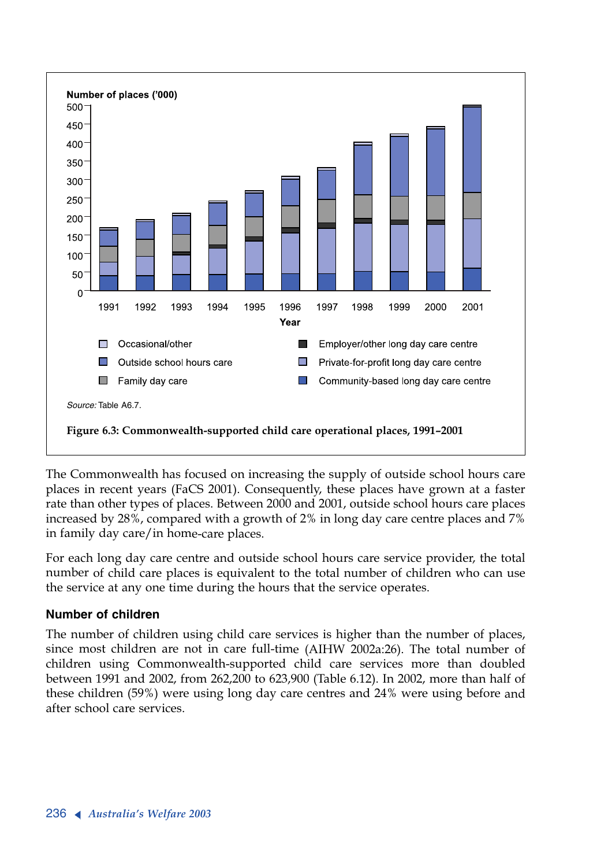

The Commonwealth has focused on increasing the supply of outside school hours care places in recent years (FaCS 2001). Consequently, these places have grown at a faster rate than other types of places. Between 2000 and 2001, outside school hours care places increased by 28%, compared with a growth of 2% in long day care centre places and 7% in family day care/in home-care places.

For each long day care centre and outside school hours care service provider, the total number of child care places is equivalent to the total number of children who can use the service at any one time during the hours that the service operates.

### **Number of children**

The number of children using child care services is higher than the number of places, since most children are not in care full-time (AIHW 2002a:26). The total number of children using Commonwealth-supported child care services more than doubled between 1991 and 2002, from 262,200 to 623,900 (Table 6.12). In 2002, more than half of these children (59%) were using long day care centres and 24% were using before and after school care services.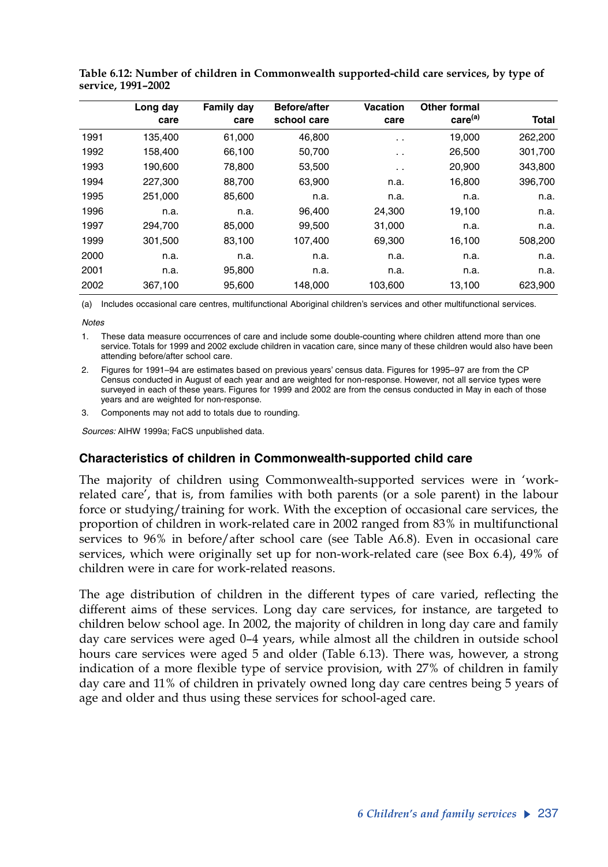|      | Long day | <b>Family day</b> | <b>Before/after</b> | <b>Vacation</b> | Other formal        |         |
|------|----------|-------------------|---------------------|-----------------|---------------------|---------|
|      | care     | care              | school care         | care            | care <sup>(a)</sup> | Total   |
| 1991 | 135.400  | 61.000            | 46,800              | $\sim$ $\sim$   | 19,000              | 262,200 |
| 1992 | 158,400  | 66,100            | 50,700              | $\sim$ $\sim$   | 26,500              | 301,700 |
| 1993 | 190.600  | 78.800            | 53,500              | $\sim$ $\sim$   | 20,900              | 343.800 |
| 1994 | 227,300  | 88,700            | 63,900              | n.a.            | 16,800              | 396,700 |
| 1995 | 251,000  | 85,600            | n.a.                | n.a.            | n.a.                | n.a.    |
| 1996 | n.a.     | n.a.              | 96.400              | 24,300          | 19,100              | n.a.    |
| 1997 | 294.700  | 85,000            | 99,500              | 31,000          | n.a.                | n.a.    |
| 1999 | 301.500  | 83,100            | 107,400             | 69,300          | 16,100              | 508,200 |
| 2000 | n.a.     | n.a.              | n.a.                | n.a.            | n.a.                | n.a.    |
| 2001 | n.a.     | 95,800            | n.a.                | n.a.            | n.a.                | n.a.    |
| 2002 | 367,100  | 95,600            | 148,000             | 103,600         | 13,100              | 623,900 |

**Table 6.12: Number of children in Commonwealth supported-child care services, by type of service, 1991–2002**

(a) Includes occasional care centres, multifunctional Aboriginal children's services and other multifunctional services.

*Notes*

1. These data measure occurrences of care and include some double-counting where children attend more than one service. Totals for 1999 and 2002 exclude children in vacation care, since many of these children would also have been attending before/after school care.

2. Figures for 1991–94 are estimates based on previous years' census data. Figures for 1995–97 are from the CP Census conducted in August of each year and are weighted for non-response. However, not all service types were surveyed in each of these years. Figures for 1999 and 2002 are from the census conducted in May in each of those years and are weighted for non-response.

3. Components may not add to totals due to rounding.

*Sources:* AIHW 1999a; FaCS unpublished data.

### **Characteristics of children in Commonwealth-supported child care**

The majority of children using Commonwealth-supported services were in 'workrelated care', that is, from families with both parents (or a sole parent) in the labour force or studying/training for work. With the exception of occasional care services, the proportion of children in work-related care in 2002 ranged from 83% in multifunctional services to 96% in before/after school care (see Table A6.8). Even in occasional care services, which were originally set up for non-work-related care (see Box 6.4), 49% of children were in care for work-related reasons.

The age distribution of children in the different types of care varied, reflecting the different aims of these services. Long day care services, for instance, are targeted to children below school age. In 2002, the majority of children in long day care and family day care services were aged 0–4 years, while almost all the children in outside school hours care services were aged 5 and older (Table 6.13). There was, however, a strong indication of a more flexible type of service provision, with 27% of children in family day care and 11% of children in privately owned long day care centres being 5 years of age and older and thus using these services for school-aged care.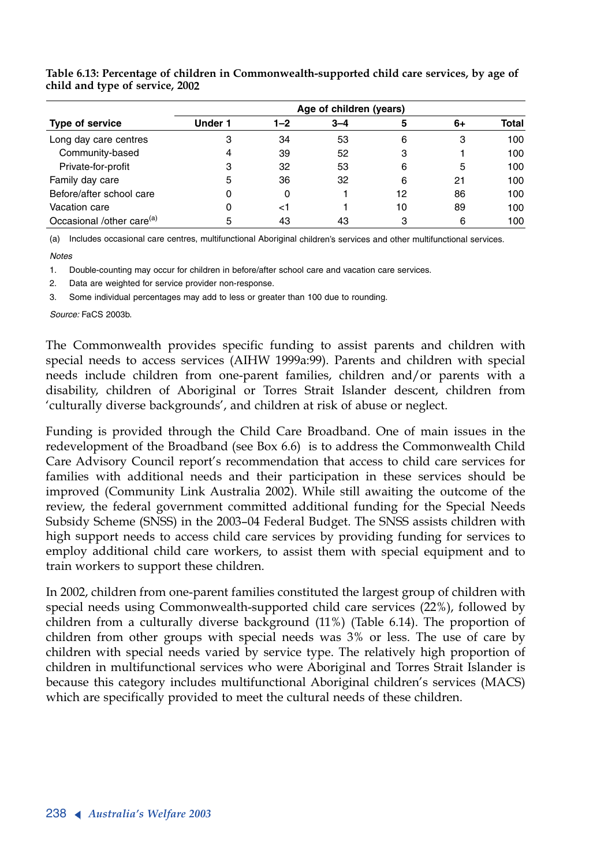|                                       | Age of children (years) |         |         |    |    |       |  |  |  |  |  |
|---------------------------------------|-------------------------|---------|---------|----|----|-------|--|--|--|--|--|
| <b>Type of service</b>                | <b>Under 1</b>          | $1 - 2$ | $3 - 4$ | 5  | 6+ | Total |  |  |  |  |  |
| Long day care centres                 | 3                       | 34      | 53      | 6  | 3  | 100   |  |  |  |  |  |
| Community-based                       | 4                       | 39      | 52      | 3  |    | 100   |  |  |  |  |  |
| Private-for-profit                    | 3                       | 32      | 53      | 6  | 5  | 100   |  |  |  |  |  |
| Family day care                       | 5                       | 36      | 32      | 6  | 21 | 100   |  |  |  |  |  |
| Before/after school care              | 0                       | 0       |         | 12 | 86 | 100   |  |  |  |  |  |
| Vacation care                         | 0                       | ا>      |         | 10 | 89 | 100   |  |  |  |  |  |
| Occasional /other care <sup>(a)</sup> | 5                       | 43      | 43      | 3  | 6  | 100   |  |  |  |  |  |

**Table 6.13: Percentage of children in Commonwealth-supported child care services, by age of child and type of service, 2002** 

(a) Includes occasional care centres, multifunctional Aboriginal children's services and other multifunctional services.

*Notes*

1. Double-counting may occur for children in before/after school care and vacation care services.

2. Data are weighted for service provider non-response.

3. Some individual percentages may add to less or greater than 100 due to rounding.

*Source:* FaCS 2003b.

The Commonwealth provides specific funding to assist parents and children with special needs to access services (AIHW 1999a:99). Parents and children with special needs include children from one-parent families, children and/or parents with a disability, children of Aboriginal or Torres Strait Islander descent, children from 'culturally diverse backgrounds', and children at risk of abuse or neglect.

Funding is provided through the Child Care Broadband. One of main issues in the redevelopment of the Broadband (see Box 6.6) is to address the Commonwealth Child Care Advisory Council report's recommendation that access to child care services for families with additional needs and their participation in these services should be improved (Community Link Australia 2002). While still awaiting the outcome of the review, the federal government committed additional funding for the Special Needs Subsidy Scheme (SNSS) in the 2003–04 Federal Budget. The SNSS assists children with high support needs to access child care services by providing funding for services to employ additional child care workers, to assist them with special equipment and to train workers to support these children.

In 2002, children from one-parent families constituted the largest group of children with special needs using Commonwealth-supported child care services (22%), followed by children from a culturally diverse background (11%) (Table 6.14). The proportion of children from other groups with special needs was 3% or less. The use of care by children with special needs varied by service type. The relatively high proportion of children in multifunctional services who were Aboriginal and Torres Strait Islander is because this category includes multifunctional Aboriginal children's services (MACS) which are specifically provided to meet the cultural needs of these children.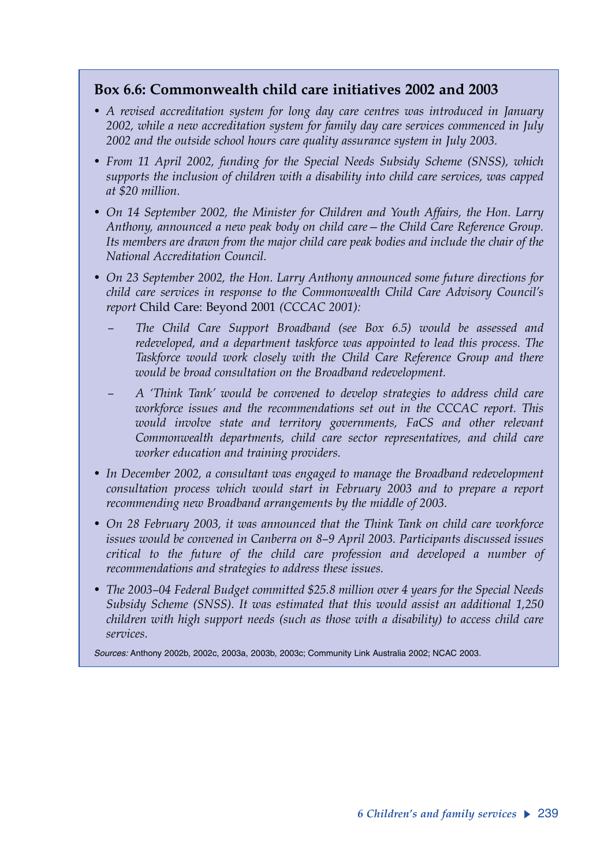### **Box 6.6: Commonwealth child care initiatives 2002 and 2003**

- *A revised accreditation system for long day care centres was introduced in January 2002, while a new accreditation system for family day care services commenced in July 2002 and the outside school hours care quality assurance system in July 2003.*
- *From 11 April 2002, funding for the Special Needs Subsidy Scheme (SNSS), which supports the inclusion of children with a disability into child care services, was capped at \$20 million.*
- *On 14 September 2002, the Minister for Children and Youth Affairs, the Hon. Larry Anthony, announced a new peak body on child care—the Child Care Reference Group. Its members are drawn from the major child care peak bodies and include the chair of the National Accreditation Council.*
- *On 23 September 2002, the Hon. Larry Anthony announced some future directions for child care services in response to the Commonwealth Child Care Advisory Council's report* Child Care: Beyond 2001 *(CCCAC 2001):*
	- *The Child Care Support Broadband (see Box 6.5) would be assessed and redeveloped, and a department taskforce was appointed to lead this process. The Taskforce would work closely with the Child Care Reference Group and there would be broad consultation on the Broadband redevelopment.*
	- *A 'Think Tank' would be convened to develop strategies to address child care workforce issues and the recommendations set out in the CCCAC report. This would involve state and territory governments, FaCS and other relevant Commonwealth departments, child care sector representatives, and child care worker education and training providers.*
- *In December 2002, a consultant was engaged to manage the Broadband redevelopment consultation process which would start in February 2003 and to prepare a report recommending new Broadband arrangements by the middle of 2003.*
- *On 28 February 2003, it was announced that the Think Tank on child care workforce issues would be convened in Canberra on 8–9 April 2003. Participants discussed issues critical to the future of the child care profession and developed a number of recommendations and strategies to address these issues.*
- *The 2003–04 Federal Budget committed \$25.8 million over 4 years for the Special Needs Subsidy Scheme (SNSS). It was estimated that this would assist an additional 1,250 children with high support needs (such as those with a disability) to access child care services.*

*Sources:* Anthony 2002b, 2002c, 2003a, 2003b, 2003c; Community Link Australia 2002; NCAC 2003.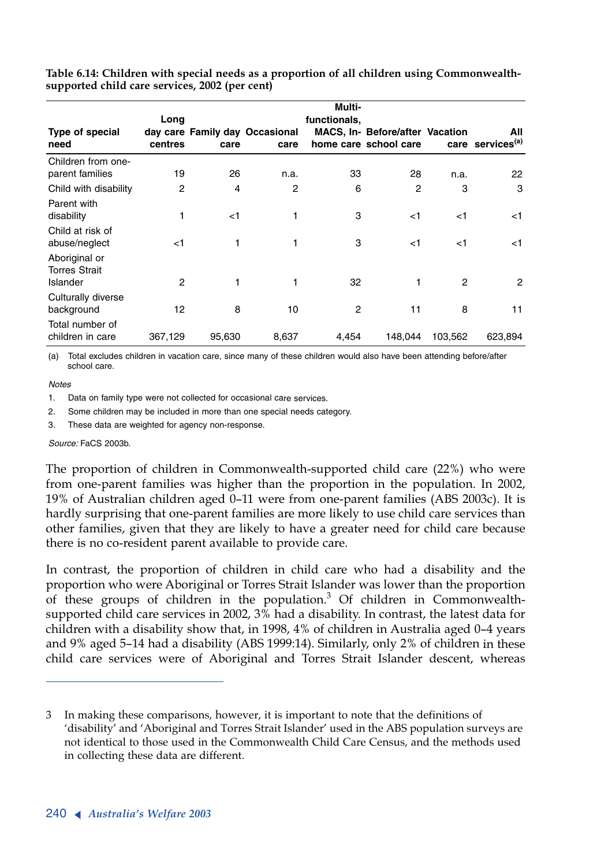|                                                     | Long    |        |                                        | Multi-<br>functionals, |                                                                 |         |                                     |
|-----------------------------------------------------|---------|--------|----------------------------------------|------------------------|-----------------------------------------------------------------|---------|-------------------------------------|
| Type of special<br>need                             | centres | care   | day care Family day Occasional<br>care |                        | <b>MACS, In- Before/after Vacation</b><br>home care school care |         | All<br>care services <sup>(a)</sup> |
| Children from one-<br>parent families               | 19      | 26     | n.a.                                   | 33                     | 28                                                              | n.a.    | 22                                  |
| Child with disability                               | 2       | 4      | 2                                      | 6                      | 2                                                               | 3       | 3                                   |
| Parent with<br>disability                           | 1       | $<$ 1  | 1                                      | 3                      | $<$ 1                                                           | $<$ 1   | $<$ 1                               |
| Child at risk of<br>abuse/neglect<br>Aboriginal or  | $<$ 1   | 1      | 1                                      | 3                      | $<$ 1                                                           | $<$ 1   | $<$ 1                               |
| <b>Torres Strait</b><br>Islander                    | 2       | 1      | 1                                      | 32                     | 1                                                               | 2       | $\overline{2}$                      |
| Culturally diverse<br>background<br>Total number of | 12      | 8      | 10                                     | 2                      | 11                                                              | 8       | 11                                  |
| children in care                                    | 367,129 | 95,630 | 8,637                                  | 4,454                  | 148,044                                                         | 103,562 | 623,894                             |

**Table 6.14: Children with special needs as a proportion of all children using Commonwealthsupported child care services, 2002 (per cent)**

(a) Total excludes children in vacation care, since many of these children would also have been attending before/after school care.

#### *Notes*

1. Data on family type were not collected for occasional care services.

2. Some children may be included in more than one special needs category.

3. These data are weighted for agency non-response.

*Source:* FaCS 2003b.

The proportion of children in Commonwealth-supported child care (22%) who were from one-parent families was higher than the proportion in the population. In 2002, 19% of Australian children aged 0–11 were from one-parent families (ABS 2003c). It is hardly surprising that one-parent families are more likely to use child care services than other families, given that they are likely to have a greater need for child care because there is no co-resident parent available to provide care.

In contrast, the proportion of children in child care who had a disability and the proportion who were Aboriginal or Torres Strait Islander was lower than the proportion of these groups of children in the population.<sup>3</sup> Of children in Commonwealthsupported child care services in 2002, 3% had a disability. In contrast, the latest data for children with a disability show that, in 1998, 4% of children in Australia aged 0–4 years and 9% aged 5–14 had a disability (ABS 1999:14). Similarly, only 2% of children in these child care services were of Aboriginal and Torres Strait Islander descent, whereas

<sup>3</sup> In making these comparisons, however, it is important to note that the definitions of 'disability' and 'Aboriginal and Torres Strait Islander' used in the ABS population surveys are not identical to those used in the Commonwealth Child Care Census, and the methods used in collecting these data are different.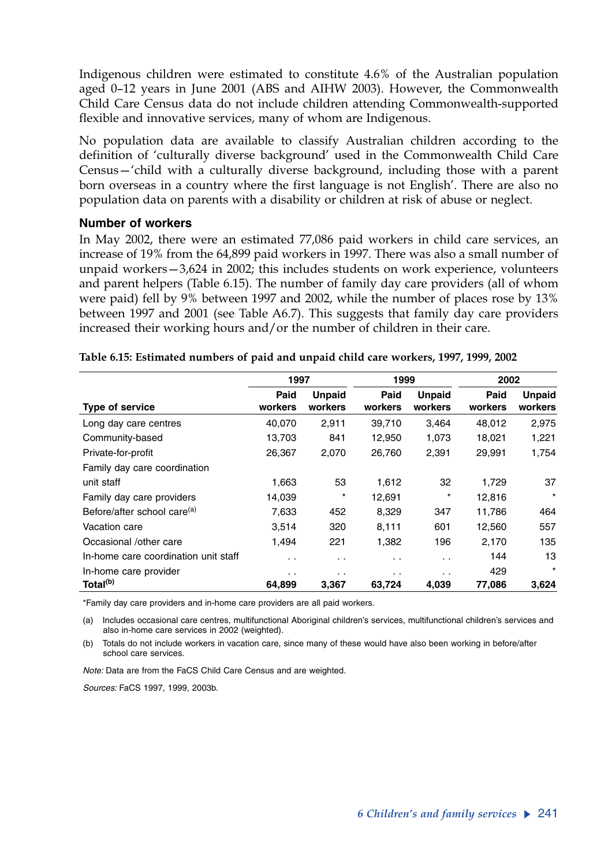Indigenous children were estimated to constitute 4.6% of the Australian population aged 0–12 years in June 2001 (ABS and AIHW 2003). However, the Commonwealth Child Care Census data do not include children attending Commonwealth-supported flexible and innovative services, many of whom are Indigenous.

No population data are available to classify Australian children according to the definition of 'culturally diverse background' used in the Commonwealth Child Care Census—'child with a culturally diverse background, including those with a parent born overseas in a country where the first language is not English'. There are also no population data on parents with a disability or children at risk of abuse or neglect.

### **Number of workers**

In May 2002, there were an estimated 77,086 paid workers in child care services, an increase of 19% from the 64,899 paid workers in 1997. There was also a small number of unpaid workers—3,624 in 2002; this includes students on work experience, volunteers and parent helpers (Table 6.15). The number of family day care providers (all of whom were paid) fell by 9% between 1997 and 2002, while the number of places rose by 13% between 1997 and 2001 (see Table A6.7). This suggests that family day care providers increased their working hours and/or the number of children in their care.

|                                         | 1997            |                          | 1999            |                          | 2002            |                          |  |
|-----------------------------------------|-----------------|--------------------------|-----------------|--------------------------|-----------------|--------------------------|--|
| Type of service                         | Paid<br>workers | <b>Unpaid</b><br>workers | Paid<br>workers | <b>Unpaid</b><br>workers | Paid<br>workers | <b>Unpaid</b><br>workers |  |
| Long day care centres                   | 40,070          | 2,911                    | 39,710          | 3,464                    | 48,012          | 2,975                    |  |
| Community-based                         | 13,703          | 841                      | 12,950          | 1,073                    | 18,021          | 1,221                    |  |
| Private-for-profit                      | 26.367          | 2,070                    | 26,760          | 2,391                    | 29,991          | 1,754                    |  |
| Family day care coordination            |                 |                          |                 |                          |                 |                          |  |
| unit staff                              | 1,663           | 53                       | 1,612           | 32                       | 1,729           | 37                       |  |
| Family day care providers               | 14,039          | $\star$                  | 12,691          | $^{\star}$               | 12,816          | $\star$                  |  |
| Before/after school care <sup>(a)</sup> | 7,633           | 452                      | 8,329           | 347                      | 11,786          | 464                      |  |
| Vacation care                           | 3,514           | 320                      | 8,111           | 601                      | 12,560          | 557                      |  |
| Occasional /other care                  | 1.494           | 221                      | 1.382           | 196                      | 2,170           | 135                      |  |
| In-home care coordination unit staff    | . .             | $\cdot$ .                | . .             | $\ddotsc$                | 144             | 13                       |  |
| In-home care provider                   | . .             | $\cdot$ .                | $\cdot$ .       | $\cdot$ .                | 429             | $\star$                  |  |
| Total <sup>(b)</sup>                    | 64.899          | 3,367                    | 63,724          | 4,039                    | 77,086          | 3,624                    |  |

|  | Table 6.15: Estimated numbers of paid and unpaid child care workers, 1997, 1999, 2002 |  |  |  |  |
|--|---------------------------------------------------------------------------------------|--|--|--|--|
|  |                                                                                       |  |  |  |  |

\*Family day care providers and in-home care providers are all paid workers.

(a) Includes occasional care centres, multifunctional Aboriginal children's services, multifunctional children's services and also in-home care services in 2002 (weighted).

(b) Totals do not include workers in vacation care, since many of these would have also been working in before/after school care services.

*Note:* Data are from the FaCS Child Care Census and are weighted.

*Sources:* FaCS 1997, 1999, 2003b.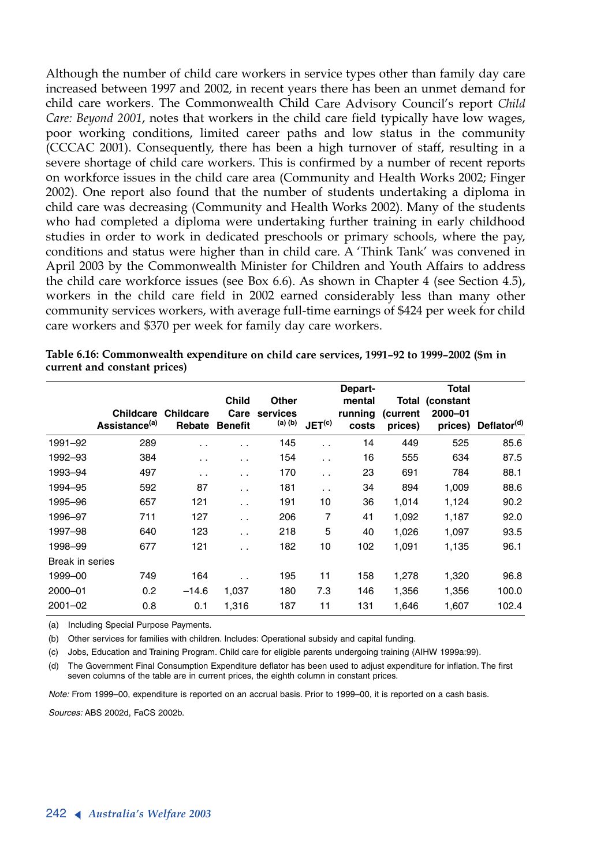Although the number of child care workers in service types other than family day care increased between 1997 and 2002, in recent years there has been an unmet demand for child care workers. The Commonwealth Child Care Advisory Council's report *Child Care: Beyond 2001*, notes that workers in the child care field typically have low wages, poor working conditions, limited career paths and low status in the community (CCCAC 2001). Consequently, there has been a high turnover of staff, resulting in a severe shortage of child care workers. This is confirmed by a number of recent reports on workforce issues in the child care area (Community and Health Works 2002; Finger 2002). One report also found that the number of students undertaking a diploma in child care was decreasing (Community and Health Works 2002). Many of the students who had completed a diploma were undertaking further training in early childhood studies in order to work in dedicated preschools or primary schools, where the pay, conditions and status were higher than in child care. A 'Think Tank' was convened in April 2003 by the Commonwealth Minister for Children and Youth Affairs to address the child care workforce issues (see Box 6.6). As shown in Chapter 4 (see Section 4.5), workers in the child care field in 2002 earned considerably less than many other community services workers, with average full-time earnings of \$424 per week for child care workers and \$370 per week for family day care workers.

|                 |                           |                                      | <b>Child</b>           | Other               |                      | Depart-<br>mental |                     | <b>Total</b><br>Total (constant |                                 |
|-----------------|---------------------------|--------------------------------------|------------------------|---------------------|----------------------|-------------------|---------------------|---------------------------------|---------------------------------|
|                 | Assistance <sup>(a)</sup> | <b>Childcare Childcare</b><br>Rebate | Care<br><b>Benefit</b> | services<br>(a) (b) | JET <sup>(c)</sup>   | running<br>costs  | (current<br>prices) | 2000-01                         | prices) Deflator <sup>(d)</sup> |
| 1991-92         | 289                       | $\ddot{\phantom{1}}$                 | $\ddotsc$              | 145                 | $\ddot{\phantom{0}}$ | 14                | 449                 | 525                             | 85.6                            |
| 1992-93         | 384                       | . .                                  | $\cdot$ .              | 154                 | $\cdot$ .            | 16                | 555                 | 634                             | 87.5                            |
| 1993-94         | 497                       | $\ddot{\phantom{1}}$                 | . .                    | 170                 | $\ddot{\phantom{a}}$ | 23                | 691                 | 784                             | 88.1                            |
| 1994-95         | 592                       | 87                                   | $\ddot{\phantom{0}}$   | 181                 | $\ddot{\phantom{a}}$ | 34                | 894                 | 1,009                           | 88.6                            |
| 1995-96         | 657                       | 121                                  | . .                    | 191                 | 10                   | 36                | 1,014               | 1,124                           | 90.2                            |
| 1996-97         | 711                       | 127                                  | $\ddot{\phantom{0}}$   | 206                 | 7                    | 41                | 1,092               | 1,187                           | 92.0                            |
| 1997-98         | 640                       | 123                                  | $\cdot$ .              | 218                 | 5                    | 40                | 1.026               | 1.097                           | 93.5                            |
| 1998-99         | 677                       | 121                                  | $\ddot{\phantom{0}}$   | 182                 | 10                   | 102               | 1,091               | 1,135                           | 96.1                            |
| Break in series |                           |                                      |                        |                     |                      |                   |                     |                                 |                                 |
| 1999-00         | 749                       | 164                                  |                        | 195                 | 11                   | 158               | 1,278               | 1,320                           | 96.8                            |
| $2000 - 01$     | 0.2                       | $-14.6$                              | 1,037                  | 180                 | 7.3                  | 146               | 1,356               | 1,356                           | 100.0                           |
| $2001 - 02$     | 0.8                       | 0.1                                  | 1,316                  | 187                 | 11                   | 131               | 1,646               | 1,607                           | 102.4                           |

**Table 6.16: Commonwealth expenditure on child care services, 1991–92 to 1999–2002 (\$m in current and constant prices)**

(a) Including Special Purpose Payments.

(b) Other services for families with children. Includes: Operational subsidy and capital funding.

(c) Jobs, Education and Training Program. Child care for eligible parents undergoing training (AIHW 1999a:99).

(d) The Government Final Consumption Expenditure deflator has been used to adjust expenditure for inflation. The first seven columns of the table are in current prices, the eighth column in constant prices.

*Note:* From 1999–00, expenditure is reported on an accrual basis. Prior to 1999–00, it is reported on a cash basis.

*Sources:* ABS 2002d, FaCS 2002b.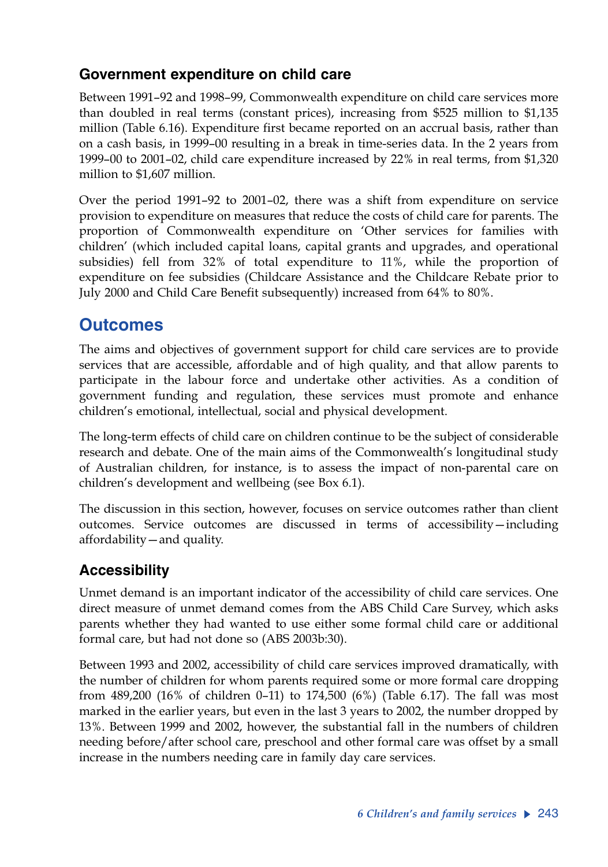## **Government expenditure on child care**

Between 1991–92 and 1998–99, Commonwealth expenditure on child care services more than doubled in real terms (constant prices), increasing from \$525 million to \$1,135 million (Table 6.16). Expenditure first became reported on an accrual basis, rather than on a cash basis, in 1999–00 resulting in a break in time-series data. In the 2 years from 1999–00 to 2001–02, child care expenditure increased by 22% in real terms, from \$1,320 million to \$1,607 million.

Over the period 1991–92 to 2001–02, there was a shift from expenditure on service provision to expenditure on measures that reduce the costs of child care for parents. The proportion of Commonwealth expenditure on 'Other services for families with children' (which included capital loans, capital grants and upgrades, and operational subsidies) fell from 32% of total expenditure to 11%, while the proportion of expenditure on fee subsidies (Childcare Assistance and the Childcare Rebate prior to July 2000 and Child Care Benefit subsequently) increased from 64% to 80%.

# **Outcomes**

The aims and objectives of government support for child care services are to provide services that are accessible, affordable and of high quality, and that allow parents to participate in the labour force and undertake other activities. As a condition of government funding and regulation, these services must promote and enhance children's emotional, intellectual, social and physical development.

The long-term effects of child care on children continue to be the subject of considerable research and debate. One of the main aims of the Commonwealth's longitudinal study of Australian children, for instance, is to assess the impact of non-parental care on children's development and wellbeing (see Box 6.1).

The discussion in this section, however, focuses on service outcomes rather than client outcomes. Service outcomes are discussed in terms of accessibility—including affordability—and quality.

## **Accessibility**

Unmet demand is an important indicator of the accessibility of child care services. One direct measure of unmet demand comes from the ABS Child Care Survey, which asks parents whether they had wanted to use either some formal child care or additional formal care, but had not done so (ABS 2003b:30).

Between 1993 and 2002, accessibility of child care services improved dramatically, with the number of children for whom parents required some or more formal care dropping from 489,200 (16% of children 0–11) to 174,500 (6%) (Table 6.17). The fall was most marked in the earlier years, but even in the last 3 years to 2002, the number dropped by 13%. Between 1999 and 2002, however, the substantial fall in the numbers of children needing before/after school care, preschool and other formal care was offset by a small increase in the numbers needing care in family day care services.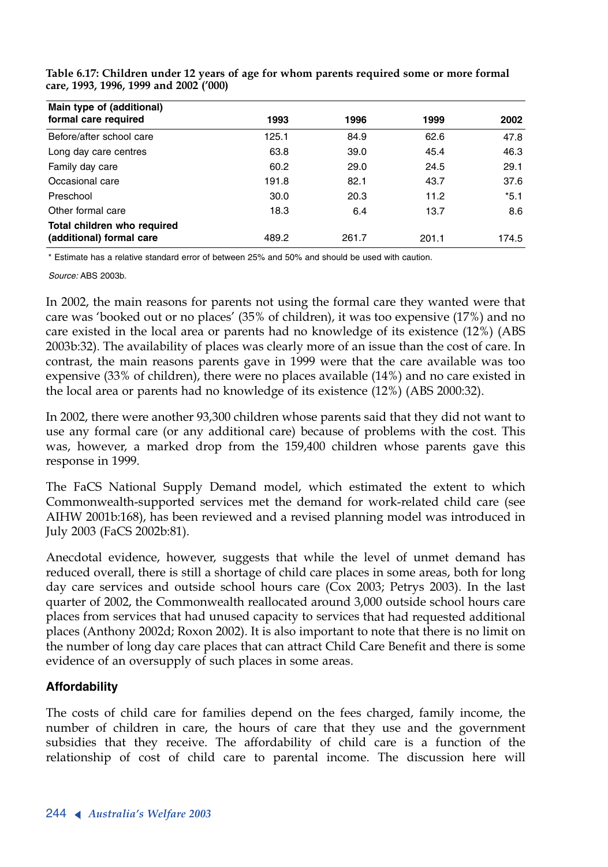| Main type of (additional)<br>formal care required | 1993  | 1996  | 1999  | 2002   |
|---------------------------------------------------|-------|-------|-------|--------|
|                                                   |       |       |       |        |
| Before/after school care                          | 125.1 | 84.9  | 62.6  | 47.8   |
| Long day care centres                             | 63.8  | 39.0  | 45.4  | 46.3   |
| Family day care                                   | 60.2  | 29.0  | 24.5  | 29.1   |
| Occasional care                                   | 191.8 | 82.1  | 43.7  | 37.6   |
| Preschool                                         | 30.0  | 20.3  | 11.2  | $*5.1$ |
| Other formal care                                 | 18.3  | 6.4   | 13.7  | 8.6    |
| Total children who required                       |       |       |       |        |
| (additional) formal care                          | 489.2 | 261.7 | 201.1 | 174.5  |

**Table 6.17: Children under 12 years of age for whom parents required some or more formal care, 1993, 1996, 1999 and 2002 ('000)**

\* Estimate has a relative standard error of between 25% and 50% and should be used with caution.

*Source:* ABS 2003b.

In 2002, the main reasons for parents not using the formal care they wanted were that care was 'booked out or no places' (35% of children), it was too expensive (17%) and no care existed in the local area or parents had no knowledge of its existence (12%) (ABS 2003b:32). The availability of places was clearly more of an issue than the cost of care. In contrast, the main reasons parents gave in 1999 were that the care available was too expensive (33% of children), there were no places available (14%) and no care existed in the local area or parents had no knowledge of its existence (12%) (ABS 2000:32).

In 2002, there were another 93,300 children whose parents said that they did not want to use any formal care (or any additional care) because of problems with the cost. This was, however, a marked drop from the 159,400 children whose parents gave this response in 1999.

The FaCS National Supply Demand model, which estimated the extent to which Commonwealth-supported services met the demand for work-related child care (see AIHW 2001b:168), has been reviewed and a revised planning model was introduced in July 2003 (FaCS 2002b:81).

Anecdotal evidence, however, suggests that while the level of unmet demand has reduced overall, there is still a shortage of child care places in some areas, both for long day care services and outside school hours care (Cox 2003; Petrys 2003). In the last quarter of 2002, the Commonwealth reallocated around 3,000 outside school hours care places from services that had unused capacity to services that had requested additional places (Anthony 2002d; Roxon 2002). It is also important to note that there is no limit on the number of long day care places that can attract Child Care Benefit and there is some evidence of an oversupply of such places in some areas.

### **Affordability**

The costs of child care for families depend on the fees charged, family income, the number of children in care, the hours of care that they use and the government subsidies that they receive. The affordability of child care is a function of the relationship of cost of child care to parental income. The discussion here will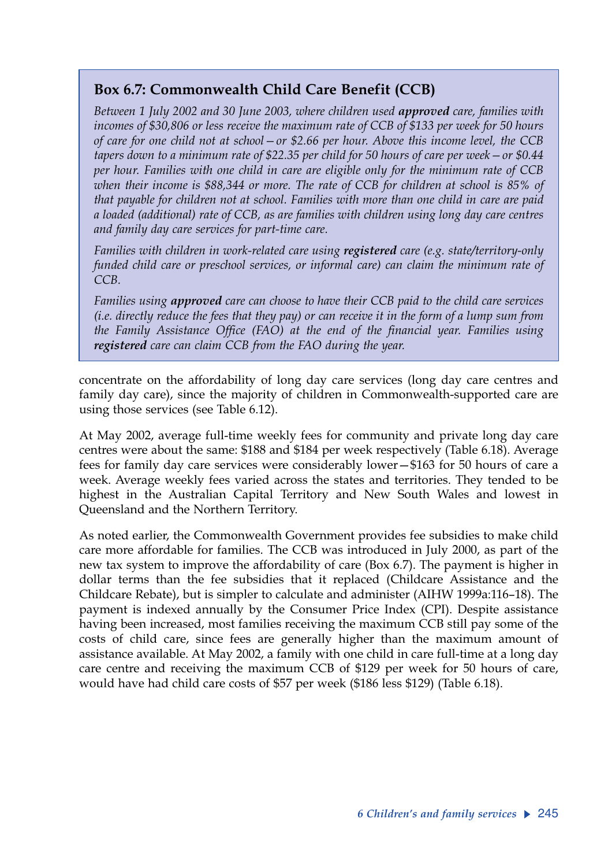## **Box 6.7: Commonwealth Child Care Benefit (CCB)**

*Between 1 July 2002 and 30 June 2003, where children used approved care, families with incomes of \$30,806 or less receive the maximum rate of CCB of \$133 per week for 50 hours of care for one child not at school—or \$2.66 per hour. Above this income level, the CCB tapers down to a minimum rate of \$22.35 per child for 50 hours of care per week—or \$0.44 per hour. Families with one child in care are eligible only for the minimum rate of CCB when their income is \$88,344 or more. The rate of CCB for children at school is 85% of that payable for children not at school. Families with more than one child in care are paid a loaded (additional) rate of CCB, as are families with children using long day care centres and family day care services for part-time care.* 

*Families with children in work-related care using registered care (e.g. state/territory-only funded child care or preschool services, or informal care) can claim the minimum rate of CCB.* 

*Families using approved care can choose to have their CCB paid to the child care services (i.e. directly reduce the fees that they pay) or can receive it in the form of a lump sum from the Family Assistance Office (FAO) at the end of the financial year. Families using registered care can claim CCB from the FAO during the year.*

concentrate on the affordability of long day care services (long day care centres and family day care), since the majority of children in Commonwealth-supported care are using those services (see Table 6.12).

At May 2002, average full-time weekly fees for community and private long day care centres were about the same: \$188 and \$184 per week respectively (Table 6.18). Average fees for family day care services were considerably lower—\$163 for 50 hours of care a week. Average weekly fees varied across the states and territories. They tended to be highest in the Australian Capital Territory and New South Wales and lowest in Queensland and the Northern Territory.

As noted earlier, the Commonwealth Government provides fee subsidies to make child care more affordable for families. The CCB was introduced in July 2000, as part of the new tax system to improve the affordability of care (Box 6.7). The payment is higher in dollar terms than the fee subsidies that it replaced (Childcare Assistance and the Childcare Rebate), but is simpler to calculate and administer (AIHW 1999a:116–18). The payment is indexed annually by the Consumer Price Index (CPI). Despite assistance having been increased, most families receiving the maximum CCB still pay some of the costs of child care, since fees are generally higher than the maximum amount of assistance available. At May 2002, a family with one child in care full-time at a long day care centre and receiving the maximum CCB of \$129 per week for 50 hours of care, would have had child care costs of \$57 per week (\$186 less \$129) (Table 6.18).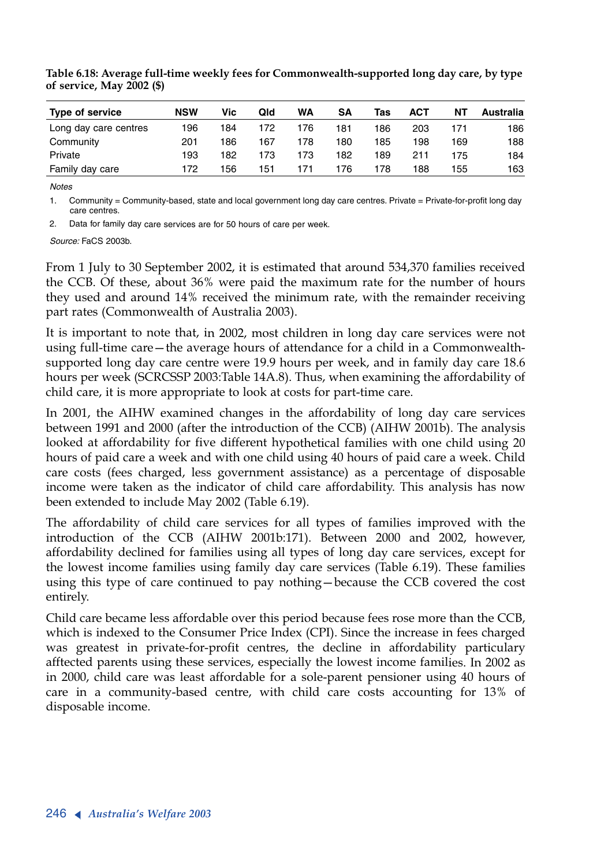| <b>Type of service</b> | <b>NSW</b> | Vic | Qld | WA  | SΑ  | Tas | ACT | ΝT  | Australia |
|------------------------|------------|-----|-----|-----|-----|-----|-----|-----|-----------|
| Long day care centres  | 196        | 184 | 172 | 176 | 181 | 186 | 203 | 171 | 186       |
| Community              | 201        | 186 | 167 | 178 | 180 | 185 | 198 | 169 | 188       |
| Private                | 193        | 182 | 173 | 173 | 182 | 189 | 211 | 175 | 184       |
| Family day care        | 172        | 156 | 151 | 171 | 176 | 178 | 188 | 155 | 163       |

**Table 6.18: Average full-time weekly fees for Commonwealth-supported long day care, by type of service, May 2002 (\$)** 

*Notes*

1. Community = Community-based, state and local government long day care centres. Private = Private-for-profit long day care centres.

2. Data for family day care services are for 50 hours of care per week.

*Source:* FaCS 2003b.

From 1 July to 30 September 2002, it is estimated that around 534,370 families received the CCB. Of these, about 36% were paid the maximum rate for the number of hours they used and around 14% received the minimum rate, with the remainder receiving part rates (Commonwealth of Australia 2003).

It is important to note that, in 2002, most children in long day care services were not using full-time care—the average hours of attendance for a child in a Commonwealthsupported long day care centre were 19.9 hours per week, and in family day care 18.6 hours per week (SCRCSSP 2003:Table 14A.8). Thus, when examining the affordability of child care, it is more appropriate to look at costs for part-time care.

In 2001, the AIHW examined changes in the affordability of long day care services between 1991 and 2000 (after the introduction of the CCB) (AIHW 2001b). The analysis looked at affordability for five different hypothetical families with one child using 20 hours of paid care a week and with one child using 40 hours of paid care a week. Child care costs (fees charged, less government assistance) as a percentage of disposable income were taken as the indicator of child care affordability. This analysis has now been extended to include May 2002 (Table 6.19).

The affordability of child care services for all types of families improved with the introduction of the CCB (AIHW 2001b:171). Between 2000 and 2002, however, affordability declined for families using all types of long day care services, except for the lowest income families using family day care services (Table 6.19). These families using this type of care continued to pay nothing—because the CCB covered the cost entirely.

Child care became less affordable over this period because fees rose more than the CCB, which is indexed to the Consumer Price Index (CPI). Since the increase in fees charged was greatest in private-for-profit centres, the decline in affordability particulary afftected parents using these services, especially the lowest income families. In 2002 as in 2000, child care was least affordable for a sole-parent pensioner using 40 hours of care in a community-based centre, with child care costs accounting for 13% of disposable income.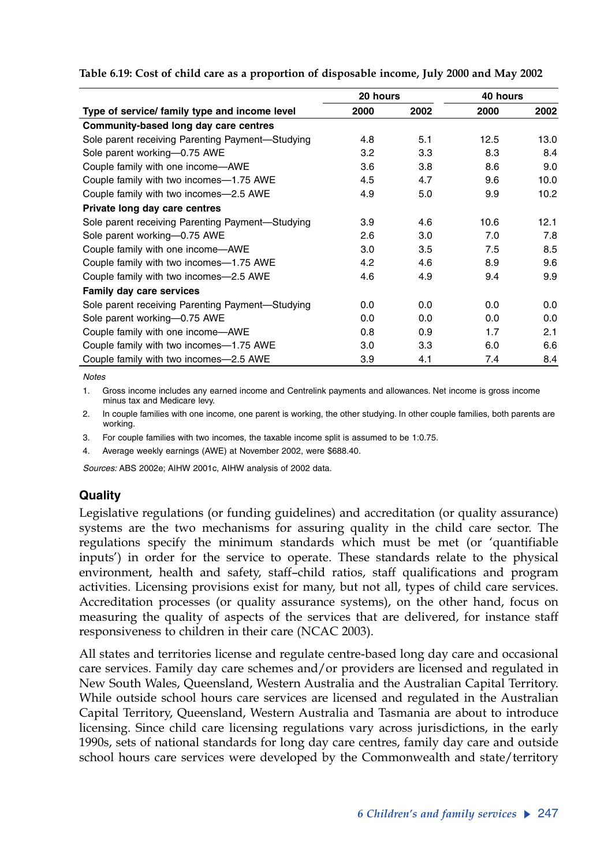|                                                  | 20 hours         |      | 40 hours |                   |
|--------------------------------------------------|------------------|------|----------|-------------------|
| Type of service/ family type and income level    | 2000             | 2002 | 2000     | 2002              |
| Community-based long day care centres            |                  |      |          |                   |
| Sole parent receiving Parenting Payment-Studying | 4.8              | 5.1  | 12.5     | 13.0              |
| Sole parent working-0.75 AWE                     | 3.2              | 3.3  | 8.3      | 8.4               |
| Couple family with one income-AWE                | 3.6              | 3.8  | 8.6      | 9.0               |
| Couple family with two incomes-1.75 AWE          | 4.5              | 4.7  | 9.6      | 10.0              |
| Couple family with two incomes-2.5 AWE           | 4.9              | 5.0  | 9.9      | 10.2 <sub>2</sub> |
| Private long day care centres                    |                  |      |          |                   |
| Sole parent receiving Parenting Payment-Studying | 3.9              | 4.6  | 10.6     | 12.1              |
| Sole parent working-0.75 AWE                     | 2.6              | 3.0  | 7.0      | 7.8               |
| Couple family with one income-AWE                | 3.0 <sub>2</sub> | 3.5  | 7.5      | 8.5               |
| Couple family with two incomes-1.75 AWE          | 4.2              | 4.6  | 8.9      | 9.6               |
| Couple family with two incomes-2.5 AWE           | 4.6              | 4.9  | 9.4      | 9.9               |
| Family day care services                         |                  |      |          |                   |
| Sole parent receiving Parenting Payment-Studying | 0.0              | 0.0  | 0.0      | 0.0               |
| Sole parent working-0.75 AWE                     | 0.0              | 0.0  | 0.0      | 0.0               |
| Couple family with one income-AWE                | 0.8              | 0.9  | 1.7      | 2.1               |
| Couple family with two incomes-1.75 AWE          | 3.0              | 3.3  | 6.0      | 6.6               |
| Couple family with two incomes-2.5 AWE           | 3.9              | 4.1  | 7.4      | 8.4               |

**Table 6.19: Cost of child care as a proportion of disposable income, July 2000 and May 2002**

*Notes*

1. Gross income includes any earned income and Centrelink payments and allowances. Net income is gross income minus tax and Medicare levy.

2. In couple families with one income, one parent is working, the other studying. In other couple families, both parents are working.

3. For couple families with two incomes, the taxable income split is assumed to be 1:0.75.

4. Average weekly earnings (AWE) at November 2002, were \$688.40.

*Sources:* ABS 2002e; AIHW 2001c, AIHW analysis of 2002 data.

### **Quality**

Legislative regulations (or funding guidelines) and accreditation (or quality assurance) systems are the two mechanisms for assuring quality in the child care sector. The regulations specify the minimum standards which must be met (or 'quantifiable inputs') in order for the service to operate. These standards relate to the physical environment, health and safety, staff–child ratios, staff qualifications and program activities. Licensing provisions exist for many, but not all, types of child care services. Accreditation processes (or quality assurance systems), on the other hand, focus on measuring the quality of aspects of the services that are delivered, for instance staff responsiveness to children in their care (NCAC 2003).

All states and territories license and regulate centre-based long day care and occasional care services. Family day care schemes and/or providers are licensed and regulated in New South Wales, Queensland, Western Australia and the Australian Capital Territory. While outside school hours care services are licensed and regulated in the Australian Capital Territory, Queensland, Western Australia and Tasmania are about to introduce licensing. Since child care licensing regulations vary across jurisdictions, in the early 1990s, sets of national standards for long day care centres, family day care and outside school hours care services were developed by the Commonwealth and state/territory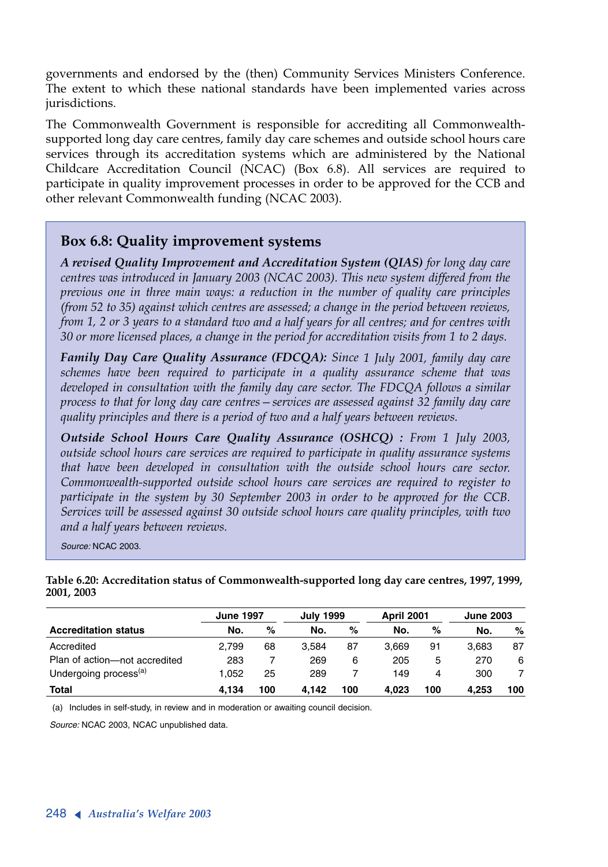governments and endorsed by the (then) Community Services Ministers Conference. The extent to which these national standards have been implemented varies across jurisdictions.

The Commonwealth Government is responsible for accrediting all Commonwealthsupported long day care centres, family day care schemes and outside school hours care services through its accreditation systems which are administered by the National Childcare Accreditation Council (NCAC) (Box 6.8). All services are required to participate in quality improvement processes in order to be approved for the CCB and other relevant Commonwealth funding (NCAC 2003).

### **Box 6.8: Quality improvement systems**

*<sup>A</sup> revised Quality Improvement and Accreditation System (QIAS) for long day care centres was introduced in January 2003 (NCAC 2003). This new system differed from the previous one in three main ways: a reduction in the number of quality care principles (from 52 to 35) against which centres are assessed; a change in the period between reviews, from 1, 2 or 3 years to a standard two and a half years for all centres; and for centres with 30 or more licensed places, a change in the period for accreditation visits from 1 to 2 days.* 

*Family Day Care Quality Assurance (FDCQA): Since 1 July 2001, family day care schemes have been required to participate in a quality assurance scheme that was developed in consultation with the family day care sector. The FDCQA follows a similar process to that for long day care centres—services are assessed against 32 family day care quality principles and there is a period of two and a half years between reviews.* 

*Outside School Hours Care Quality Assurance (OSHCQ) : From 1 July 2003, outside school hours care services are required to participate in quality assurance systems that have been developed in consultation with the outside school hours care sector. Commonwealth-supported outside school hours care services are required to register to participate in the system by 30 September 2003 in order to be approved for the CCB. Services will be assessed against 30 outside school hours care quality principles, with two and a half years between reviews.*

*Source:* NCAC 2003.

**Table 6.20: Accreditation status of Commonwealth-supported long day care centres, 1997, 1999, 2001, 2003**

|                                   | <b>June 1997</b> |     | <b>July 1999</b> |     | <b>April 2001</b> |     | <b>June 2003</b> |     |
|-----------------------------------|------------------|-----|------------------|-----|-------------------|-----|------------------|-----|
| <b>Accreditation status</b>       | No.              | %   | No.              | %   | No.               | %   | No.              | %   |
| Accredited                        | 2.799            | 68  | 3.584            | 87  | 3.669             | 91  | 3.683            | 87  |
| Plan of action-not accredited     | 283              |     | 269              | 6   | 205               | 5   | 270              | 6   |
| Undergoing process <sup>(a)</sup> | 1.052            | 25  | 289              |     | 149               |     | 300              |     |
| <b>Total</b>                      | 4.134            | 100 | 4.142            | 100 | 4.023             | 100 | 4.253            | 100 |

(a) Includes in self-study, in review and in moderation or awaiting council decision.

*Source:* NCAC 2003, NCAC unpublished data.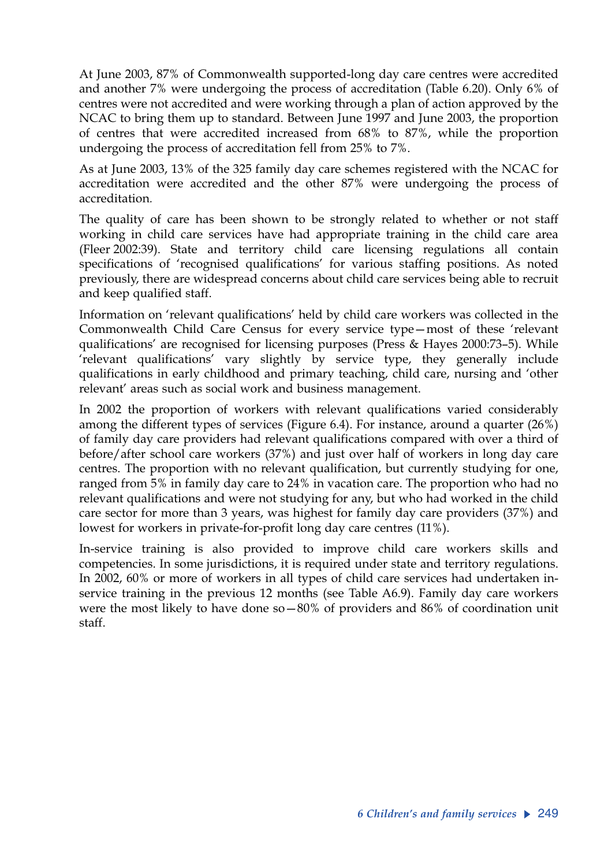At June 2003, 87% of Commonwealth supported-long day care centres were accredited and another 7% were undergoing the process of accreditation (Table 6.20). Only 6% of centres were not accredited and were working through a plan of action approved by the NCAC to bring them up to standard. Between June 1997 and June 2003, the proportion of centres that were accredited increased from 68% to 87%, while the proportion undergoing the process of accreditation fell from 25% to 7%.

As at June 2003, 13% of the 325 family day care schemes registered with the NCAC for accreditation were accredited and the other 87% were undergoing the process of accreditation*.*

The quality of care has been shown to be strongly related to whether or not staff working in child care services have had appropriate training in the child care area (Fleer 2002:39). State and territory child care licensing regulations all contain specifications of 'recognised qualifications' for various staffing positions. As noted previously, there are widespread concerns about child care services being able to recruit and keep qualified staff.

Information on 'relevant qualifications' held by child care workers was collected in the Commonwealth Child Care Census for every service type—most of these 'relevant qualifications' are recognised for licensing purposes (Press & Hayes 2000:73–5). While 'relevant qualifications' vary slightly by service type, they generally include qualifications in early childhood and primary teaching, child care, nursing and 'other relevant' areas such as social work and business management.

In 2002 the proportion of workers with relevant qualifications varied considerably among the different types of services (Figure 6.4). For instance, around a quarter (26%) of family day care providers had relevant qualifications compared with over a third of before/after school care workers (37%) and just over half of workers in long day care centres. The proportion with no relevant qualification, but currently studying for one, ranged from 5% in family day care to 24% in vacation care. The proportion who had no relevant qualifications and were not studying for any, but who had worked in the child care sector for more than 3 years, was highest for family day care providers (37%) and lowest for workers in private-for-profit long day care centres (11%).

In-service training is also provided to improve child care workers skills and competencies. In some jurisdictions, it is required under state and territory regulations. In 2002, 60% or more of workers in all types of child care services had undertaken inservice training in the previous 12 months (see Table A6.9). Family day care workers were the most likely to have done so $-80\%$  of providers and  $86\%$  of coordination unit staff.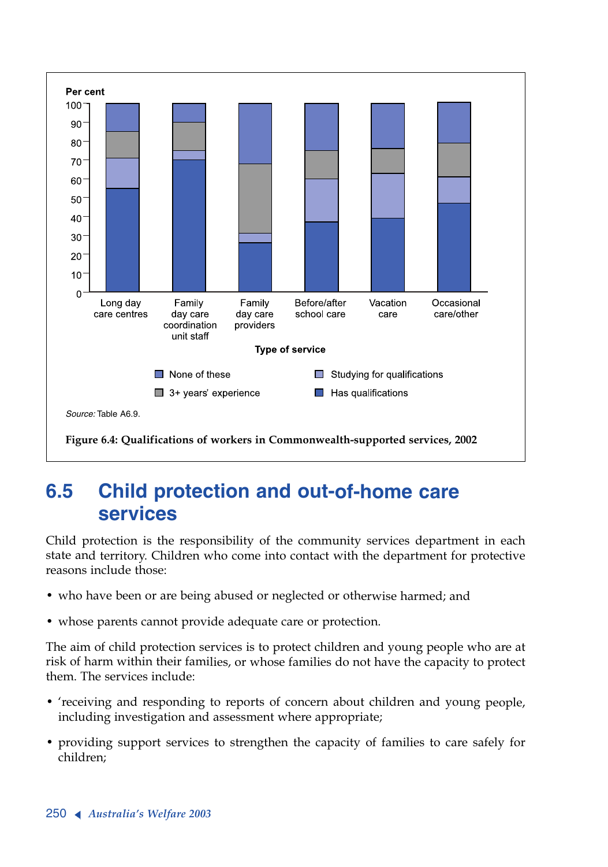

# **6.5 Child protection and out-of-home care services**

Child protection is the responsibility of the community services department in each state and territory. Children who come into contact with the department for protective reasons include those:

- who have been or are being abused or neglected or otherwise harmed; and
- whose parents cannot provide adequate care or protection.

The aim of child protection services is to protect children and young people who are at risk of harm within their families, or whose families do not have the capacity to protect them. The services include:

- 'receiving and responding to reports of concern about children and young people, including investigation and assessment where appropriate;
- providing support services to strengthen the capacity of families to care safely for children;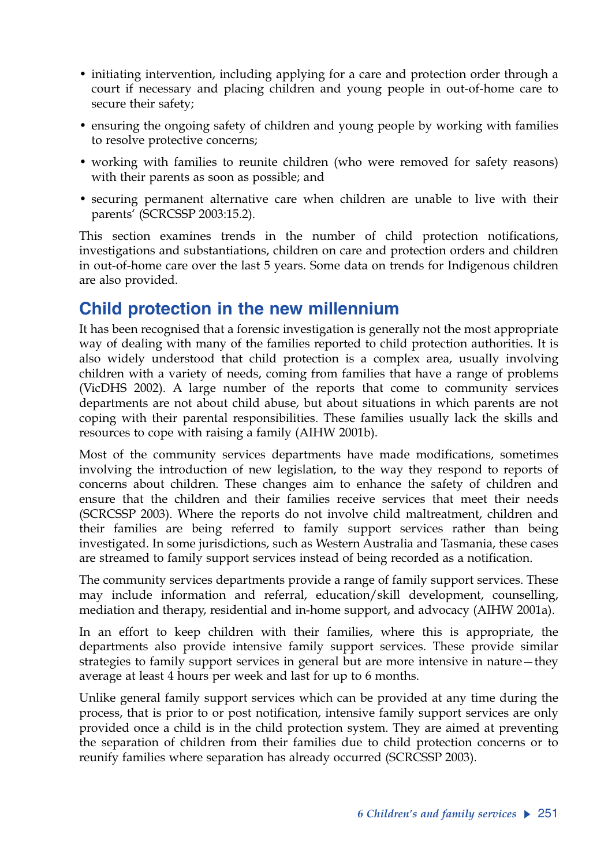- initiating intervention, including applying for a care and protection order through a court if necessary and placing children and young people in out-of-home care to secure their safety;
- ensuring the ongoing safety of children and young people by working with families to resolve protective concerns;
- working with families to reunite children (who were removed for safety reasons) with their parents as soon as possible; and
- securing permanent alternative care when children are unable to live with their parents' (SCRCSSP 2003:15.2).

This section examines trends in the number of child protection notifications, investigations and substantiations, children on care and protection orders and children in out-of-home care over the last 5 years. Some data on trends for Indigenous children are also provided.

## **Child protection in the new millennium**

It has been recognised that a forensic investigation is generally not the most appropriate way of dealing with many of the families reported to child protection authorities. It is also widely understood that child protection is a complex area, usually involving children with a variety of needs, coming from families that have a range of problems (VicDHS 2002). A large number of the reports that come to community services departments are not about child abuse, but about situations in which parents are not coping with their parental responsibilities. These families usually lack the skills and resources to cope with raising a family (AIHW 2001b).

Most of the community services departments have made modifications, sometimes involving the introduction of new legislation, to the way they respond to reports of concerns about children. These changes aim to enhance the safety of children and ensure that the children and their families receive services that meet their needs (SCRCSSP 2003). Where the reports do not involve child maltreatment, children and their families are being referred to family support services rather than being investigated. In some jurisdictions, such as Western Australia and Tasmania, these cases are streamed to family support services instead of being recorded as a notification.

The community services departments provide a range of family support services. These may include information and referral, education/skill development, counselling, mediation and therapy, residential and in-home support, and advocacy (AIHW 2001a).

In an effort to keep children with their families, where this is appropriate, the departments also provide intensive family support services. These provide similar strategies to family support services in general but are more intensive in nature—they average at least 4 hours per week and last for up to 6 months.

Unlike general family support services which can be provided at any time during the process, that is prior to or post notification, intensive family support services are only provided once a child is in the child protection system. They are aimed at preventing the separation of children from their families due to child protection concerns or to reunify families where separation has already occurred (SCRCSSP 2003).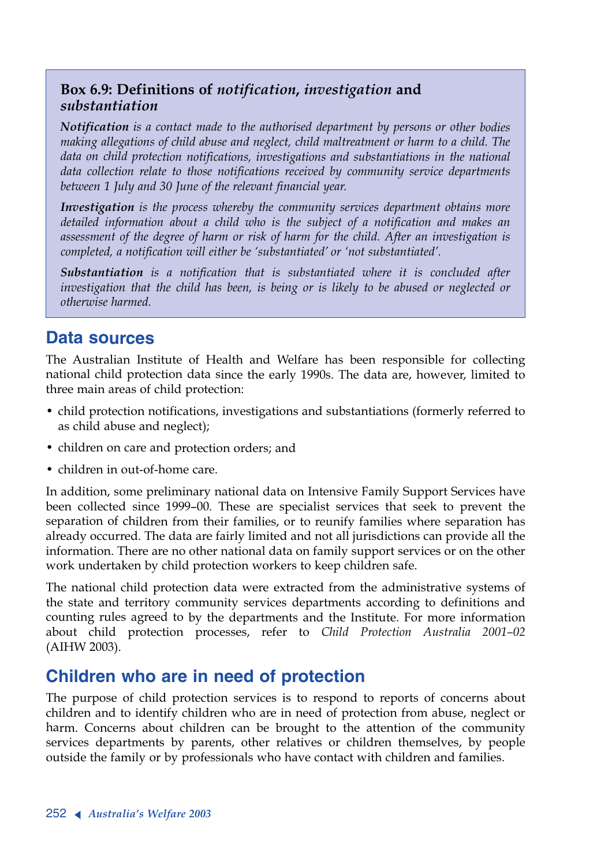### **Box 6.9: Definitions of** *notification***,** *investigation* **and**  *substantiation*

*Notification is a contact made to the authorised department by persons or other bodies making allegations of child abuse and neglect, child maltreatment or harm to a child. The data on child protection notifications, investigations and substantiations in the national data collection relate to those notifications received by community service departments between 1 July and 30 June of the relevant financial year.*

*Investigation is the process whereby the community services department obtains more detailed information about a child who is the subject of a notification and makes an assessment of the degree of harm or risk of harm for the child. After an investigation is completed, a notification will either be 'substantiated' or 'not substantiated'.* 

*Substantiation is a notification that is substantiated where it is concluded after investigation that the child has been, is being or is likely to be abused or neglected or otherwise harmed.*

## **Data sources**

The Australian Institute of Health and Welfare has been responsible for collecting national child protection data since the early 1990s. The data are, however, limited to three main areas of child protection:

- child protection notifications, investigations and substantiations (formerly referred to as child abuse and neglect);
- children on care and protection orders; and
- children in out-of-home care.

In addition, some preliminary national data on Intensive Family Support Services have been collected since 1999–00. These are specialist services that seek to prevent the separation of children from their families, or to reunify families where separation has already occurred. The data are fairly limited and not all jurisdictions can provide all the information. There are no other national data on family support services or on the other work undertaken by child protection workers to keep children safe.

The national child protection data were extracted from the administrative systems of the state and territory community services departments according to definitions and counting rules agreed to by the departments and the Institute. For more information about child protection processes, refer to *Child Protection Australia 2001–02* (AIHW 2003).

## **Children who are in need of protection**

The purpose of child protection services is to respond to reports of concerns about children and to identify children who are in need of protection from abuse, neglect or harm. Concerns about children can be brought to the attention of the community services departments by parents, other relatives or children themselves, by people outside the family or by professionals who have contact with children and families.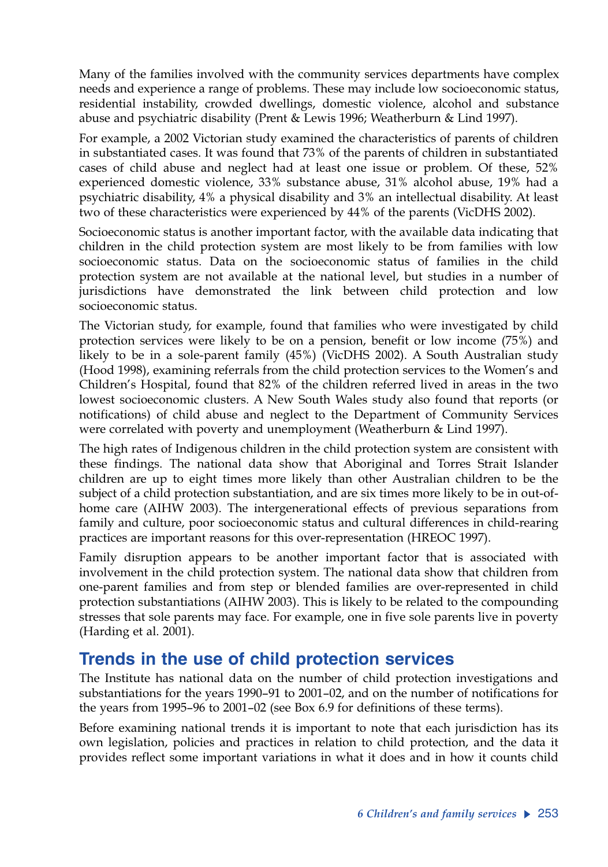Many of the families involved with the community services departments have complex needs and experience a range of problems. These may include low socioeconomic status, residential instability, crowded dwellings, domestic violence, alcohol and substance abuse and psychiatric disability (Prent & Lewis 1996; Weatherburn & Lind 1997).

For example, a 2002 Victorian study examined the characteristics of parents of children in substantiated cases. It was found that 73% of the parents of children in substantiated cases of child abuse and neglect had at least one issue or problem. Of these, 52% experienced domestic violence, 33% substance abuse, 31% alcohol abuse, 19% had a psychiatric disability, 4% a physical disability and 3% an intellectual disability. At least two of these characteristics were experienced by 44% of the parents (VicDHS 2002).

Socioeconomic status is another important factor, with the available data indicating that children in the child protection system are most likely to be from families with low socioeconomic status. Data on the socioeconomic status of families in the child protection system are not available at the national level, but studies in a number of jurisdictions have demonstrated the link between child protection and low socioeconomic status.

The Victorian study, for example, found that families who were investigated by child protection services were likely to be on a pension, benefit or low income (75%) and likely to be in a sole-parent family (45%) (VicDHS 2002). A South Australian study (Hood 1998), examining referrals from the child protection services to the Women's and Children's Hospital, found that 82% of the children referred lived in areas in the two lowest socioeconomic clusters. A New South Wales study also found that reports (or notifications) of child abuse and neglect to the Department of Community Services were correlated with poverty and unemployment (Weatherburn & Lind 1997).

The high rates of Indigenous children in the child protection system are consistent with these findings. The national data show that Aboriginal and Torres Strait Islander children are up to eight times more likely than other Australian children to be the subject of a child protection substantiation, and are six times more likely to be in out-ofhome care (AIHW 2003). The intergenerational effects of previous separations from family and culture, poor socioeconomic status and cultural differences in child-rearing practices are important reasons for this over-representation (HREOC 1997).

Family disruption appears to be another important factor that is associated with involvement in the child protection system. The national data show that children from one-parent families and from step or blended families are over-represented in child protection substantiations (AIHW 2003). This is likely to be related to the compounding stresses that sole parents may face. For example, one in five sole parents live in poverty (Harding et al. 2001).

## **Trends in the use of child protection services**

The Institute has national data on the number of child protection investigations and substantiations for the years 1990–91 to 2001–02, and on the number of notifications for the years from 1995–96 to 2001–02 (see Box 6.9 for definitions of these terms).

Before examining national trends it is important to note that each jurisdiction has its own legislation, policies and practices in relation to child protection, and the data it provides reflect some important variations in what it does and in how it counts child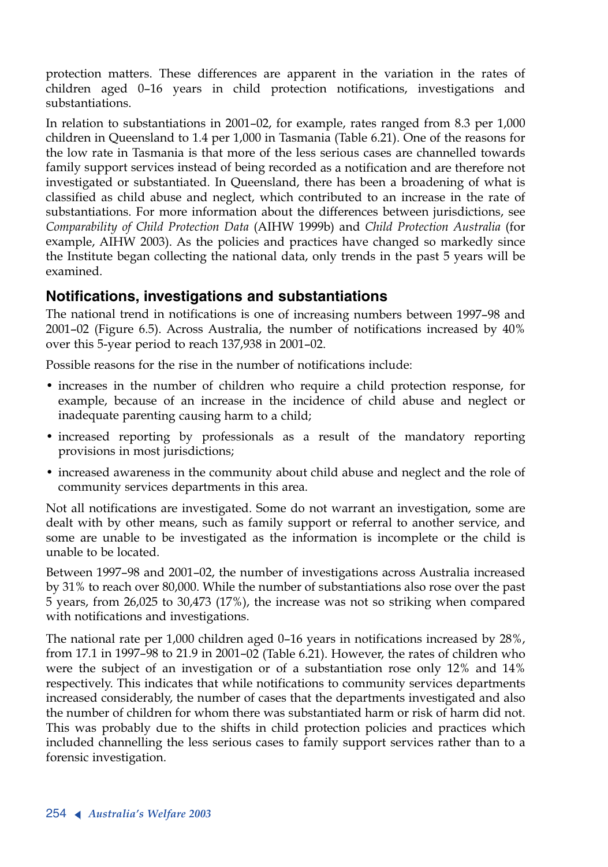protection matters. These differences are apparent in the variation in the rates of children aged 0–16 years in child protection notifications, investigations and substantiations.

In relation to substantiations in 2001–02, for example, rates ranged from 8.3 per 1,000 children in Queensland to 1.4 per 1,000 in Tasmania (Table 6.21). One of the reasons for the low rate in Tasmania is that more of the less serious cases are channelled towards family support services instead of being recorded as a notification and are therefore not investigated or substantiated. In Queensland, there has been a broadening of what is classified as child abuse and neglect, which contributed to an increase in the rate of substantiations. For more information about the differences between jurisdictions, see *Comparability of Child Protection Data* (AIHW 1999b) and *Child Protection Australia* (for example, AIHW 2003). As the policies and practices have changed so markedly since the Institute began collecting the national data, only trends in the past 5 years will be examined.

### **Notifications, investigations and substantiations**

The national trend in notifications is one of increasing numbers between 1997–98 and 2001–02 (Figure 6.5). Across Australia, the number of notifications increased by 40% over this 5-year period to reach 137,938 in 2001–02.

Possible reasons for the rise in the number of notifications include:

- increases in the number of children who require a child protection response, for example, because of an increase in the incidence of child abuse and neglect or inadequate parenting causing harm to a child;
- increased reporting by professionals as a result of the mandatory reporting provisions in most jurisdictions;
- increased awareness in the community about child abuse and neglect and the role of community services departments in this area.

Not all notifications are investigated. Some do not warrant an investigation, some are dealt with by other means, such as family support or referral to another service, and some are unable to be investigated as the information is incomplete or the child is unable to be located.

Between 1997–98 and 2001–02, the number of investigations across Australia increased by 31% to reach over 80,000. While the number of substantiations also rose over the past 5 years, from 26,025 to 30,473 (17%), the increase was not so striking when compared with notifications and investigations.

The national rate per 1,000 children aged 0–16 years in notifications increased by 28%, from 17.1 in 1997–98 to 21.9 in 2001–02 (Table 6.21). However, the rates of children who were the subject of an investigation or of a substantiation rose only 12% and 14% respectively. This indicates that while notifications to community services departments increased considerably, the number of cases that the departments investigated and also the number of children for whom there was substantiated harm or risk of harm did not. This was probably due to the shifts in child protection policies and practices which included channelling the less serious cases to family support services rather than to a forensic investigation.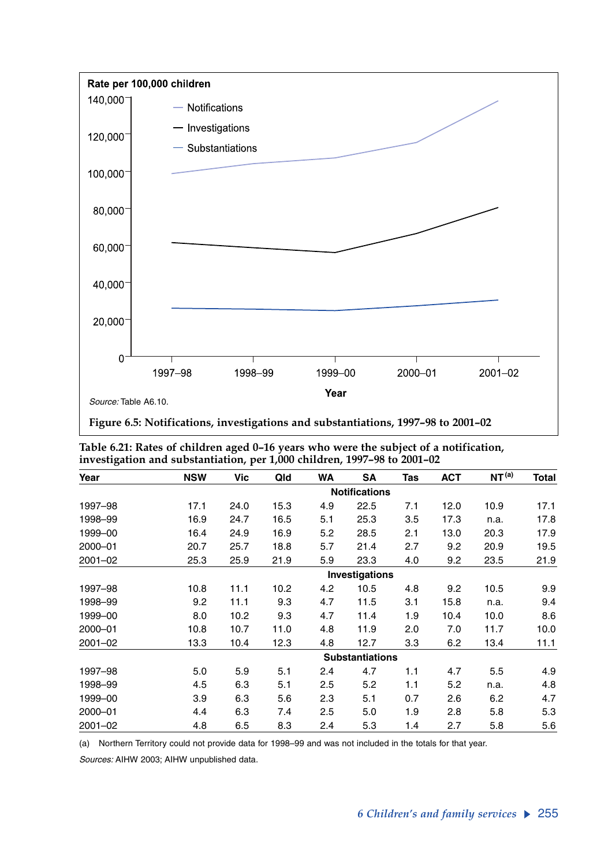

**Figure 6.5: Notifications, investigations and substantiations, 1997–98 to 2001–02**

| Table 6.21: Rates of children aged 0–16 years who were the subject of a notification, |
|---------------------------------------------------------------------------------------|
| investigation and substantiation, per 1,000 children, 1997–98 to 2001–02              |

| Year        | <b>NSW</b> | Vic  | Qld  | <b>WA</b> | <b>SA</b>              | Tas | <b>ACT</b> | NT <sup>(a)</sup> | Total |
|-------------|------------|------|------|-----------|------------------------|-----|------------|-------------------|-------|
|             |            |      |      |           | <b>Notifications</b>   |     |            |                   |       |
| 1997–98     | 17.1       | 24.0 | 15.3 | 4.9       | 22.5                   | 7.1 | 12.0       | 10.9              | 17.1  |
| 1998-99     | 16.9       | 24.7 | 16.5 | 5.1       | 25.3                   | 3.5 | 17.3       | n.a.              | 17.8  |
| 1999-00     | 16.4       | 24.9 | 16.9 | 5.2       | 28.5                   | 2.1 | 13.0       | 20.3              | 17.9  |
| 2000-01     | 20.7       | 25.7 | 18.8 | 5.7       | 21.4                   | 2.7 | 9.2        | 20.9              | 19.5  |
| $2001 - 02$ | 25.3       | 25.9 | 21.9 | 5.9       | 23.3                   | 4.0 | 9.2        | 23.5              | 21.9  |
|             |            |      |      |           | Investigations         |     |            |                   |       |
| 1997-98     | 10.8       | 11.1 | 10.2 | 4.2       | 10.5                   | 4.8 | 9.2        | 10.5              | 9.9   |
| 1998-99     | 9.2        | 11.1 | 9.3  | 4.7       | 11.5                   | 3.1 | 15.8       | n.a.              | 9.4   |
| 1999-00     | 8.0        | 10.2 | 9.3  | 4.7       | 11.4                   | 1.9 | 10.4       | 10.0              | 8.6   |
| 2000-01     | 10.8       | 10.7 | 11.0 | 4.8       | 11.9                   | 2.0 | 7.0        | 11.7              | 10.0  |
| $2001 - 02$ | 13.3       | 10.4 | 12.3 | 4.8       | 12.7                   | 3.3 | 6.2        | 13.4              | 11.1  |
|             |            |      |      |           | <b>Substantiations</b> |     |            |                   |       |
| 1997-98     | 5.0        | 5.9  | 5.1  | 2.4       | 4.7                    | 1.1 | 4.7        | 5.5               | 4.9   |
| 1998-99     | 4.5        | 6.3  | 5.1  | 2.5       | 5.2                    | 1.1 | 5.2        | n.a.              | 4.8   |
| 1999-00     | 3.9        | 6.3  | 5.6  | 2.3       | 5.1                    | 0.7 | 2.6        | 6.2               | 4.7   |
| 2000-01     | 4.4        | 6.3  | 7.4  | 2.5       | 5.0                    | 1.9 | 2.8        | 5.8               | 5.3   |
| $2001 - 02$ | 4.8        | 6.5  | 8.3  | 2.4       | 5.3                    | 1.4 | 2.7        | 5.8               | 5.6   |

(a) Northern Territory could not provide data for 1998–99 and was not included in the totals for that year.

*Sources:* AIHW 2003; AIHW unpublished data.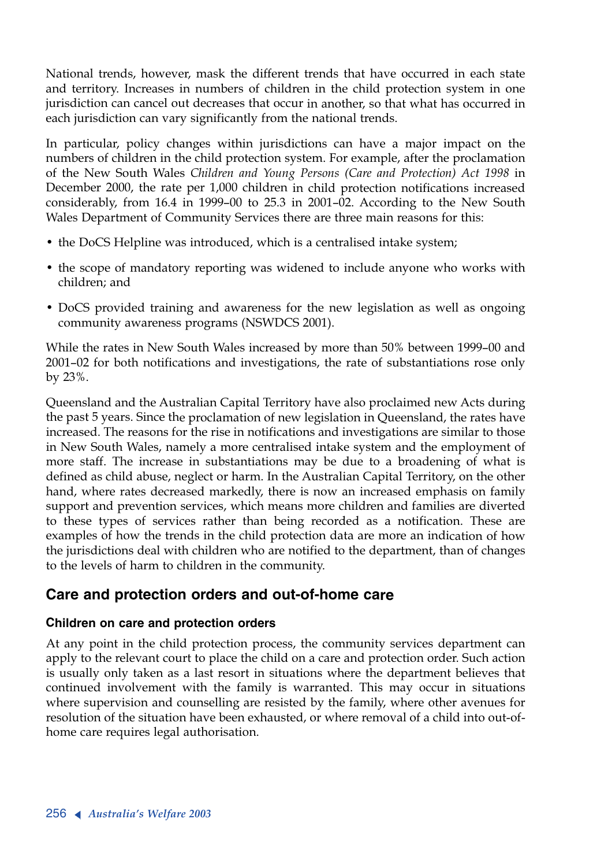National trends, however, mask the different trends that have occurred in each state and territory. Increases in numbers of children in the child protection system in one jurisdiction can cancel out decreases that occur in another, so that what has occurred in each jurisdiction can vary significantly from the national trends.

In particular, policy changes within jurisdictions can have a major impact on the numbers of children in the child protection system. For example, after the proclamation of the New South Wales *Children and Young Persons (Care and Protection) Act 1998* in December 2000, the rate per 1,000 children in child protection notifications increased considerably, from 16.4 in 1999–00 to 25.3 in 2001–02. According to the New South Wales Department of Community Services there are three main reasons for this:

- the DoCS Helpline was introduced, which is a centralised intake system;
- the scope of mandatory reporting was widened to include anyone who works with children; and
- DoCS provided training and awareness for the new legislation as well as ongoing community awareness programs (NSWDCS 2001).

While the rates in New South Wales increased by more than 50% between 1999–00 and 2001–02 for both notifications and investigations, the rate of substantiations rose only by 23%.

Queensland and the Australian Capital Territory have also proclaimed new Acts during the past 5 years. Since the proclamation of new legislation in Queensland, the rates have increased. The reasons for the rise in notifications and investigations are similar to those in New South Wales, namely a more centralised intake system and the employment of more staff. The increase in substantiations may be due to a broadening of what is defined as child abuse, neglect or harm. In the Australian Capital Territory, on the other hand, where rates decreased markedly, there is now an increased emphasis on family support and prevention services, which means more children and families are diverted to these types of services rather than being recorded as a notification. These are examples of how the trends in the child protection data are more an indication of how the jurisdictions deal with children who are notified to the department, than of changes to the levels of harm to children in the community.

### **Care and protection orders and out-of-home care**

### **Children on care and protection orders**

At any point in the child protection process, the community services department can apply to the relevant court to place the child on a care and protection order. Such action is usually only taken as a last resort in situations where the department believes that continued involvement with the family is warranted. This may occur in situations where supervision and counselling are resisted by the family, where other avenues for resolution of the situation have been exhausted, or where removal of a child into out-ofhome care requires legal authorisation.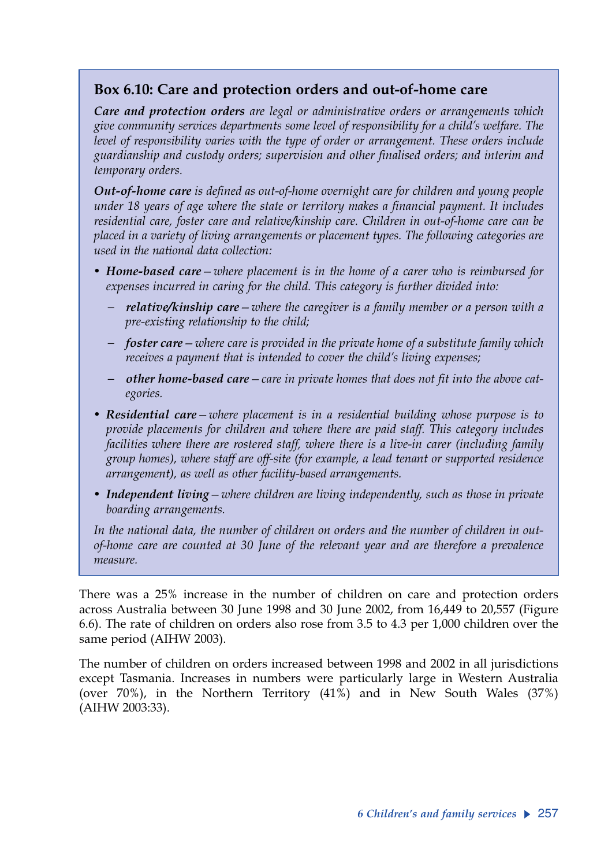## **Box 6.10: Care and protection orders and out-of-home care**

*Care and protection orders are legal or administrative orders or arrangements which give community services departments some level of responsibility for a child's welfare. The level of responsibility varies with the type of order or arrangement. These orders include guardianship and custody orders; supervision and other finalised orders; and interim and temporary orders.*

*Out-of-home care is defined as out-of-home overnight care for children and young people under 18 years of age where the state or territory makes a financial payment. It includes residential care, foster care and relative/kinship care. Children in out-of-home care can be placed in a variety of living arrangements or placement types. The following categories are used in the national data collection:*

- *• Home-based care—where placement is in the home of a carer who is reimbursed for expenses incurred in caring for the child. This category is further divided into:* 
	- − *relative/kinship care—where the caregiver is a family member or a person with a pre-existing relationship to the child;*
	- − *foster care—where care is provided in the private home of a substitute family which receives a payment that is intended to cover the child's living expenses;*
	- − *other home-based care—care in private homes that does not fit into the above categories.*
- *• Residential care—where placement is in a residential building whose purpose is to provide placements for children and where there are paid staff. This category includes facilities where there are rostered staff, where there is a live-in carer (including family group homes), where staff are off-site (for example, a lead tenant or supported residence arrangement), as well as other facility-based arrangements.*
- *• Independent living—where children are living independently, such as those in private boarding arrangements.*

*In the national data, the number of children on orders and the number of children in outof-home care are counted at 30 June of the relevant year and are therefore a prevalence measure.*

There was a 25% increase in the number of children on care and protection orders across Australia between 30 June 1998 and 30 June 2002, from 16,449 to 20,557 (Figure 6.6). The rate of children on orders also rose from 3.5 to 4.3 per 1,000 children over the same period (AIHW 2003).

The number of children on orders increased between 1998 and 2002 in all jurisdictions except Tasmania. Increases in numbers were particularly large in Western Australia (over 70%), in the Northern Territory (41%) and in New South Wales (37%) (AIHW 2003:33).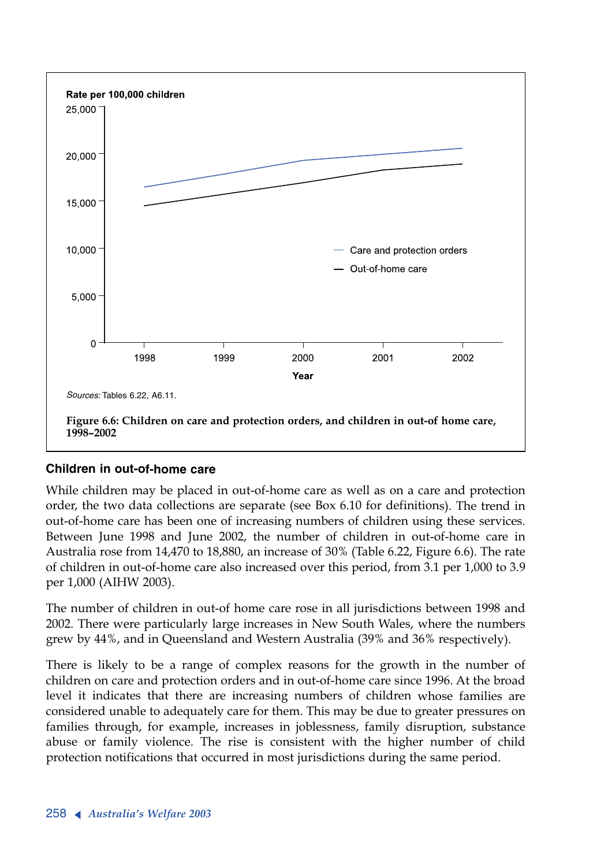

### **Children in out-of-home care**

While children may be placed in out-of-home care as well as on a care and protection order, the two data collections are separate (see Box 6.10 for definitions). The trend in out-of-home care has been one of increasing numbers of children using these services. Between June 1998 and June 2002, the number of children in out-of-home care in Australia rose from 14,470 to 18,880, an increase of 30% (Table 6.22, Figure 6.6). The rate of children in out-of-home care also increased over this period, from 3.1 per 1,000 to 3.9 per 1,000 (AIHW 2003).

The number of children in out-of home care rose in all jurisdictions between 1998 and 2002. There were particularly large increases in New South Wales, where the numbers grew by 44%, and in Queensland and Western Australia (39% and 36% respectively).

There is likely to be a range of complex reasons for the growth in the number of children on care and protection orders and in out-of-home care since 1996. At the broad level it indicates that there are increasing numbers of children whose families are considered unable to adequately care for them. This may be due to greater pressures on families through, for example, increases in joblessness, family disruption, substance abuse or family violence. The rise is consistent with the higher number of child protection notifications that occurred in most jurisdictions during the same period.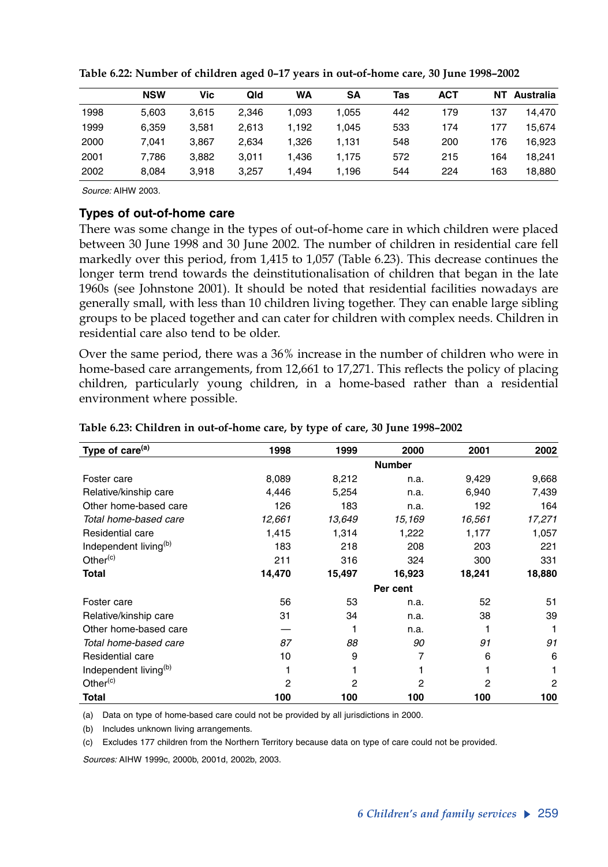|      | <b>NSW</b> | Vic   | Qld   | <b>WA</b> | SΑ    | Tas | АСТ | NΤ  | Australia |
|------|------------|-------|-------|-----------|-------|-----|-----|-----|-----------|
| 1998 | 5.603      | 3.615 | 2.346 | 1.093     | .055  | 442 | 179 | 137 | 14.470    |
| 1999 | 6.359      | 3.581 | 2.613 | 1.192     | .045  | 533 | 174 | 177 | 15.674    |
| 2000 | 7.041      | 3.867 | 2.634 | 1.326     | ∣.131 | 548 | 200 | 176 | 16,923    |
| 2001 | 7.786      | 3.882 | 3.011 | 1.436     | 1.175 | 572 | 215 | 164 | 18.241    |
| 2002 | 8.084      | 3.918 | 3.257 | 1.494     | .196  | 544 | 224 | 163 | 18.880    |

**Table 6.22: Number of children aged 0–17 years in out-of-home care, 30 June 1998–2002**

*Source:* AIHW 2003.

#### **Types of out-of-home care**

There was some change in the types of out-of-home care in which children were placed between 30 June 1998 and 30 June 2002. The number of children in residential care fell markedly over this period, from 1,415 to 1,057 (Table 6.23). This decrease continues the longer term trend towards the deinstitutionalisation of children that began in the late 1960s (see Johnstone 2001). It should be noted that residential facilities nowadays are generally small, with less than 10 children living together. They can enable large sibling groups to be placed together and can cater for children with complex needs. Children in residential care also tend to be older.

Over the same period, there was a 36% increase in the number of children who were in home-based care arrangements, from 12,661 to 17,271. This reflects the policy of placing children, particularly young children, in a home-based rather than a residential environment where possible.

| Type of care <sup>(a)</sup>       | 1998   | 1999   | 2000          | 2001   | 2002           |
|-----------------------------------|--------|--------|---------------|--------|----------------|
|                                   |        |        | <b>Number</b> |        |                |
| Foster care                       | 8,089  | 8,212  | n.a.          | 9,429  | 9,668          |
| Relative/kinship care             | 4,446  | 5,254  | n.a.          | 6,940  | 7,439          |
| Other home-based care             | 126    | 183    | n.a.          | 192    | 164            |
| Total home-based care             | 12,661 | 13,649 | 15,169        | 16,561 | 17,271         |
| Residential care                  | 1,415  | 1,314  | 1,222         | 1,177  | 1,057          |
| Independent living <sup>(b)</sup> | 183    | 218    | 208           | 203    | 221            |
| Other <sup>(c)</sup>              | 211    | 316    | 324           | 300    | 331            |
| <b>Total</b>                      | 14,470 | 15,497 | 16,923        | 18,241 | 18,880         |
|                                   |        |        | Per cent      |        |                |
| Foster care                       | 56     | 53     | n.a.          | 52     | 51             |
| Relative/kinship care             | 31     | 34     | n.a.          | 38     | 39             |
| Other home-based care             |        |        | n.a.          |        | 1              |
| Total home-based care             | 87     | 88     | 90            | 91     | 91             |
| Residential care                  | 10     | 9      | 7             | 6      | 6              |
| Independent living <sup>(b)</sup> | 1      |        |               |        | 1              |
| Other <sup>(c)</sup>              | 2      | 2      | 2             | 2      | $\overline{2}$ |
| <b>Total</b>                      | 100    | 100    | 100           | 100    | 100            |

#### **Table 6.23: Children in out-of-home care, by type of care, 30 June 1998–2002**

(a) Data on type of home-based care could not be provided by all jurisdictions in 2000.

(b) Includes unknown living arrangements.

(c) Excludes 177 children from the Northern Territory because data on type of care could not be provided.

*Sources:* AIHW 1999c, 2000b, 2001d, 2002b, 2003.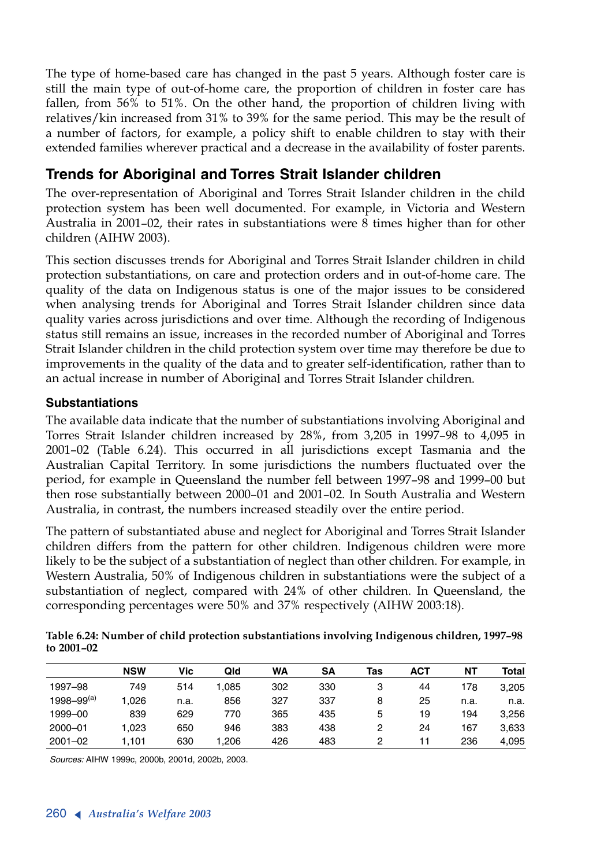The type of home-based care has changed in the past 5 years. Although foster care is still the main type of out-of-home care, the proportion of children in foster care has fallen, from 56% to 51%. On the other hand, the proportion of children living with relatives/kin increased from 31% to 39% for the same period. This may be the result of a number of factors, for example, a policy shift to enable children to stay with their extended families wherever practical and a decrease in the availability of foster parents.

## **Trends for Aboriginal and Torres Strait Islander children**

The over-representation of Aboriginal and Torres Strait Islander children in the child protection system has been well documented. For example, in Victoria and Western Australia in 2001–02, their rates in substantiations were 8 times higher than for other children (AIHW 2003).

This section discusses trends for Aboriginal and Torres Strait Islander children in child protection substantiations, on care and protection orders and in out-of-home care. The quality of the data on Indigenous status is one of the major issues to be considered when analysing trends for Aboriginal and Torres Strait Islander children since data quality varies across jurisdictions and over time. Although the recording of Indigenous status still remains an issue, increases in the recorded number of Aboriginal and Torres Strait Islander children in the child protection system over time may therefore be due to improvements in the quality of the data and to greater self-identification, rather than to an actual increase in number of Aboriginal and Torres Strait Islander children.

### **Substantiations**

The available data indicate that the number of substantiations involving Aboriginal and Torres Strait Islander children increased by 28%, from 3,205 in 1997–98 to 4,095 in 2001–02 (Table 6.24). This occurred in all jurisdictions except Tasmania and the Australian Capital Territory. In some jurisdictions the numbers fluctuated over the period, for example in Queensland the number fell between 1997–98 and 1999–00 but then rose substantially between 2000–01 and 2001–02. In South Australia and Western Australia, in contrast, the numbers increased steadily over the entire period.

The pattern of substantiated abuse and neglect for Aboriginal and Torres Strait Islander children differs from the pattern for other children. Indigenous children were more likely to be the subject of a substantiation of neglect than other children. For example, in Western Australia, 50% of Indigenous children in substantiations were the subject of a substantiation of neglect, compared with 24% of other children. In Queensland, the corresponding percentages were 50% and 37% respectively (AIHW 2003:18).

| Table 6.24: Number of child protection substantiations involving Indigenous children, 1997-98 |  |
|-----------------------------------------------------------------------------------------------|--|
| to 2001–02                                                                                    |  |

|                   | <b>NSW</b> | Vic  | Qld   | WA  | SΑ  | Tas | <b>ACT</b> | NΤ   | Total |
|-------------------|------------|------|-------|-----|-----|-----|------------|------|-------|
| 1997-98           | 749        | 514  | 1.085 | 302 | 330 | 3   | 44         | 178  | 3,205 |
| $1998 - 99^{(a)}$ | 1.026      | n.a. | 856   | 327 | 337 | 8   | 25         | n.a. | n.a.  |
| 1999-00           | 839        | 629  | 770   | 365 | 435 | 5   | 19         | 194  | 3.256 |
| 2000-01           | 1.023      | 650  | 946   | 383 | 438 | 2   | 24         | 167  | 3.633 |
| $2001 - 02$       | .101       | 630  | 1.206 | 426 | 483 | 2   |            | 236  | 4.095 |

*Sources:* AIHW 1999c, 2000b, 2001d, 2002b, 2003.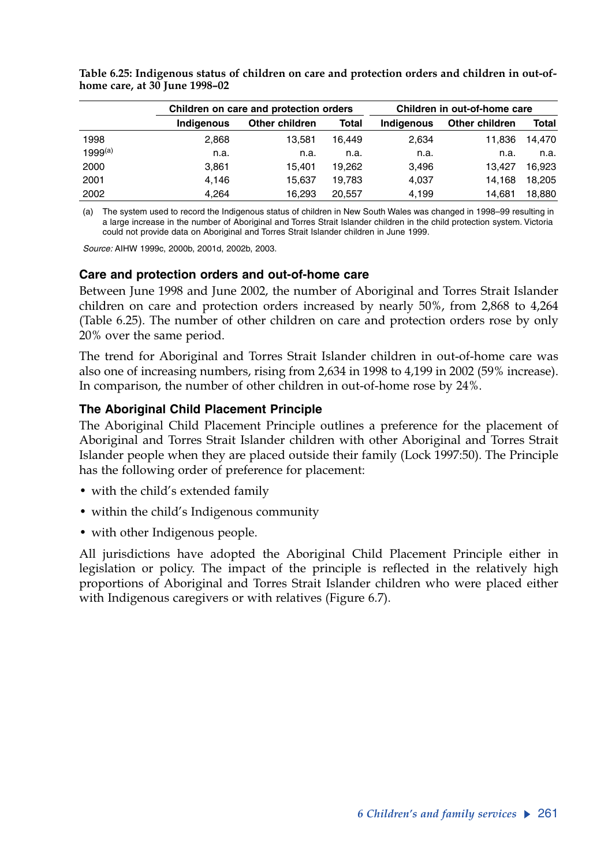|              |            | Children on care and protection orders | Children in out-of-home care |                   |                |        |  |
|--------------|------------|----------------------------------------|------------------------------|-------------------|----------------|--------|--|
|              | Indigenous | Other children                         | Total                        | <b>Indigenous</b> | Other children | Total  |  |
| 1998         | 2.868      | 13.581                                 | 16.449                       | 2.634             | 11.836         | 14.470 |  |
| $1999^{(a)}$ | n.a.       | n.a.                                   | n.a.                         | n.a.              | n.a.           | n.a.   |  |
| 2000         | 3.861      | 15.401                                 | 19.262                       | 3.496             | 13.427         | 16.923 |  |
| 2001         | 4.146      | 15.637                                 | 19.783                       | 4.037             | 14.168         | 18.205 |  |
| 2002         | 4.264      | 16.293                                 | 20.557                       | 4,199             | 14.681         | 18.880 |  |

**Table 6.25: Indigenous status of children on care and protection orders and children in out-ofhome care, at 30 June 1998–02**

(a) The system used to record the Indigenous status of children in New South Wales was changed in 1998–99 resulting in a large increase in the number of Aboriginal and Torres Strait Islander children in the child protection system. Victoria could not provide data on Aboriginal and Torres Strait Islander children in June 1999.

*Source:* AIHW 1999c, 2000b, 2001d, 2002b, 2003.

### **Care and protection orders and out-of-home care**

Between June 1998 and June 2002, the number of Aboriginal and Torres Strait Islander children on care and protection orders increased by nearly 50%, from 2,868 to 4,264 (Table 6.25). The number of other children on care and protection orders rose by only 20% over the same period.

The trend for Aboriginal and Torres Strait Islander children in out-of-home care was also one of increasing numbers, rising from 2,634 in 1998 to 4,199 in 2002 (59% increase). In comparison, the number of other children in out-of-home rose by 24%.

### **The Aboriginal Child Placement Principle**

The Aboriginal Child Placement Principle outlines a preference for the placement of Aboriginal and Torres Strait Islander children with other Aboriginal and Torres Strait Islander people when they are placed outside their family (Lock 1997:50). The Principle has the following order of preference for placement:

- with the child's extended family
- within the child's Indigenous community
- with other Indigenous people.

All jurisdictions have adopted the Aboriginal Child Placement Principle either in legislation or policy. The impact of the principle is reflected in the relatively high proportions of Aboriginal and Torres Strait Islander children who were placed either with Indigenous caregivers or with relatives (Figure 6.7).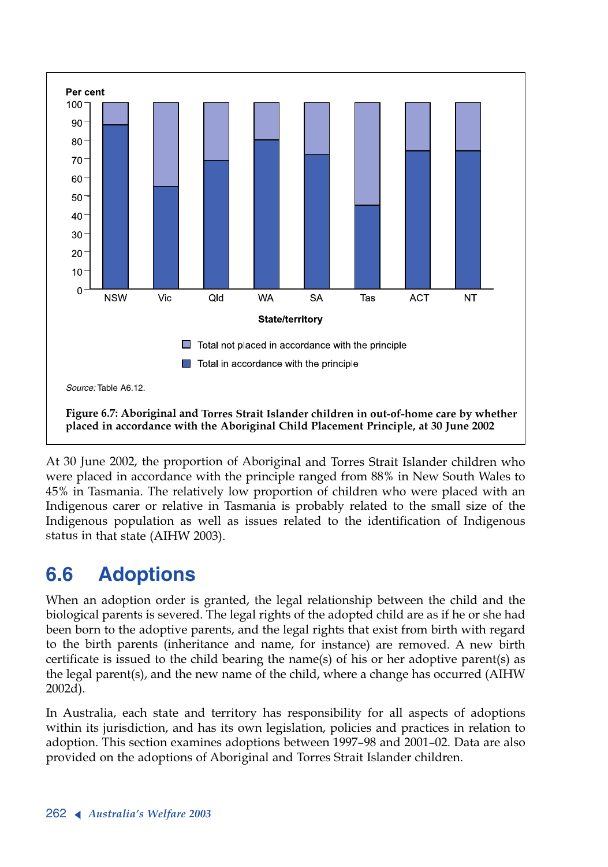

At 30 June 2002, the proportion of Aboriginal and Torres Strait Islander children who were placed in accordance with the principle ranged from 88% in New South Wales to 45% in Tasmania. The relatively low proportion of children who were placed with an Indigenous carer or relative in Tasmania is probably related to the small size of the Indigenous population as well as issues related to the identification of Indigenous status in that state (AIHW 2003).

# **6.6 Adoptions**

When an adoption order is granted, the legal relationship between the child and the biological parents is severed. The legal rights of the adopted child are as if he or she had been born to the adoptive parents, and the legal rights that exist from birth with regard to the birth parents (inheritance and name, for instance) are removed. A new birth certificate is issued to the child bearing the name(s) of his or her adoptive parent(s) as the legal parent(s), and the new name of the child, where a change has occurred (AIHW 2002d).

In Australia, each state and territory has responsibility for all aspects of adoptions within its jurisdiction, and has its own legislation, policies and practices in relation to adoption. This section examines adoptions between 1997–98 and 2001–02. Data are also provided on the adoptions of Aboriginal and Torres Strait Islander children.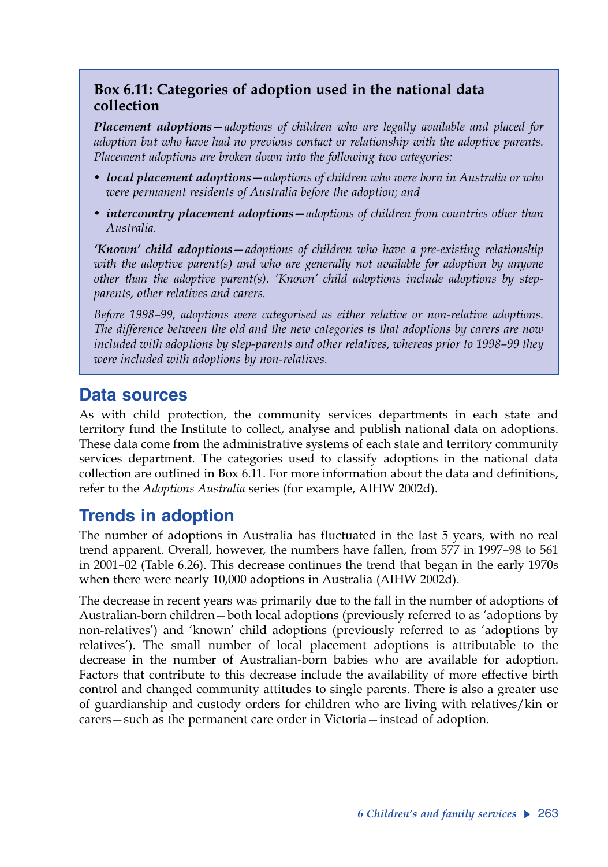## **Box 6.11: Categories of adoption used in the national data collection**

*Placement adoptions—adoptions of children who are legally available and placed for adoption but who have had no previous contact or relationship with the adoptive parents. Placement adoptions are broken down into the following two categories:*

- *• local placement adoptions—adoptions of children who were born in Australia or who were permanent residents of Australia before the adoption; and*
- *• intercountry placement adoptions—adoptions of children from countries other than Australia.*

*'Known' child adoptions—adoptions of children who have a pre-existing relationship with the adoptive parent(s) and who are generally not available for adoption by anyone other than the adoptive parent(s). 'Known' child adoptions include adoptions by stepparents, other relatives and carers.*

*Before 1998–99, adoptions were categorised as either relative or non-relative adoptions. The difference between the old and the new categories is that adoptions by carers are now included with adoptions by step-parents and other relatives, whereas prior to 1998–99 they were included with adoptions by non-relatives.*

## **Data sources**

As with child protection, the community services departments in each state and territory fund the Institute to collect, analyse and publish national data on adoptions. These data come from the administrative systems of each state and territory community services department. The categories used to classify adoptions in the national data collection are outlined in Box 6.11. For more information about the data and definitions, refer to the *Adoptions Australia* series (for example, AIHW 2002d).

# **Trends in adoption**

The number of adoptions in Australia has fluctuated in the last 5 years, with no real trend apparent. Overall, however, the numbers have fallen, from 577 in 1997–98 to 561 in 2001–02 (Table 6.26). This decrease continues the trend that began in the early 1970s when there were nearly 10,000 adoptions in Australia (AIHW 2002d).

The decrease in recent years was primarily due to the fall in the number of adoptions of Australian-born children—both local adoptions (previously referred to as 'adoptions by non-relatives') and 'known' child adoptions (previously referred to as 'adoptions by relatives'). The small number of local placement adoptions is attributable to the decrease in the number of Australian-born babies who are available for adoption. Factors that contribute to this decrease include the availability of more effective birth control and changed community attitudes to single parents. There is also a greater use of guardianship and custody orders for children who are living with relatives/kin or carers—such as the permanent care order in Victoria—instead of adoption.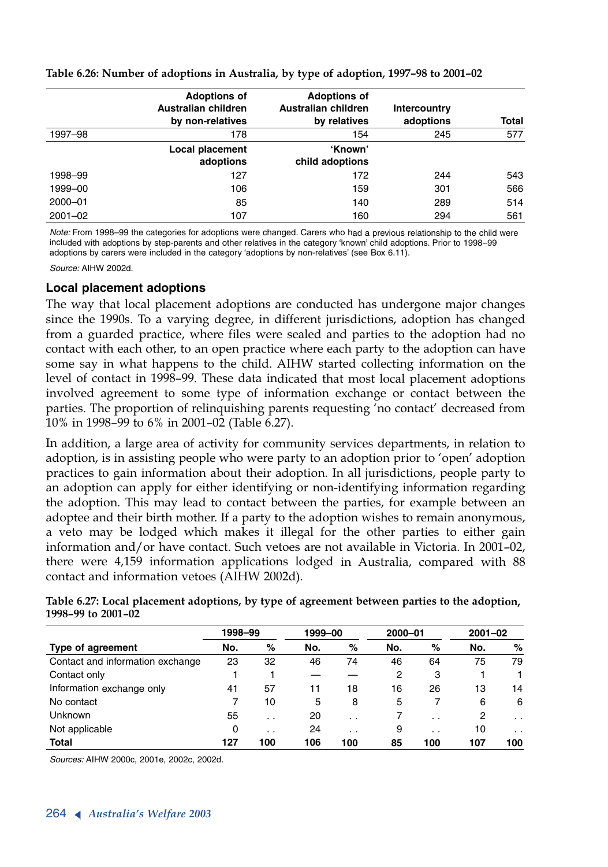|             | <b>Adoptions of</b><br>Australian children<br>by non-relatives | <b>Adoptions of</b><br>Australian children<br>by relatives | Intercountry<br>adoptions | <b>Total</b> |
|-------------|----------------------------------------------------------------|------------------------------------------------------------|---------------------------|--------------|
| 1997-98     | 178                                                            | 154                                                        | 245                       | 577          |
|             | Local placement<br>adoptions                                   | 'Known'<br>child adoptions                                 |                           |              |
| 1998-99     | 127                                                            | 172                                                        | 244                       | 543          |
| 1999-00     | 106                                                            | 159                                                        | 301                       | 566          |
| $2000 - 01$ | 85                                                             | 140                                                        | 289                       | 514          |
| $2001 - 02$ | 107                                                            | 160                                                        | 294                       | 561          |

#### **Table 6.26: Number of adoptions in Australia, by type of adoption, 1997–98 to 2001–02**

*Note:* From 1998–99 the categories for adoptions were changed. Carers who had a previous relationship to the child were included with adoptions by step-parents and other relatives in the category 'known' child adoptions. Prior to 1998–99 adoptions by carers were included in the category 'adoptions by non-relatives' (see Box 6.11).

*Source:* AIHW 2002d.

### **Local placement adoptions**

The way that local placement adoptions are conducted has undergone major changes since the 1990s. To <sup>a</sup> varying degree, in different jurisdictions, adoption has changed from a guarded practice, where files were sealed and parties to the adoption had no contact with each other, to an open practice where each party to the adoption can have some say in what happens to the child. AIHW started collecting information on the level of contact in 1998–99. These data indicated that most local placement adoptions involved agreement to some type of information exchange or contact between the parties. The proportion of relinquishing parents requesting 'no contact' decreased from 10% in 1998–99 to 6% in 2001–02 (Table 6.27).

In addition, a large area of activity for community services departments, in relation to adoption, is in assisting people who were party to an adoption prior to 'open' adoption practices to gain information about their adoption. In all jurisdictions, people party to an adoption can apply for either identifying or non-identifying information regarding the adoption. This may lead to contact between the parties, for example between an adoptee and their birth mother. If a party to the adoption wishes to remain anonymous, a veto may be lodged which makes it illegal for the other parties to either gain information and/or have contact. Such vetoes are not available in Victoria. In 2001–02, there were 4,159 information applications lodged in Australia, compared with 88 contact and information vetoes (AIHW 2002d).

|                                  | 1998-99 |                 | 1999-00 |                 | 2000-01 |                 | $2001 - 02$ |                 |
|----------------------------------|---------|-----------------|---------|-----------------|---------|-----------------|-------------|-----------------|
| Type of agreement                | No.     | %               | No.     | %               | No.     | %               | No.         | %               |
| Contact and information exchange | 23      | 32              | 46      | 74              | 46      | 64              | 75          | 79              |
| Contact only                     |         |                 |         |                 |         | 3               |             |                 |
| Information exchange only        | 41      | 57              | 11      | 18              | 16      | 26              | 13          | 14              |
| No contact                       |         | 10              | 5       | 8               | 5       |                 | 6           | 6               |
| <b>Unknown</b>                   | 55      | . .             | 20      | $\cdot$ $\cdot$ |         | $\sim$ $\sim$   | 2           | $\cdot$ $\cdot$ |
| Not applicable                   | 0       | $\cdot$ $\cdot$ | 24      | $\cdot$ $\cdot$ | 9       | $\cdot$ $\cdot$ | 10          | $\cdot$ $\cdot$ |

**Total 127 100 106 100 85 100 107 100**

**Table 6.27: Local placement adoptions, by type of agreement between parties to the adoption, 1998–99 to 2001–02**

*Sources:* AIHW 2000c, 2001e, 2002c, 2002d.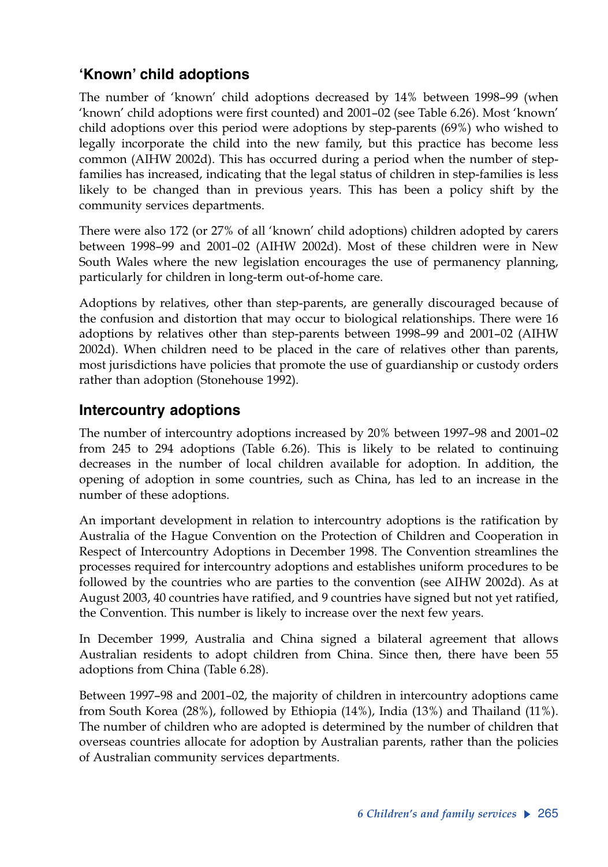## **'Known' child adoptions**

The number of 'known' child adoptions decreased by 14% between 1998–99 (when 'known' child adoptions were first counted) and 2001–02 (see Table 6.26). Most 'known' child adoptions over this period were adoptions by step-parents (69%) who wished to legally incorporate the child into the new family, but this practice has become less common (AIHW 2002d). This has occurred during a period when the number of stepfamilies has increased, indicating that the legal status of children in step-families is less likely to be changed than in previous years. This has been a policy shift by the community services departments.

There were also 172 (or 27% of all 'known' child adoptions) children adopted by carers between 1998–99 and 2001–02 (AIHW 2002d). Most of these children were in New South Wales where the new legislation encourages the use of permanency planning, particularly for children in long-term out-of-home care.

Adoptions by relatives, other than step-parents, are generally discouraged because of the confusion and distortion that may occur to biological relationships. There were 16 adoptions by relatives other than step-parents between 1998–99 and 2001–02 (AIHW 2002d). When children need to be placed in the care of relatives other than parents, most jurisdictions have policies that promote the use of guardianship or custody orders rather than adoption (Stonehouse 1992).

### **Intercountry adoptions**

The number of intercountry adoptions increased by 20% between 1997–98 and 2001–02 from 245 to 294 adoptions (Table 6.26). This is likely to be related to continuing decreases in the number of local children available for adoption. In addition, the opening of adoption in some countries, such as China, has led to an increase in the number of these adoptions.

An important development in relation to intercountry adoptions is the ratification by Australia of the Hague Convention on the Protection of Children and Cooperation in Respect of Intercountry Adoptions in December 1998. The Convention streamlines the processes required for intercountry adoptions and establishes uniform procedures to be followed by the countries who are parties to the convention (see AIHW 2002d). As at August 2003, 40 countries have ratified, and 9 countries have signed but not yet ratified, the Convention. This number is likely to increase over the next few years.

In December 1999, Australia and China signed a bilateral agreement that allows Australian residents to adopt children from China. Since then, there have been 55 adoptions from China (Table 6.28).

Between 1997–98 and 2001–02, the majority of children in intercountry adoptions came from South Korea (28%), followed by Ethiopia (14%), India (13%) and Thailand (11%). The number of children who are adopted is determined by the number of children that overseas countries allocate for adoption by Australian parents, rather than the policies of Australian community services departments.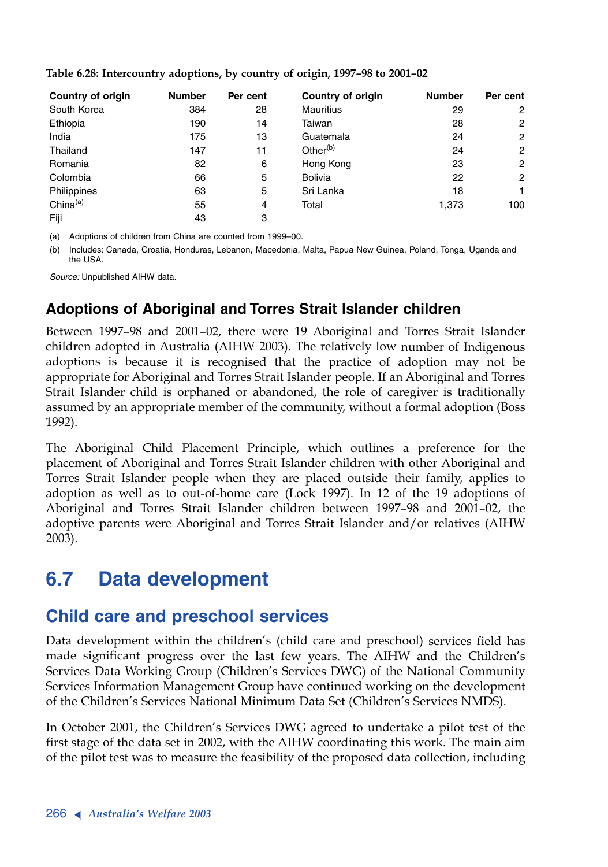| Country of origin | <b>Number</b> | Per cent | <b>Country of origin</b> | <b>Number</b> | Per cent       |
|-------------------|---------------|----------|--------------------------|---------------|----------------|
| South Korea       | 384           | 28       | <b>Mauritius</b>         | 29            | 2              |
| Ethiopia          | 190           | 14       | Taiwan                   | 28            | 2              |
| India             | 175           | 13       | Guatemala                | 24            | $\overline{2}$ |
| Thailand          | 147           | 11       | Other $(b)$              | 24            | 2              |
| Romania           | 82            | 6        | Hong Kong                | 23            | 2              |
| Colombia          | 66            | 5        | <b>Bolivia</b>           | 22            | $\overline{2}$ |
| Philippines       | 63            | 5        | Sri Lanka                | 18            | 1.             |
| China $(a)$       | 55            | 4        | Total                    | 1,373         | 100            |
| Fiji              | 43            | 3        |                          |               |                |

**Table 6.28: Intercountry adoptions, by country of origin, 1997–98 to 2001–02**

(a) Adoptions of children from China are counted from 1999–00.

(b) Includes: Canada, Croatia, Honduras, Lebanon, Macedonia, Malta, Papua New Guinea, Poland, Tonga, Uganda and the USA.

*Source:* Unpublished AIHW data.

## **Adoptions of Aboriginal and Torres Strait Islander children**

Between 1997–98 and 2001–02, there were 19 Aboriginal and Torres Strait Islander children adopted in Australia (AIHW 2003). The relatively low number of Indigenous adoptions is because it is recognised that the practice of adoption may not be appropriate for Aboriginal and Torres Strait Islander people. If an Aboriginal and Torres Strait Islander child is orphaned or abandoned, the role of caregiver is traditionally assumed by an appropriate member of the community, without a formal adoption (Boss 1992).

The Aboriginal Child Placement Principle, which outlines a preference for the placement of Aboriginal and Torres Strait Islander children with other Aboriginal and Torres Strait Islander people when they are placed outside their family, applies to adoption as well as to out-of-home care (Lock 1997). In 12 of the 19 adoptions of Aboriginal and Torres Strait Islander children between 1997–98 and 2001–02, the adoptive parents were Aboriginal and Torres Strait Islander and/or relatives (AIHW 2003).

# **6.7 Data development**

# **Child care and preschool services**

Data development within the children's (child care and preschool) services field has made significant progress over the last few years. The AIHW and the Children's Services Data Working Group (Children's Services DWG) of the National Community Services Information Management Group have continued working on the development of the Children's Services National Minimum Data Set (Children's Services NMDS).

In October 2001, the Children's Services DWG agreed to undertake a pilot test of the first stage of the data set in 2002, with the AIHW coordinating this work. The main aim of the pilot test was to measure the feasibility of the proposed data collection, including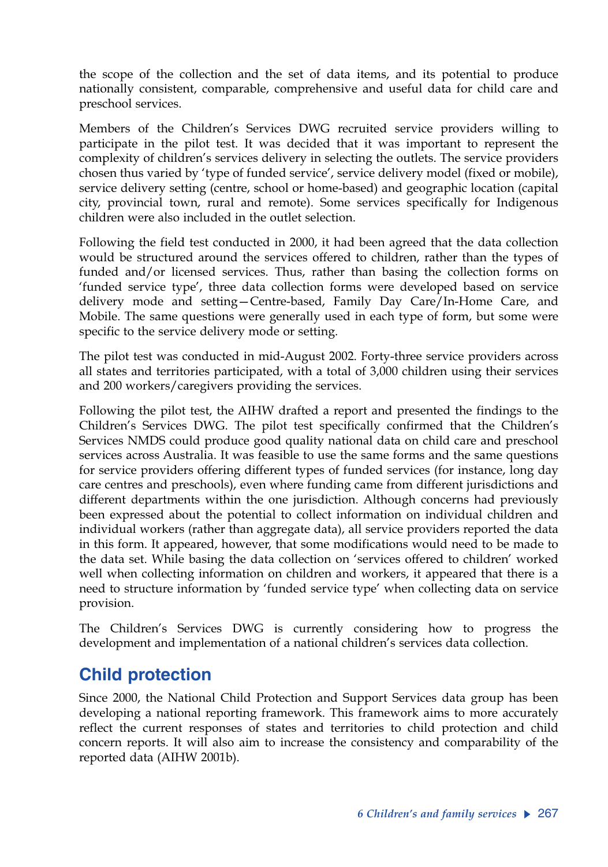the scope of the collection and the set of data items, and its potential to produce nationally consistent, comparable, comprehensive and useful data for child care and preschool services.

Members of the Children's Services DWG recruited service providers willing to participate in the pilot test. It was decided that it was important to represent the complexity of children's services delivery in selecting the outlets. The service providers chosen thus varied by 'type of funded service', service delivery model (fixed or mobile), service delivery setting (centre, school or home-based) and geographic location (capital city, provincial town, rural and remote). Some services specifically for Indigenous children were also included in the outlet selection.

Following the field test conducted in 2000, it had been agreed that the data collection would be structured around the services offered to children, rather than the types of funded and/or licensed services. Thus, rather than basing the collection forms on 'funded service type', three data collection forms were developed based on service delivery mode and setting—Centre-based, Family Day Care/In-Home Care, and Mobile. The same questions were generally used in each type of form, but some were specific to the service delivery mode or setting.

The pilot test was conducted in mid-August 2002. Forty-three service providers across all states and territories participated, with a total of 3,000 children using their services and 200 workers/caregivers providing the services.

Following the pilot test, the AIHW drafted a report and presented the findings to the Children's Services DWG. The pilot test specifically confirmed that the Children's Services NMDS could produce good quality national data on child care and preschool services across Australia. It was feasible to use the same forms and the same questions for service providers offering different types of funded services (for instance, long day care centres and preschools), even where funding came from different jurisdictions and different departments within the one jurisdiction. Although concerns had previously been expressed about the potential to collect information on individual children and individual workers (rather than aggregate data), all service providers reported the data in this form. It appeared, however, that some modifications would need to be made to the data set. While basing the data collection on 'services offered to children' worked well when collecting information on children and workers, it appeared that there is a need to structure information by 'funded service type' when collecting data on service provision.

The Children's Services DWG is currently considering how to progress the development and implementation of a national children's services data collection.

# **Child protection**

Since 2000, the National Child Protection and Support Services data group has been developing a national reporting framework. This framework aims to more accurately reflect the current responses of states and territories to child protection and child concern reports. It will also aim to increase the consistency and comparability of the reported data (AIHW 2001b).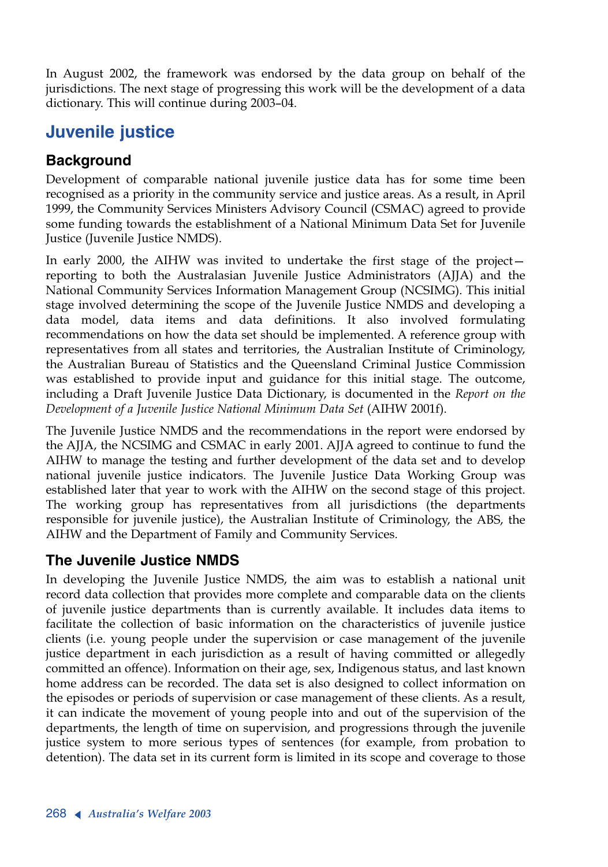In August 2002, the framework was endorsed by the data group on behalf of the jurisdictions. The next stage of progressing this work will be the development of a data dictionary. This will continue during 2003–04.

# **Juvenile justice**

## **Background**

Development of comparable national juvenile justice data has for some time been recognised as a priority in the community service and justice areas. As a result, in April 1999, the Community Services Ministers Advisory Council (CSMAC) agreed to provide some funding towards the establishment of a National Minimum Data Set for Juvenile Justice (Juvenile Justice NMDS).

In early 2000, the AIHW was invited to undertake the first stage of the project reporting to both the Australasian Juvenile Justice Administrators (AJJA) and the National Community Services Information Management Group (NCSIMG). This initial stage involved determining the scope of the Juvenile Justice NMDS and developing a data model, data items and data definitions. It also involved formulating recommendations on how the data set should be implemented. A reference group with representatives from all states and territories, the Australian Institute of Criminology, the Australian Bureau of Statistics and the Queensland Criminal Justice Commission was established to provide input and guidance for this initial stage. The outcome, including a Draft Juvenile Justice Data Dictionary, is documented in the *Report on the Development of a Juvenile Justice National Minimum Data Set* (AIHW 2001f).

The Juvenile Justice NMDS and the recommendations in the report were endorsed by the AJJA, the NCSIMG and CSMAC in early 2001. AJJA agreed to continue to fund the AIHW to manage the testing and further development of the data set and to develop national juvenile justice indicators. The Juvenile Justice Data Working Group was established later that year to work with the AIHW on the second stage of this project. The working group has representatives from all jurisdictions (the departments responsible for juvenile justice), the Australian Institute of Criminology, the ABS, the AIHW and the Department of Family and Community Services.

### **The Juvenile Justice NMDS**

In developing the Juvenile Justice NMDS, the aim was to establish a national unit record data collection that provides more complete and comparable data on the clients of juvenile justice departments than is currently available. It includes data items to facilitate the collection of basic information on the characteristics of juvenile justice clients (i.e. young people under the supervision or case management of the juvenile justice department in each jurisdiction as a result of having committed or allegedly committed an offence). Information on their age, sex, Indigenous status, and last known home address can be recorded. The data set is also designed to collect information on the episodes or periods of supervision or case management of these clients. As a result, it can indicate the movement of young people into and out of the supervision of the departments, the length of time on supervision, and progressions through the juvenile justice system to more serious types of sentences (for example, from probation to detention). The data set in its current form is limited in its scope and coverage to those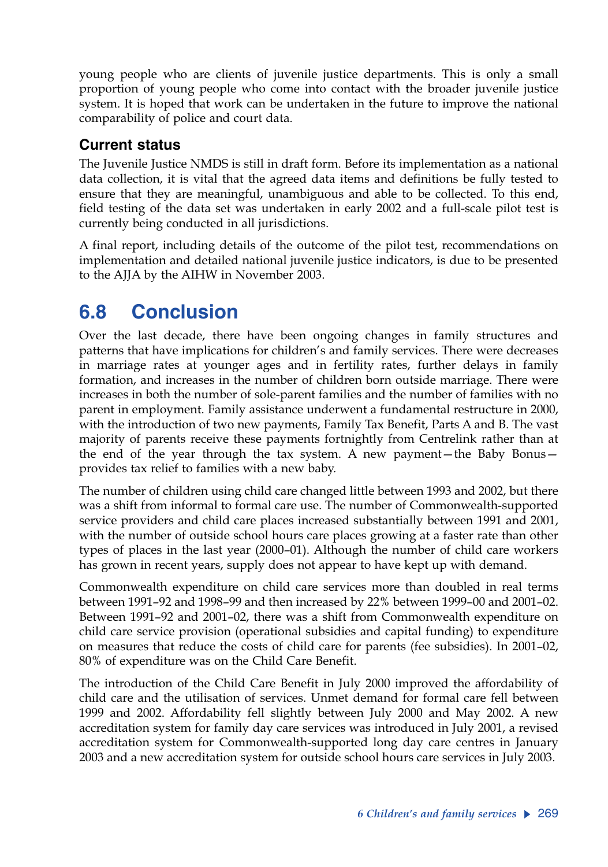young people who are clients of juvenile justice departments. This is only a small proportion of young people who come into contact with the broader juvenile justice system. It is hoped that work can be undertaken in the future to improve the national comparability of police and court data.

## **Current status**

The Juvenile Justice NMDS is still in draft form. Before its implementation as a national data collection, it is vital that the agreed data items and definitions be fully tested to ensure that they are meaningful, unambiguous and able to be collected. To this end, field testing of the data set was undertaken in early 2002 and a full-scale pilot test is currently being conducted in all jurisdictions.

A final report, including details of the outcome of the pilot test, recommendations on implementation and detailed national juvenile justice indicators, is due to be presented to the AJJA by the AIHW in November 2003.

# **6.8 Conclusion**

Over the last decade, there have been ongoing changes in family structures and patterns that have implications for children's and family services. There were decreases in marriage rates at younger ages and in fertility rates, further delays in family formation, and increases in the number of children born outside marriage. There were increases in both the number of sole-parent families and the number of families with no parent in employment. Family assistance underwent a fundamental restructure in 2000, with the introduction of two new payments, Family Tax Benefit, Parts A and B. The vast majority of parents receive these payments fortnightly from Centrelink rather than at the end of the year through the tax system. A new payment—the Baby Bonus provides tax relief to families with a new baby.

The number of children using child care changed little between 1993 and 2002, but there was a shift from informal to formal care use. The number of Commonwealth-supported service providers and child care places increased substantially between 1991 and 2001, with the number of outside school hours care places growing at a faster rate than other types of places in the last year (2000–01). Although the number of child care workers has grown in recent years, supply does not appear to have kept up with demand.

Commonwealth expenditure on child care services more than doubled in real terms between 1991–92 and 1998–99 and then increased by 22% between 1999–00 and 2001–02. Between 1991–92 and 2001–02, there was a shift from Commonwealth expenditure on child care service provision (operational subsidies and capital funding) to expenditure on measures that reduce the costs of child care for parents (fee subsidies). In 2001–02, 80% of expenditure was on the Child Care Benefit.

The introduction of the Child Care Benefit in July 2000 improved the affordability of child care and the utilisation of services. Unmet demand for formal care fell between 1999 and 2002. Affordability fell slightly between July 2000 and May 2002. A new accreditation system for family day care services was introduced in July 2001, a revised accreditation system for Commonwealth-supported long day care centres in January 2003 and a new accreditation system for outside school hours care services in July 2003.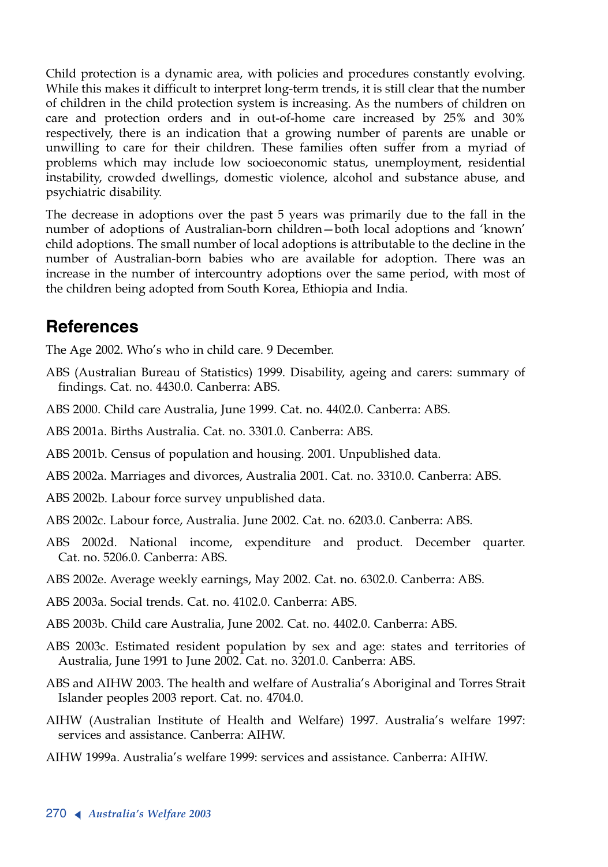Child protection is a dynamic area, with policies and procedures constantly evolving. While this makes it difficult to interpret long-term trends, it is still clear that the number of children in the child protection system is increasing. As the numbers of children on care and protection orders and in out-of-home care increased by 25% and 30% respectively, there is an indication that a growing number of parents are unable or unwilling to care for their children. These families often suffer from a myriad of problems which may include low socioeconomic status, unemployment, residential instability, crowded dwellings, domestic violence, alcohol and substance abuse, and psychiatric disability.

The decrease in adoptions over the past 5 years was primarily due to the fall in the number of adoptions of Australian-born children—both local adoptions and 'known' child adoptions. The small number of local adoptions is attributable to the decline in the number of Australian-born babies who are available for adoption. There was an increase in the number of intercountry adoptions over the same period, with most of the children being adopted from South Korea, Ethiopia and India.

## **References**

The Age 2002. Who's who in child care. 9 December.

- ABS (Australian Bureau of Statistics) 1999. Disability, ageing and carers: summary of findings. Cat. no. 4430.0. Canberra: ABS.
- ABS 2000. Child care Australia, June 1999. Cat. no. 4402.0. Canberra: ABS.
- ABS 2001a. Births Australia. Cat. no. 3301.0. Canberra: ABS.
- ABS 2001b. Census of population and housing. 2001. Unpublished data.
- ABS 2002a. Marriages and divorces, Australia 2001. Cat. no. 3310.0. Canberra: ABS.
- ABS 2002b. Labour force survey unpublished data.
- ABS 2002c. Labour force, Australia. June 2002. Cat. no. 6203.0. Canberra: ABS.
- ABS 2002d. National income, expenditure and product. December quarter. Cat. no. 5206.0. Canberra: ABS.
- ABS 2002e. Average weekly earnings, May 2002. Cat. no. 6302.0. Canberra: ABS.
- ABS 2003a. Social trends. Cat. no. 4102.0. Canberra: ABS.
- ABS 2003b. Child care Australia, June 2002. Cat. no. 4402.0. Canberra: ABS.
- ABS 2003c. Estimated resident population by sex and age: states and territories of Australia, June 1991 to June 2002. Cat. no. 3201.0. Canberra: ABS.
- ABS and AIHW 2003. The health and welfare of Australia's Aboriginal and Torres Strait Islander peoples 2003 report. Cat. no. 4704.0.
- AIHW (Australian Institute of Health and Welfare) 1997. Australia's welfare 1997: services and assistance. Canberra: AIHW.
- AIHW 1999a. Australia's welfare 1999: services and assistance. Canberra: AIHW.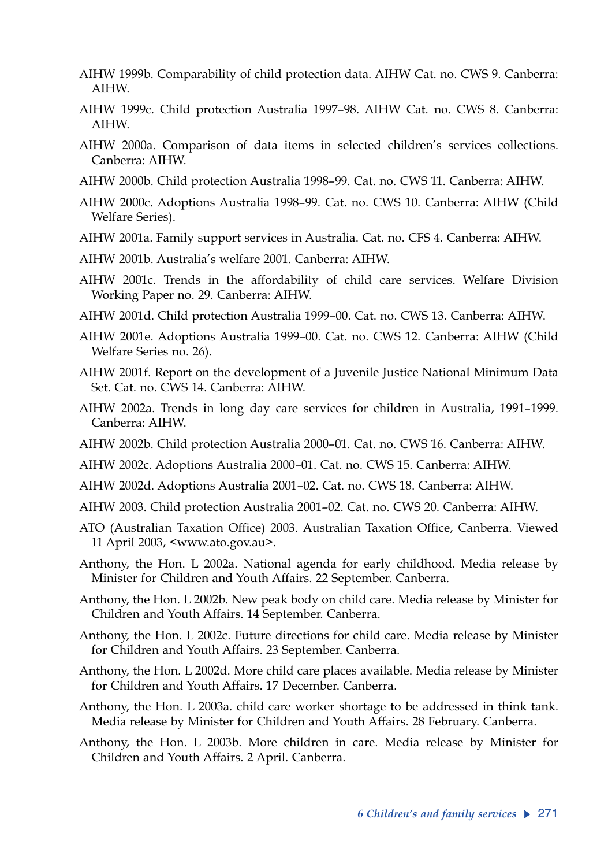- AIHW 1999b. Comparability of child protection data. AIHW Cat. no. CWS 9. Canberra: AIHW.
- AIHW 1999c. Child protection Australia 1997–98. AIHW Cat. no. CWS 8. Canberra: AIHW.
- AIHW 2000a. Comparison of data items in selected children's services collections. Canberra: AIHW.
- AIHW 2000b. Child protection Australia 1998–99. Cat. no. CWS 11. Canberra: AIHW.
- AIHW 2000c. Adoptions Australia 1998–99. Cat. no. CWS 10. Canberra: AIHW (Child Welfare Series).
- AIHW 2001a. Family support services in Australia. Cat. no. CFS 4. Canberra: AIHW.
- AIHW 2001b. Australia's welfare 2001. Canberra: AIHW.
- AIHW 2001c. Trends in the affordability of child care services. Welfare Division Working Paper no. 29. Canberra: AIHW.
- AIHW 2001d. Child protection Australia 1999–00. Cat. no. CWS 13. Canberra: AIHW.
- AIHW 2001e. Adoptions Australia 1999–00. Cat. no. CWS 12. Canberra: AIHW (Child Welfare Series no. 26).
- AIHW 2001f. Report on the development of a Juvenile Justice National Minimum Data Set. Cat. no. CWS 14. Canberra: AIHW.
- AIHW 2002a. Trends in long day care services for children in Australia, 1991–1999. Canberra: AIHW.
- AIHW 2002b. Child protection Australia 2000–01. Cat. no. CWS 16. Canberra: AIHW.
- AIHW 2002c. Adoptions Australia 2000–01. Cat. no. CWS 15. Canberra: AIHW.
- AIHW 2002d. Adoptions Australia 2001–02. Cat. no. CWS 18. Canberra: AIHW.
- AIHW 2003. Child protection Australia 2001–02. Cat. no. CWS 20. Canberra: AIHW.
- ATO (Australian Taxation Office) 2003. Australian Taxation Office, Canberra. Viewed 11 April 2003, <www.ato.gov.au>.
- Anthony, the Hon. L 2002a. National agenda for early childhood. Media release by Minister for Children and Youth Affairs. 22 September. Canberra.
- Anthony, the Hon. L 2002b. New peak body on child care. Media release by Minister for Children and Youth Affairs. 14 September. Canberra.
- Anthony, the Hon. L 2002c. Future directions for child care. Media release by Minister for Children and Youth Affairs. 23 September. Canberra.
- Anthony, the Hon. L 2002d. More child care places available. Media release by Minister for Children and Youth Affairs. 17 December. Canberra.
- Anthony, the Hon. L 2003a. child care worker shortage to be addressed in think tank. Media release by Minister for Children and Youth Affairs. 28 February. Canberra.
- Anthony, the Hon. L 2003b. More children in care. Media release by Minister for Children and Youth Affairs. 2 April. Canberra.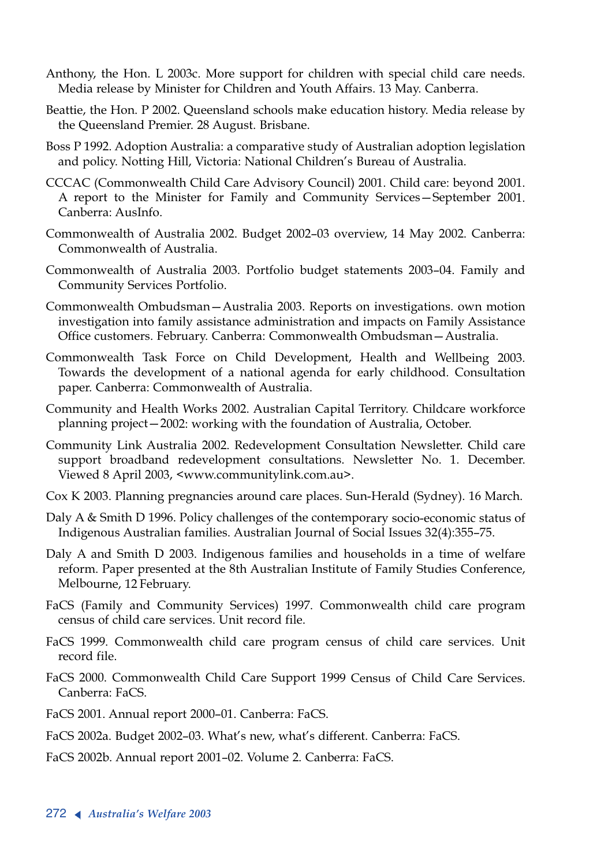- Anthony, the Hon. L 2003c. More support for children with special child care needs. Media release by Minister for Children and Youth Affairs. 13 May. Canberra.
- Beattie, the Hon. P 2002. Queensland schools make education history. Media release by the Queensland Premier. 28 August. Brisbane.
- Boss P 1992. Adoption Australia: a comparative study of Australian adoption legislation and policy. Notting Hill, Victoria: National Children's Bureau of Australia.
- CCCAC (Commonwealth Child Care Advisory Council) 2001. Child care: beyond 2001. <sup>A</sup> report to the Minister for Family and Community Services—September 2001. Canberra: AusInfo.
- Commonwealth of Australia 2002. Budget 2002–03 overview, 14 May 2002. Canberra: Commonwealth of Australia.
- Commonwealth of Australia 2003. Portfolio budget statements 2003–04. Family and Community Services Portfolio.
- Commonwealth Ombudsman—Australia 2003. Reports on investigations. own motion investigation into family assistance administration and impacts on Family Assistance Office customers. February. Canberra: Commonwealth Ombudsman—Australia.
- Commonwealth Task Force on Child Development, Health and Wellbeing 2003. Towards the development of a national agenda for early childhood. Consultation paper. Canberra: Commonwealth of Australia.
- Community and Health Works 2002. Australian Capital Territory. Childcare workforce planning project—2002: working with the foundation of Australia, October.
- Community Link Australia 2002. Redevelopment Consultation Newsletter. Child care support broadband redevelopment consultations. Newsletter No. 1. December. Viewed 8 April 2003, <www.communitylink.com.au>.
- Cox K 2003. Planning pregnancies around care places. Sun-Herald (Sydney). 16 March.
- Daly A & Smith D 1996. Policy challenges of the contemporary socio-economic status of Indigenous Australian families. Australian Journal of Social Issues 32(4):355–75.
- Daly A and Smith D 2003. Indigenous families and households in a time of welfare reform. Paper presented at the 8th Australian Institute of Family Studies Conference, Melbourne, 12 February.
- FaCS (Family and Community Services) 1997. Commonwealth child care program census of child care services. Unit record file.
- FaCS 1999. Commonwealth child care program census of child care services. Unit record file.
- FaCS 2000. Commonwealth Child Care Support 1999 Census of Child Care Services. Canberra: FaCS.
- FaCS 2001. Annual report 2000–01. Canberra: FaCS.
- FaCS 2002a. Budget 2002–03. What's new, what's different. Canberra: FaCS.
- FaCS 2002b. Annual report 2001–02. Volume 2. Canberra: FaCS.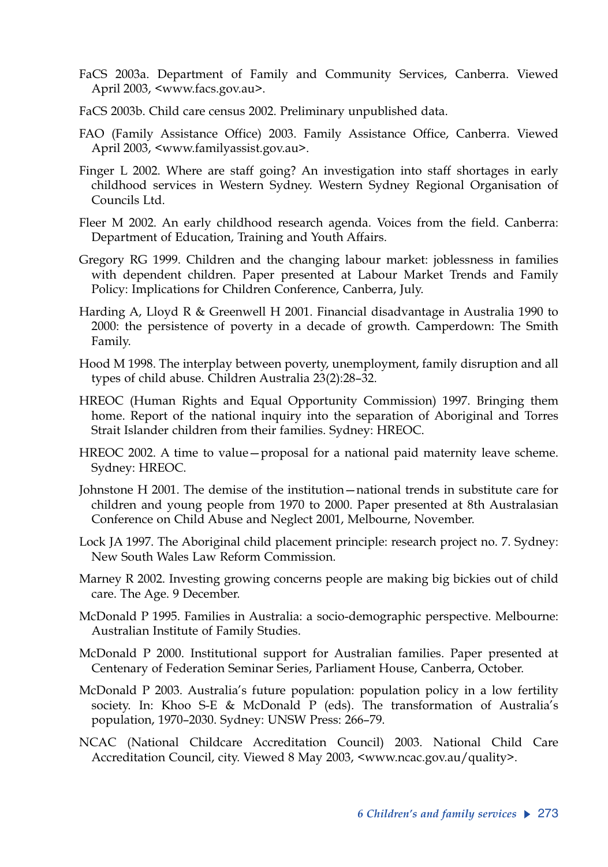- FaCS 2003a. Department of Family and Community Services, Canberra. Viewed April 2003, <www.facs.gov.au>.
- FaCS 2003b. Child care census 2002. Preliminary unpublished data.
- FAO (Family Assistance Office) 2003. Family Assistance Office, Canberra. Viewed April 2003, <www.familyassist.gov.au>.
- Finger L 2002. Where are staff going? An investigation into staff shortages in early childhood services in Western Sydney. Western Sydney Regional Organisation of Councils Ltd.
- Fleer M 2002. An early childhood research agenda. Voices from the field. Canberra: Department of Education, Training and Youth Affairs.
- Gregory RG 1999. Children and the changing labour market: joblessness in families with dependent children. Paper presented at Labour Market Trends and Family Policy: Implications for Children Conference, Canberra, July.
- Harding A, Lloyd R & Greenwell H 2001. Financial disadvantage in Australia 1990 to 2000: the persistence of poverty in a decade of growth. Camperdown: The Smith Family.
- Hood M 1998. The interplay between poverty, unemployment, family disruption and all types of child abuse. Children Australia 23(2):28–32.
- HREOC (Human Rights and Equal Opportunity Commission) 1997. Bringing them home. Report of the national inquiry into the separation of Aboriginal and Torres Strait Islander children from their families. Sydney: HREOC.
- HREOC 2002. A time to value—proposal for a national paid maternity leave scheme. Sydney: HREOC.
- Johnstone H 2001. The demise of the institution—national trends in substitute care for children and young people from 1970 to 2000. Paper presented at 8th Australasian Conference on Child Abuse and Neglect 2001, Melbourne, November.
- Lock JA 1997. The Aboriginal child placement principle: research project no. 7. Sydney: New South Wales Law Reform Commission.
- Marney R 2002. Investing growing concerns people are making big bickies out of child care. The Age. 9 December.
- McDonald P 1995. Families in Australia: a socio-demographic perspective. Melbourne: Australian Institute of Family Studies.
- McDonald P 2000. Institutional support for Australian families. Paper presented at Centenary of Federation Seminar Series, Parliament House, Canberra, October.
- McDonald P 2003. Australia's future population: population policy in a low fertility society. In: Khoo S-E & McDonald P (eds). The transformation of Australia's population, 1970–2030. Sydney: UNSW Press: 266–79.
- NCAC (National Childcare Accreditation Council) 2003. National Child Care Accreditation Council, city. Viewed 8 May 2003, <www.ncac.gov.au/quality>.